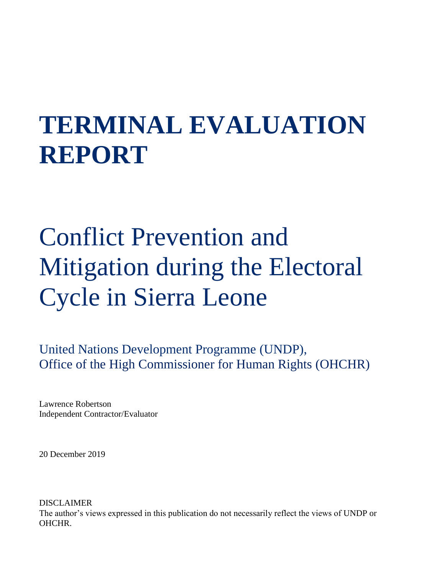# **TERMINAL EVALUATION REPORT**

# Conflict Prevention and Mitigation during the Electoral Cycle in Sierra Leone

United Nations Development Programme (UNDP), Office of the High Commissioner for Human Rights (OHCHR)

Lawrence Robertson Independent Contractor/Evaluator

20 December 2019

DISCLAIMER The author's views expressed in this publication do not necessarily reflect the views of UNDP or OHCHR.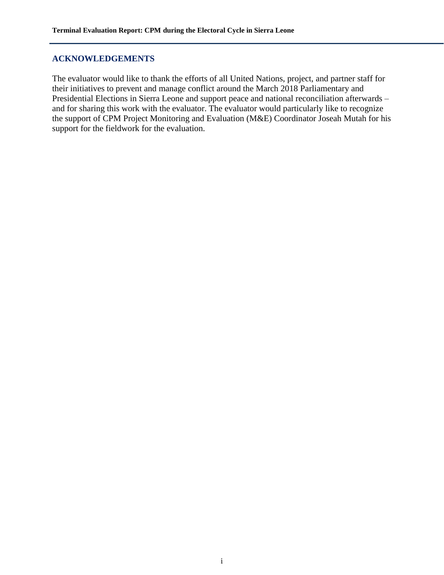# <span id="page-1-0"></span>**ACKNOWLEDGEMENTS**

The evaluator would like to thank the efforts of all United Nations, project, and partner staff for their initiatives to prevent and manage conflict around the March 2018 Parliamentary and Presidential Elections in Sierra Leone and support peace and national reconciliation afterwards – and for sharing this work with the evaluator. The evaluator would particularly like to recognize the support of CPM Project Monitoring and Evaluation (M&E) Coordinator Joseah Mutah for his support for the fieldwork for the evaluation.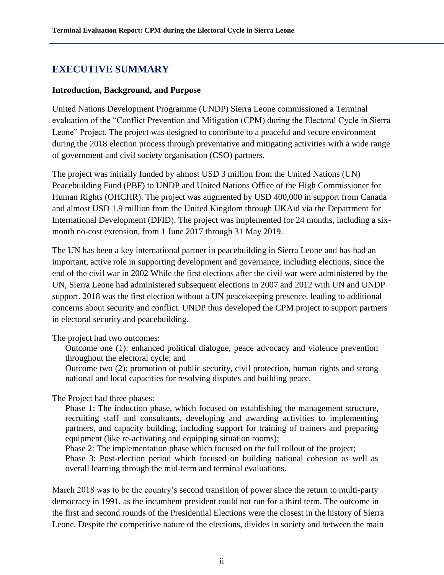# <span id="page-2-0"></span>**EXECUTIVE SUMMARY**

#### **Introduction, Background, and Purpose**

United Nations Development Programme (UNDP) Sierra Leone commissioned a Terminal evaluation of the "Conflict Prevention and Mitigation (CPM) during the Electoral Cycle in Sierra Leone" Project. The project was designed to contribute to a peaceful and secure environment during the 2018 election process through preventative and mitigating activities with a wide range of government and civil society organisation (CSO) partners.

The project was initially funded by almost USD 3 million from the United Nations (UN) Peacebuilding Fund (PBF) to UNDP and United Nations Office of the High Commissioner for Human Rights (OHCHR). The project was augmented by USD 400,000 in support from Canada and almost USD 1.9 million from the United Kingdom through UKAid via the Department for International Development (DFID). The project was implemented for 24 months, including a sixmonth no-cost extension, from 1 June 2017 through 31 May 2019.

The UN has been a key international partner in peacebuilding in Sierra Leone and has had an important, active role in supporting development and governance, including elections, since the end of the civil war in 2002 While the first elections after the civil war were administered by the UN, Sierra Leone had administered subsequent elections in 2007 and 2012 with UN and UNDP support. 2018 was the first election without a UN peacekeeping presence, leading to additional concerns about security and conflict. UNDP thus developed the CPM project to support partners in electoral security and peacebuilding.

The project had two outcomes:

Outcome one (1): enhanced political dialogue, peace advocacy and violence prevention throughout the electoral cycle; and

Outcome two (2): promotion of public security, civil protection, human rights and strong national and local capacities for resolving disputes and building peace.

The Project had three phases:

Phase 1: The induction phase, which focused on establishing the management structure, recruiting staff and consultants, developing and awarding activities to implementing partners, and capacity building, including support for training of trainers and preparing equipment (like re-activating and equipping situation rooms);

Phase 2: The implementation phase which focused on the full rollout of the project;

Phase 3: Post-election period which focused on building national cohesion as well as overall learning through the mid-term and terminal evaluations.

March 2018 was to be the country's second transition of power since the return to multi-party democracy in 1991, as the incumbent president could not run for a third term. The outcome in the first and second rounds of the Presidential Elections were the closest in the history of Sierra Leone. Despite the competitive nature of the elections, divides in society and between the main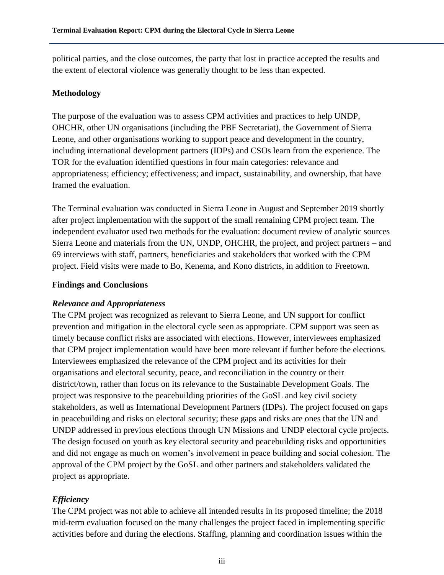political parties, and the close outcomes, the party that lost in practice accepted the results and the extent of electoral violence was generally thought to be less than expected.

#### **Methodology**

The purpose of the evaluation was to assess CPM activities and practices to help UNDP, OHCHR, other UN organisations (including the PBF Secretariat), the Government of Sierra Leone, and other organisations working to support peace and development in the country, including international development partners (IDPs) and CSOs learn from the experience. The TOR for the evaluation identified questions in four main categories: relevance and appropriateness; efficiency; effectiveness; and impact, sustainability, and ownership, that have framed the evaluation.

The Terminal evaluation was conducted in Sierra Leone in August and September 2019 shortly after project implementation with the support of the small remaining CPM project team. The independent evaluator used two methods for the evaluation: document review of analytic sources Sierra Leone and materials from the UN, UNDP, OHCHR, the project, and project partners – and 69 interviews with staff, partners, beneficiaries and stakeholders that worked with the CPM project. Field visits were made to Bo, Kenema, and Kono districts, in addition to Freetown.

#### **Findings and Conclusions**

# *Relevance and Appropriateness*

The CPM project was recognized as relevant to Sierra Leone, and UN support for conflict prevention and mitigation in the electoral cycle seen as appropriate. CPM support was seen as timely because conflict risks are associated with elections. However, interviewees emphasized that CPM project implementation would have been more relevant if further before the elections. Interviewees emphasized the relevance of the CPM project and its activities for their organisations and electoral security, peace, and reconciliation in the country or their district/town, rather than focus on its relevance to the Sustainable Development Goals. The project was responsive to the peacebuilding priorities of the GoSL and key civil society stakeholders, as well as International Development Partners (IDPs). The project focused on gaps in peacebuilding and risks on electoral security; these gaps and risks are ones that the UN and UNDP addressed in previous elections through UN Missions and UNDP electoral cycle projects. The design focused on youth as key electoral security and peacebuilding risks and opportunities and did not engage as much on women's involvement in peace building and social cohesion. The approval of the CPM project by the GoSL and other partners and stakeholders validated the project as appropriate.

# *Efficiency*

The CPM project was not able to achieve all intended results in its proposed timeline; the 2018 mid-term evaluation focused on the many challenges the project faced in implementing specific activities before and during the elections. Staffing, planning and coordination issues within the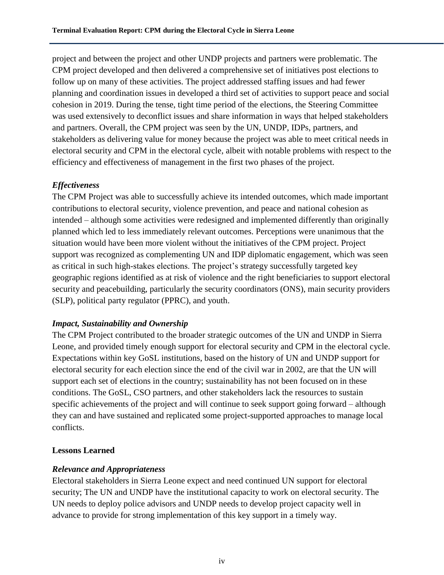project and between the project and other UNDP projects and partners were problematic. The CPM project developed and then delivered a comprehensive set of initiatives post elections to follow up on many of these activities. The project addressed staffing issues and had fewer planning and coordination issues in developed a third set of activities to support peace and social cohesion in 2019. During the tense, tight time period of the elections, the Steering Committee was used extensively to deconflict issues and share information in ways that helped stakeholders and partners. Overall, the CPM project was seen by the UN, UNDP, IDPs, partners, and stakeholders as delivering value for money because the project was able to meet critical needs in electoral security and CPM in the electoral cycle, albeit with notable problems with respect to the efficiency and effectiveness of management in the first two phases of the project.

# *Effectiveness*

The CPM Project was able to successfully achieve its intended outcomes, which made important contributions to electoral security, violence prevention, and peace and national cohesion as intended – although some activities were redesigned and implemented differently than originally planned which led to less immediately relevant outcomes. Perceptions were unanimous that the situation would have been more violent without the initiatives of the CPM project. Project support was recognized as complementing UN and IDP diplomatic engagement, which was seen as critical in such high-stakes elections. The project's strategy successfully targeted key geographic regions identified as at risk of violence and the right beneficiaries to support electoral security and peacebuilding, particularly the security coordinators (ONS), main security providers (SLP), political party regulator (PPRC), and youth.

# *Impact, Sustainability and Ownership*

The CPM Project contributed to the broader strategic outcomes of the UN and UNDP in Sierra Leone, and provided timely enough support for electoral security and CPM in the electoral cycle. Expectations within key GoSL institutions, based on the history of UN and UNDP support for electoral security for each election since the end of the civil war in 2002, are that the UN will support each set of elections in the country; sustainability has not been focused on in these conditions. The GoSL, CSO partners, and other stakeholders lack the resources to sustain specific achievements of the project and will continue to seek support going forward – although they can and have sustained and replicated some project-supported approaches to manage local conflicts.

# **Lessons Learned**

# *Relevance and Appropriateness*

Electoral stakeholders in Sierra Leone expect and need continued UN support for electoral security; The UN and UNDP have the institutional capacity to work on electoral security. The UN needs to deploy police advisors and UNDP needs to develop project capacity well in advance to provide for strong implementation of this key support in a timely way.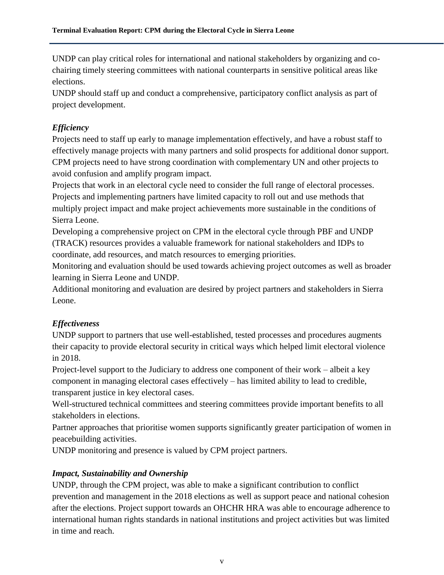UNDP can play critical roles for international and national stakeholders by organizing and cochairing timely steering committees with national counterparts in sensitive political areas like elections.

UNDP should staff up and conduct a comprehensive, participatory conflict analysis as part of project development.

# *Efficiency*

Projects need to staff up early to manage implementation effectively, and have a robust staff to effectively manage projects with many partners and solid prospects for additional donor support. CPM projects need to have strong coordination with complementary UN and other projects to avoid confusion and amplify program impact.

Projects that work in an electoral cycle need to consider the full range of electoral processes. Projects and implementing partners have limited capacity to roll out and use methods that multiply project impact and make project achievements more sustainable in the conditions of Sierra Leone.

Developing a comprehensive project on CPM in the electoral cycle through PBF and UNDP (TRACK) resources provides a valuable framework for national stakeholders and IDPs to coordinate, add resources, and match resources to emerging priorities.

Monitoring and evaluation should be used towards achieving project outcomes as well as broader learning in Sierra Leone and UNDP.

Additional monitoring and evaluation are desired by project partners and stakeholders in Sierra Leone.

# *Effectiveness*

UNDP support to partners that use well-established, tested processes and procedures augments their capacity to provide electoral security in critical ways which helped limit electoral violence in 2018.

Project-level support to the Judiciary to address one component of their work – albeit a key component in managing electoral cases effectively – has limited ability to lead to credible, transparent justice in key electoral cases.

Well-structured technical committees and steering committees provide important benefits to all stakeholders in elections.

Partner approaches that prioritise women supports significantly greater participation of women in peacebuilding activities.

UNDP monitoring and presence is valued by CPM project partners.

# *Impact, Sustainability and Ownership*

UNDP, through the CPM project, was able to make a significant contribution to conflict prevention and management in the 2018 elections as well as support peace and national cohesion after the elections. Project support towards an OHCHR HRA was able to encourage adherence to international human rights standards in national institutions and project activities but was limited in time and reach.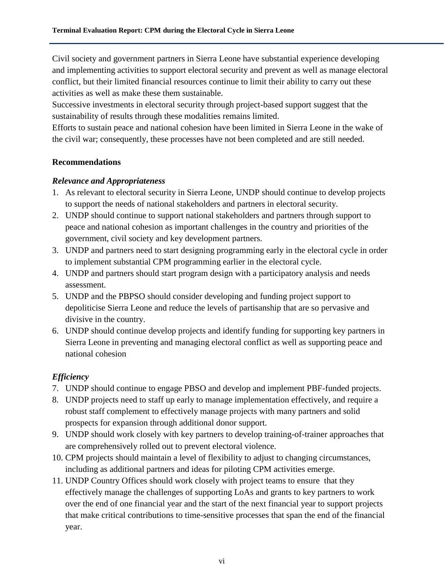Civil society and government partners in Sierra Leone have substantial experience developing and implementing activities to support electoral security and prevent as well as manage electoral conflict, but their limited financial resources continue to limit their ability to carry out these activities as well as make these them sustainable.

Successive investments in electoral security through project-based support suggest that the sustainability of results through these modalities remains limited.

Efforts to sustain peace and national cohesion have been limited in Sierra Leone in the wake of the civil war; consequently, these processes have not been completed and are still needed.

# **Recommendations**

#### *Relevance and Appropriateness*

- 1. As relevant to electoral security in Sierra Leone, UNDP should continue to develop projects to support the needs of national stakeholders and partners in electoral security.
- 2. UNDP should continue to support national stakeholders and partners through support to peace and national cohesion as important challenges in the country and priorities of the government, civil society and key development partners.
- 3. UNDP and partners need to start designing programming early in the electoral cycle in order to implement substantial CPM programming earlier in the electoral cycle.
- 4. UNDP and partners should start program design with a participatory analysis and needs assessment.
- 5. UNDP and the PBPSO should consider developing and funding project support to depoliticise Sierra Leone and reduce the levels of partisanship that are so pervasive and divisive in the country.
- 6. UNDP should continue develop projects and identify funding for supporting key partners in Sierra Leone in preventing and managing electoral conflict as well as supporting peace and national cohesion

# *Efficiency*

- 7. UNDP should continue to engage PBSO and develop and implement PBF-funded projects.
- 8. UNDP projects need to staff up early to manage implementation effectively, and require a robust staff complement to effectively manage projects with many partners and solid prospects for expansion through additional donor support.
- 9. UNDP should work closely with key partners to develop training-of-trainer approaches that are comprehensively rolled out to prevent electoral violence.
- 10. CPM projects should maintain a level of flexibility to adjust to changing circumstances, including as additional partners and ideas for piloting CPM activities emerge.
- 11. UNDP Country Offices should work closely with project teams to ensure that they effectively manage the challenges of supporting LoAs and grants to key partners to work over the end of one financial year and the start of the next financial year to support projects that make critical contributions to time-sensitive processes that span the end of the financial year.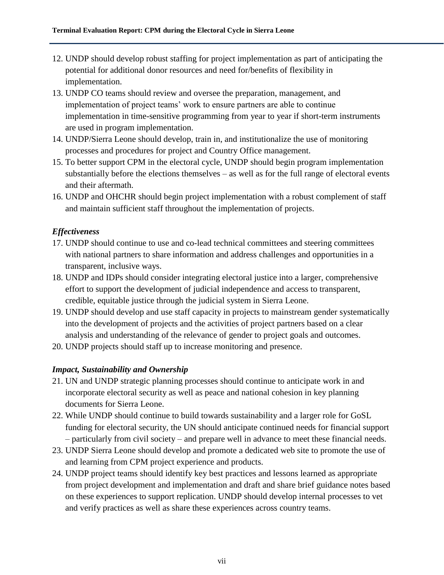- 12. UNDP should develop robust staffing for project implementation as part of anticipating the potential for additional donor resources and need for/benefits of flexibility in implementation.
- 13. UNDP CO teams should review and oversee the preparation, management, and implementation of project teams' work to ensure partners are able to continue implementation in time-sensitive programming from year to year if short-term instruments are used in program implementation.
- 14. UNDP/Sierra Leone should develop, train in, and institutionalize the use of monitoring processes and procedures for project and Country Office management.
- 15. To better support CPM in the electoral cycle, UNDP should begin program implementation substantially before the elections themselves – as well as for the full range of electoral events and their aftermath.
- 16. UNDP and OHCHR should begin project implementation with a robust complement of staff and maintain sufficient staff throughout the implementation of projects.

# *Effectiveness*

- 17. UNDP should continue to use and co-lead technical committees and steering committees with national partners to share information and address challenges and opportunities in a transparent, inclusive ways.
- 18. UNDP and IDPs should consider integrating electoral justice into a larger, comprehensive effort to support the development of judicial independence and access to transparent, credible, equitable justice through the judicial system in Sierra Leone.
- 19. UNDP should develop and use staff capacity in projects to mainstream gender systematically into the development of projects and the activities of project partners based on a clear analysis and understanding of the relevance of gender to project goals and outcomes.
- 20. UNDP projects should staff up to increase monitoring and presence.

# *Impact, Sustainability and Ownership*

- 21. UN and UNDP strategic planning processes should continue to anticipate work in and incorporate electoral security as well as peace and national cohesion in key planning documents for Sierra Leone.
- 22. While UNDP should continue to build towards sustainability and a larger role for GoSL funding for electoral security, the UN should anticipate continued needs for financial support – particularly from civil society – and prepare well in advance to meet these financial needs.
- 23. UNDP Sierra Leone should develop and promote a dedicated web site to promote the use of and learning from CPM project experience and products.
- 24. UNDP project teams should identify key best practices and lessons learned as appropriate from project development and implementation and draft and share brief guidance notes based on these experiences to support replication. UNDP should develop internal processes to vet and verify practices as well as share these experiences across country teams.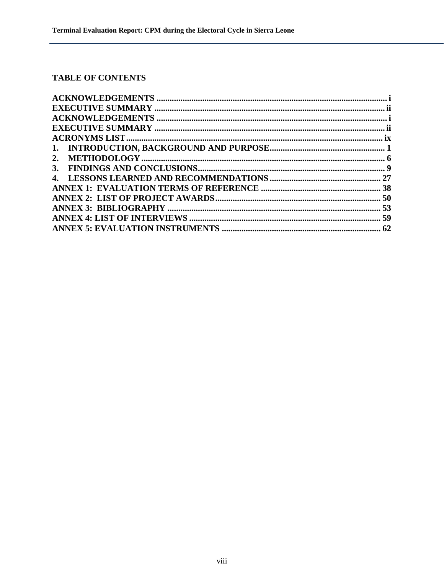# TABLE OF CONTENTS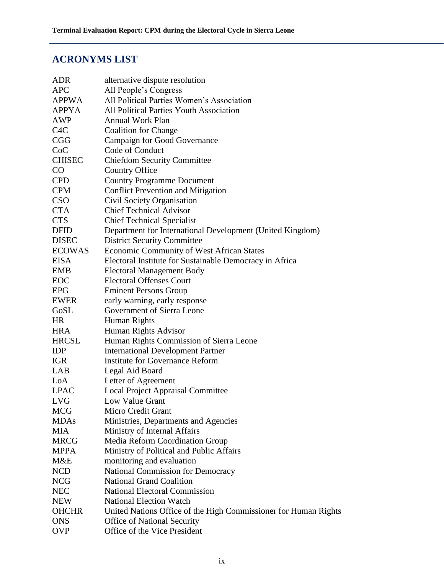# <span id="page-9-0"></span>**ACRONYMS LIST**

| <b>ADR</b>       | alternative dispute resolution                                  |
|------------------|-----------------------------------------------------------------|
| <b>APC</b>       | All People's Congress                                           |
| <b>APPWA</b>     | All Political Parties Women's Association                       |
| <b>APPYA</b>     | All Political Parties Youth Association                         |
| AWP              | Annual Work Plan                                                |
| C <sub>4</sub> C | <b>Coalition for Change</b>                                     |
| CGG              | <b>Campaign for Good Governance</b>                             |
| CoC              | Code of Conduct                                                 |
| <b>CHISEC</b>    | <b>Chiefdom Security Committee</b>                              |
| $\rm CO$         | <b>Country Office</b>                                           |
| <b>CPD</b>       | <b>Country Programme Document</b>                               |
| <b>CPM</b>       | <b>Conflict Prevention and Mitigation</b>                       |
| <b>CSO</b>       | Civil Society Organisation                                      |
| <b>CTA</b>       | <b>Chief Technical Advisor</b>                                  |
| <b>CTS</b>       | <b>Chief Technical Specialist</b>                               |
| <b>DFID</b>      | Department for International Development (United Kingdom)       |
| <b>DISEC</b>     | <b>District Security Committee</b>                              |
| <b>ECOWAS</b>    | <b>Economic Community of West African States</b>                |
| <b>EISA</b>      | Electoral Institute for Sustainable Democracy in Africa         |
| <b>EMB</b>       | <b>Electoral Management Body</b>                                |
| <b>EOC</b>       | <b>Electoral Offenses Court</b>                                 |
| <b>EPG</b>       | <b>Eminent Persons Group</b>                                    |
| <b>EWER</b>      | early warning, early response                                   |
| GoSL             | Government of Sierra Leone                                      |
| <b>HR</b>        | Human Rights                                                    |
| <b>HRA</b>       | Human Rights Advisor                                            |
| <b>HRCSL</b>     | Human Rights Commission of Sierra Leone                         |
| <b>IDP</b>       | <b>International Development Partner</b>                        |
| <b>IGR</b>       | <b>Institute for Governance Reform</b>                          |
| LAB              | Legal Aid Board                                                 |
| LoA              | Letter of Agreement                                             |
| <b>LPAC</b>      | Local Project Appraisal Committee                               |
| <b>LVG</b>       | Low Value Grant                                                 |
| <b>MCG</b>       | Micro Credit Grant                                              |
| <b>MDAs</b>      | Ministries, Departments and Agencies                            |
| <b>MIA</b>       | Ministry of Internal Affairs                                    |
| <b>MRCG</b>      | Media Reform Coordination Group                                 |
| <b>MPPA</b>      | Ministry of Political and Public Affairs                        |
| M&E              | monitoring and evaluation                                       |
| <b>NCD</b>       | National Commission for Democracy                               |
| <b>NCG</b>       | <b>National Grand Coalition</b>                                 |
| <b>NEC</b>       | <b>National Electoral Commission</b>                            |
| <b>NEW</b>       | <b>National Election Watch</b>                                  |
| <b>OHCHR</b>     | United Nations Office of the High Commissioner for Human Rights |
| <b>ONS</b>       | <b>Office of National Security</b>                              |
| <b>OVP</b>       | Office of the Vice President                                    |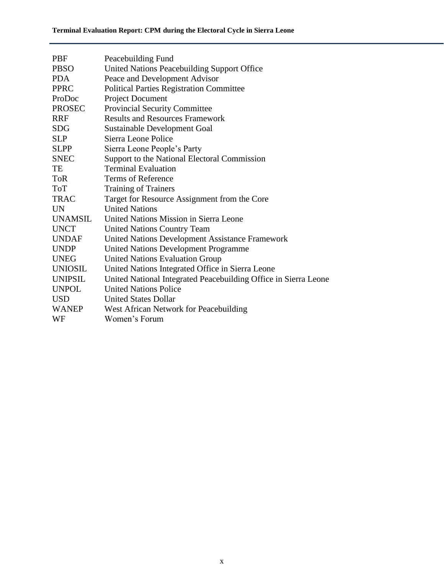| PBF            | Peacebuilding Fund                                              |
|----------------|-----------------------------------------------------------------|
| <b>PBSO</b>    | United Nations Peacebuilding Support Office                     |
| <b>PDA</b>     | Peace and Development Advisor                                   |
| <b>PPRC</b>    | <b>Political Parties Registration Committee</b>                 |
| ProDoc         | Project Document                                                |
| <b>PROSEC</b>  | <b>Provincial Security Committee</b>                            |
| <b>RRF</b>     | <b>Results and Resources Framework</b>                          |
| <b>SDG</b>     | <b>Sustainable Development Goal</b>                             |
| <b>SLP</b>     | Sierra Leone Police                                             |
| <b>SLPP</b>    | Sierra Leone People's Party                                     |
| <b>SNEC</b>    | Support to the National Electoral Commission                    |
| TE             | <b>Terminal Evaluation</b>                                      |
| <b>ToR</b>     | <b>Terms of Reference</b>                                       |
| <b>ToT</b>     | <b>Training of Trainers</b>                                     |
| <b>TRAC</b>    | Target for Resource Assignment from the Core                    |
| <b>UN</b>      | <b>United Nations</b>                                           |
| <b>UNAMSIL</b> | United Nations Mission in Sierra Leone                          |
| <b>UNCT</b>    | <b>United Nations Country Team</b>                              |
| <b>UNDAF</b>   | <b>United Nations Development Assistance Framework</b>          |
| <b>UNDP</b>    | <b>United Nations Development Programme</b>                     |
| <b>UNEG</b>    | <b>United Nations Evaluation Group</b>                          |
| <b>UNIOSIL</b> | United Nations Integrated Office in Sierra Leone                |
| <b>UNIPSIL</b> | United National Integrated Peacebuilding Office in Sierra Leone |
| <b>UNPOL</b>   | <b>United Nations Police</b>                                    |
| <b>USD</b>     | <b>United States Dollar</b>                                     |
| <b>WANEP</b>   | West African Network for Peacebuilding                          |
| WF             | Women's Forum                                                   |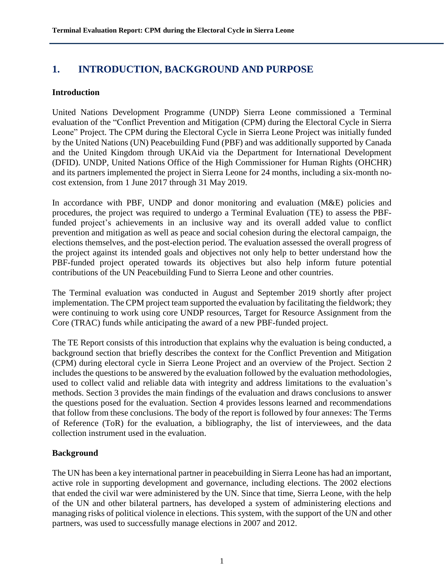# <span id="page-11-0"></span>**1. INTRODUCTION, BACKGROUND AND PURPOSE**

#### **Introduction**

United Nations Development Programme (UNDP) Sierra Leone commissioned a Terminal evaluation of the "Conflict Prevention and Mitigation (CPM) during the Electoral Cycle in Sierra Leone" Project. The CPM during the Electoral Cycle in Sierra Leone Project was initially funded by the United Nations (UN) Peacebuilding Fund (PBF) and was additionally supported by Canada and the United Kingdom through UKAid via the Department for International Development (DFID). UNDP, United Nations Office of the High Commissioner for Human Rights (OHCHR) and its partners implemented the project in Sierra Leone for 24 months, including a six-month nocost extension, from 1 June 2017 through 31 May 2019.

In accordance with PBF, UNDP and donor monitoring and evaluation (M&E) policies and procedures, the project was required to undergo a Terminal Evaluation (TE) to assess the PBFfunded project's achievements in an inclusive way and its overall added value to conflict prevention and mitigation as well as peace and social cohesion during the electoral campaign, the elections themselves, and the post-election period. The evaluation assessed the overall progress of the project against its intended goals and objectives not only help to better understand how the PBF-funded project operated towards its objectives but also help inform future potential contributions of the UN Peacebuilding Fund to Sierra Leone and other countries.

The Terminal evaluation was conducted in August and September 2019 shortly after project implementation. The CPM project team supported the evaluation by facilitating the fieldwork; they were continuing to work using core UNDP resources, Target for Resource Assignment from the Core (TRAC) funds while anticipating the award of a new PBF-funded project.

The TE Report consists of this introduction that explains why the evaluation is being conducted, a background section that briefly describes the context for the Conflict Prevention and Mitigation (CPM) during electoral cycle in Sierra Leone Project and an overview of the Project. Section 2 includes the questions to be answered by the evaluation followed by the evaluation methodologies, used to collect valid and reliable data with integrity and address limitations to the evaluation's methods. Section 3 provides the main findings of the evaluation and draws conclusions to answer the questions posed for the evaluation. Section 4 provides lessons learned and recommendations that follow from these conclusions. The body of the report is followed by four annexes: The Terms of Reference (ToR) for the evaluation, a bibliography, the list of interviewees, and the data collection instrument used in the evaluation.

# **Background**

The UN has been a key international partner in peacebuilding in Sierra Leone has had an important, active role in supporting development and governance, including elections. The 2002 elections that ended the civil war were administered by the UN. Since that time, Sierra Leone, with the help of the UN and other bilateral partners, has developed a system of administering elections and managing risks of political violence in elections. This system, with the support of the UN and other partners, was used to successfully manage elections in 2007 and 2012.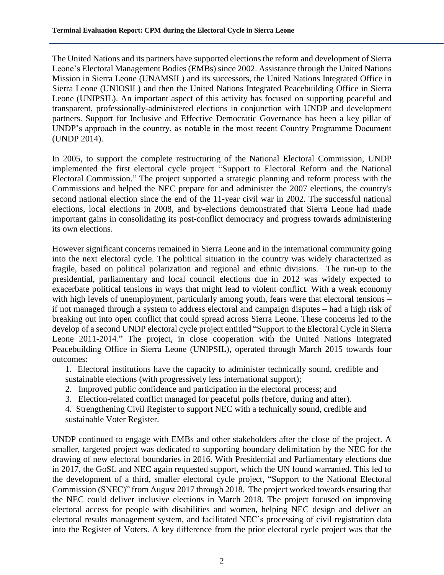The United Nations and its partners have supported elections the reform and development of Sierra Leone's Electoral Management Bodies (EMBs) since 2002. Assistance through the United Nations Mission in Sierra Leone (UNAMSIL) and its successors, the United Nations Integrated Office in Sierra Leone (UNIOSIL) and then the United Nations Integrated Peacebuilding Office in Sierra Leone (UNIPSIL). An important aspect of this activity has focused on supporting peaceful and transparent, professionally-administered elections in conjunction with UNDP and development partners. Support for Inclusive and Effective Democratic Governance has been a key pillar of UNDP's approach in the country, as notable in the most recent Country Programme Document (UNDP 2014).

In 2005, to support the complete restructuring of the National Electoral Commission, UNDP implemented the first electoral cycle project "Support to Electoral Reform and the National Electoral Commission." The project supported a strategic planning and reform process with the Commissions and helped the NEC prepare for and administer the 2007 elections, the country's second national election since the end of the 11-year civil war in 2002. The successful national elections, local elections in 2008, and by-elections demonstrated that Sierra Leone had made important gains in consolidating its post-conflict democracy and progress towards administering its own elections.

However significant concerns remained in Sierra Leone and in the international community going into the next electoral cycle. The political situation in the country was widely characterized as fragile, based on political polarization and regional and ethnic divisions. The run-up to the presidential, parliamentary and local council elections due in 2012 was widely expected to exacerbate political tensions in ways that might lead to violent conflict. With a weak economy with high levels of unemployment, particularly among youth, fears were that electoral tensions – if not managed through a system to address electoral and campaign disputes – had a high risk of breaking out into open conflict that could spread across Sierra Leone. These concerns led to the develop of a second UNDP electoral cycle project entitled "Support to the Electoral Cycle in Sierra Leone 2011-2014." The project, in close cooperation with the United Nations Integrated Peacebuilding Office in Sierra Leone (UNIPSIL), operated through March 2015 towards four outcomes:

- 1. Electoral institutions have the capacity to administer technically sound, credible and sustainable elections (with progressively less international support);
- 2. Improved public confidence and participation in the electoral process; and
- 3. Election-related conflict managed for peaceful polls (before, during and after).

4. Strengthening Civil Register to support NEC with a technically sound, credible and sustainable Voter Register.

UNDP continued to engage with EMBs and other stakeholders after the close of the project. A smaller, targeted project was dedicated to supporting boundary delimitation by the NEC for the drawing of new electoral boundaries in 2016. With Presidential and Parliamentary elections due in 2017, the GoSL and NEC again requested support, which the UN found warranted. This led to the development of a third, smaller electoral cycle project, "Support to the National Electoral Commission (SNEC)" from August 2017 through 2018. The project worked towards ensuring that the NEC could deliver inclusive elections in March 2018. The project focused on improving electoral access for people with disabilities and women, helping NEC design and deliver an electoral results management system, and facilitated NEC's processing of civil registration data into the Register of Voters. A key difference from the prior electoral cycle project was that the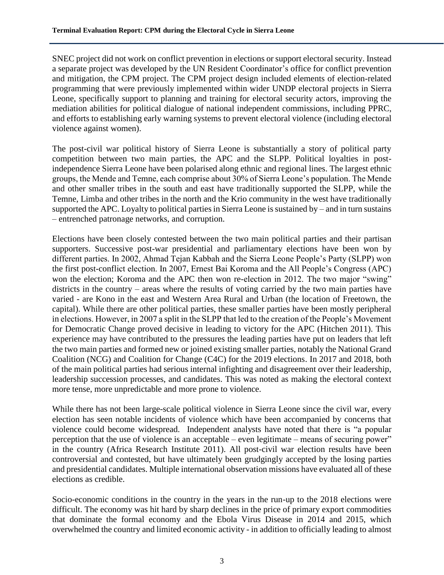SNEC project did not work on conflict prevention in elections or support electoral security. Instead a separate project was developed by the UN Resident Coordinator's office for conflict prevention and mitigation, the CPM project. The CPM project design included elements of election-related programming that were previously implemented within wider UNDP electoral projects in Sierra Leone, specifically support to planning and training for electoral security actors, improving the mediation abilities for political dialogue of national independent commissions, including PPRC, and efforts to establishing early warning systems to prevent electoral violence (including electoral violence against women).

The post-civil war political history of Sierra Leone is substantially a story of political party competition between two main parties, the APC and the SLPP. Political loyalties in postindependence Sierra Leone have been polarised along ethnic and regional lines. The largest ethnic groups, the Mende and Temne, each comprise about 30% of Sierra Leone's population. The Mende and other smaller tribes in the south and east have traditionally supported the SLPP, while the Temne, Limba and other tribes in the north and the Krio community in the west have traditionally supported the APC. Loyalty to political parties in Sierra Leone is sustained by – and in turn sustains – entrenched patronage networks, and corruption.

Elections have been closely contested between the two main political parties and their partisan supporters. Successive post-war presidential and parliamentary elections have been won by different parties. In 2002, Ahmad Tejan Kabbah and the Sierra Leone People's Party (SLPP) won the first post-conflict election. In 2007, Ernest Bai Koroma and the All People's Congress (APC) won the election; Koroma and the APC then won re-election in 2012. The two major "swing" districts in the country – areas where the results of voting carried by the two main parties have varied - are Kono in the east and Western Area Rural and Urban (the location of Freetown, the capital). While there are other political parties, these smaller parties have been mostly peripheral in elections. However, in 2007 a split in the SLPP that led to the creation of the People's Movement for Democratic Change proved decisive in leading to victory for the APC (Hitchen 2011). This experience may have contributed to the pressures the leading parties have put on leaders that left the two main parties and formed new or joined existing smaller parties, notably the National Grand Coalition (NCG) and Coalition for Change (C4C) for the 2019 elections. In 2017 and 2018, both of the main political parties had serious internal infighting and disagreement over their leadership, leadership succession processes, and candidates. This was noted as making the electoral context more tense, more unpredictable and more prone to violence.

While there has not been large-scale political violence in Sierra Leone since the civil war, every election has seen notable incidents of violence which have been accompanied by concerns that violence could become widespread. Independent analysts have noted that there is "a popular perception that the use of violence is an acceptable – even legitimate – means of securing power" in the country (Africa Research Institute 2011). All post-civil war election results have been controversial and contested, but have ultimately been grudgingly accepted by the losing parties and presidential candidates. Multiple international observation missions have evaluated all of these elections as credible.

Socio-economic conditions in the country in the years in the run-up to the 2018 elections were difficult. The economy was hit hard by sharp declines in the price of primary export commodities that dominate the formal economy and the Ebola Virus Disease in 2014 and 2015, which overwhelmed the country and limited economic activity - in addition to officially leading to almost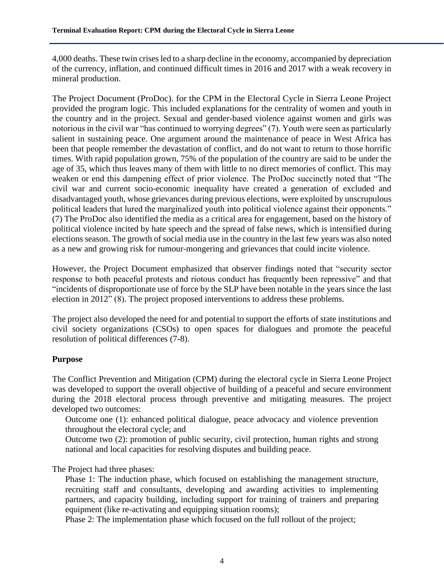4,000 deaths. These twin crises led to a sharp decline in the economy, accompanied by depreciation of the currency, inflation, and continued difficult times in 2016 and 2017 with a weak recovery in mineral production.

The Project Document (ProDoc). for the CPM in the Electoral Cycle in Sierra Leone Project provided the program logic. This included explanations for the centrality of women and youth in the country and in the project. Sexual and gender-based violence against women and girls was notorious in the civil war "has continued to worrying degrees" (7). Youth were seen as particularly salient in sustaining peace. One argument around the maintenance of peace in West Africa has been that people remember the devastation of conflict, and do not want to return to those horrific times. With rapid population grown, 75% of the population of the country are said to be under the age of 35, which thus leaves many of them with little to no direct memories of conflict. This may weaken or end this dampening effect of prior violence. The ProDoc succinctly noted that "The civil war and current socio-economic inequality have created a generation of excluded and disadvantaged youth, whose grievances during previous elections, were exploited by unscrupulous political leaders that lured the marginalized youth into political violence against their opponents." (7) The ProDoc also identified the media as a critical area for engagement, based on the history of political violence incited by hate speech and the spread of false news, which is intensified during elections season. The growth of social media use in the country in the last few years was also noted as a new and growing risk for rumour-mongering and grievances that could incite violence.

However, the Project Document emphasized that observer findings noted that "security sector response to both peaceful protests and riotous conduct has frequently been repressive" and that "incidents of disproportionate use of force by the SLP have been notable in the years since the last election in 2012" (8). The project proposed interventions to address these problems.

The project also developed the need for and potential to support the efforts of state institutions and civil society organizations (CSOs) to open spaces for dialogues and promote the peaceful resolution of political differences (7-8).

# **Purpose**

The Conflict Prevention and Mitigation (CPM) during the electoral cycle in Sierra Leone Project was developed to support the overall objective of building of a peaceful and secure environment during the 2018 electoral process through preventive and mitigating measures. The project developed two outcomes:

Outcome one (1): enhanced political dialogue, peace advocacy and violence prevention throughout the electoral cycle; and

Outcome two (2): promotion of public security, civil protection, human rights and strong national and local capacities for resolving disputes and building peace.

The Project had three phases:

Phase 1: The induction phase, which focused on establishing the management structure, recruiting staff and consultants, developing and awarding activities to implementing partners, and capacity building, including support for training of trainers and preparing equipment (like re-activating and equipping situation rooms);

Phase 2: The implementation phase which focused on the full rollout of the project;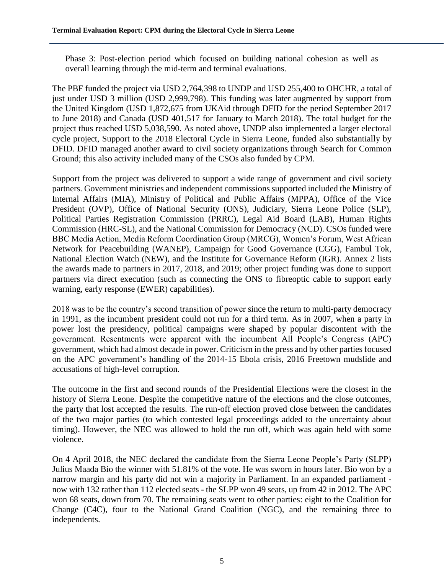Phase 3: Post-election period which focused on building national cohesion as well as overall learning through the mid-term and terminal evaluations.

The PBF funded the project via USD 2,764,398 to UNDP and USD 255,400 to OHCHR, a total of just under USD 3 million (USD 2,999,798). This funding was later augmented by support from the United Kingdom (USD 1,872,675 from UKAid through DFID for the period September 2017 to June 2018) and Canada (USD 401,517 for January to March 2018). The total budget for the project thus reached USD 5,038,590. As noted above, UNDP also implemented a larger electoral cycle project, Support to the 2018 Electoral Cycle in Sierra Leone, funded also substantially by DFID. DFID managed another award to civil society organizations through Search for Common Ground; this also activity included many of the CSOs also funded by CPM.

Support from the project was delivered to support a wide range of government and civil society partners. Government ministries and independent commissions supported included the Ministry of Internal Affairs (MIA), Ministry of Political and Public Affairs (MPPA), Office of the Vice President (OVP), Office of National Security (ONS), Judiciary, Sierra Leone Police (SLP), Political Parties Registration Commission (PRRC), Legal Aid Board (LAB), Human Rights Commission (HRC-SL), and the National Commission for Democracy (NCD). CSOs funded were BBC Media Action, Media Reform Coordination Group (MRCG), Women's Forum, West African Network for Peacebuilding (WANEP), Campaign for Good Governance (CGG), Fambul Tok, National Election Watch (NEW), and the Institute for Governance Reform (IGR). Annex 2 lists the awards made to partners in 2017, 2018, and 2019; other project funding was done to support partners via direct execution (such as connecting the ONS to fibreoptic cable to support early warning, early response (EWER) capabilities).

2018 was to be the country's second transition of power since the return to multi-party democracy in 1991, as the incumbent president could not run for a third term. As in 2007, when a party in power lost the presidency, political campaigns were shaped by popular discontent with the government. Resentments were apparent with the incumbent All People's Congress (APC) government, which had almost decade in power. Criticism in the press and by other parties focused on the APC government's handling of the 2014-15 Ebola crisis, 2016 Freetown mudslide and accusations of high-level corruption.

The outcome in the first and second rounds of the Presidential Elections were the closest in the history of Sierra Leone. Despite the competitive nature of the elections and the close outcomes, the party that lost accepted the results. The run-off election proved close between the candidates of the two major parties (to which contested legal proceedings added to the uncertainty about timing). However, the NEC was allowed to hold the run off, which was again held with some violence.

On 4 April 2018, the NEC declared the candidate from the Sierra Leone People's Party (SLPP) Julius Maada Bio the winner with 51.81% of the vote. He was sworn in hours later. Bio won by a narrow margin and his party did not win a majority in Parliament. In an expanded parliament now with 132 rather than 112 elected seats - the SLPP won 49 seats, up from 42 in 2012. The APC won 68 seats, down from 70. The remaining seats went to other parties: eight to the Coalition for Change (C4C), four to the National Grand Coalition (NGC), and the remaining three to independents.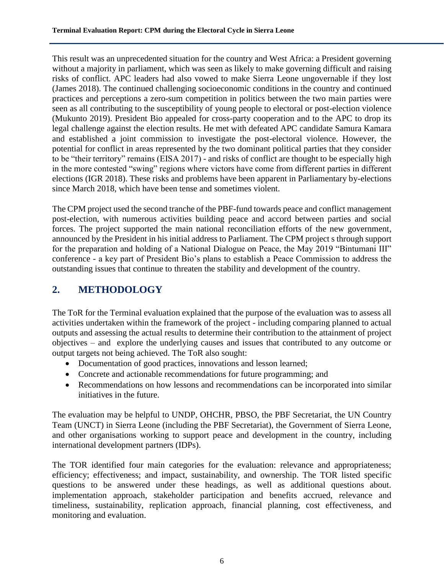This result was an unprecedented situation for the country and West Africa: a President governing without a majority in parliament, which was seen as likely to make governing difficult and raising risks of conflict. APC leaders had also vowed to make Sierra Leone ungovernable if they lost (James 2018). The continued challenging socioeconomic conditions in the country and continued practices and perceptions a zero-sum competition in politics between the two main parties were seen as all contributing to the susceptibility of young people to electoral or post-election violence (Mukunto 2019). President Bio appealed for cross-party cooperation and to the APC to drop its legal challenge against the election results. He met with defeated APC candidate Samura Kamara and established a joint commission to investigate the post-electoral violence. However, the potential for conflict in areas represented by the two dominant political parties that they consider to be "their territory" remains (EISA 2017) - and risks of conflict are thought to be especially high in the more contested "swing" regions where victors have come from different parties in different elections (IGR 2018). These risks and problems have been apparent in Parliamentary by-elections since March 2018, which have been tense and sometimes violent.

The CPM project used the second tranche of the PBF-fund towards peace and conflict management post-election, with numerous activities building peace and accord between parties and social forces. The project supported the main national reconciliation efforts of the new government, announced by the President in his initial address to Parliament. The CPM project s through support for the preparation and holding of a National Dialogue on Peace, the May 2019 "Bintumani III" conference - a key part of President Bio's plans to establish a Peace Commission to address the outstanding issues that continue to threaten the stability and development of the country.

# <span id="page-16-0"></span>**2. METHODOLOGY**

The ToR for the Terminal evaluation explained that the purpose of the evaluation was to assess all activities undertaken within the framework of the project - including comparing planned to actual outputs and assessing the actual results to determine their contribution to the attainment of project objectives – and explore the underlying causes and issues that contributed to any outcome or output targets not being achieved. The ToR also sought:

- Documentation of good practices, innovations and lesson learned;
- Concrete and actionable recommendations for future programming; and
- Recommendations on how lessons and recommendations can be incorporated into similar initiatives in the future.

The evaluation may be helpful to UNDP, OHCHR, PBSO, the PBF Secretariat, the UN Country Team (UNCT) in Sierra Leone (including the PBF Secretariat), the Government of Sierra Leone, and other organisations working to support peace and development in the country, including international development partners (IDPs).

The TOR identified four main categories for the evaluation: relevance and appropriateness; efficiency; effectiveness; and impact, sustainability, and ownership. The TOR listed specific questions to be answered under these headings, as well as additional questions about. implementation approach, stakeholder participation and benefits accrued, relevance and timeliness, sustainability, replication approach, financial planning, cost effectiveness, and monitoring and evaluation.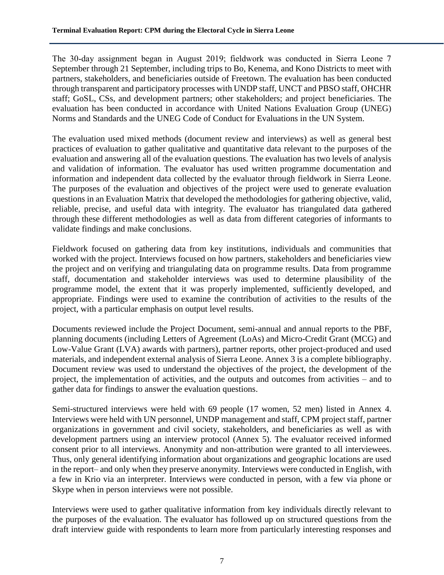The 30-day assignment began in August 2019; fieldwork was conducted in Sierra Leone 7 September through 21 September, including trips to Bo, Kenema, and Kono Districts to meet with partners, stakeholders, and beneficiaries outside of Freetown. The evaluation has been conducted through transparent and participatory processes with UNDP staff, UNCT and PBSO staff, OHCHR staff; GoSL, CSs, and development partners; other stakeholders; and project beneficiaries. The evaluation has been conducted in accordance with United Nations Evaluation Group (UNEG) Norms and Standards and the UNEG Code of Conduct for Evaluations in the UN System.

The evaluation used mixed methods (document review and interviews) as well as general best practices of evaluation to gather qualitative and quantitative data relevant to the purposes of the evaluation and answering all of the evaluation questions. The evaluation has two levels of analysis and validation of information. The evaluator has used written programme documentation and information and independent data collected by the evaluator through fieldwork in Sierra Leone. The purposes of the evaluation and objectives of the project were used to generate evaluation questions in an Evaluation Matrix that developed the methodologies for gathering objective, valid, reliable, precise, and useful data with integrity. The evaluator has triangulated data gathered through these different methodologies as well as data from different categories of informants to validate findings and make conclusions.

Fieldwork focused on gathering data from key institutions, individuals and communities that worked with the project. Interviews focused on how partners, stakeholders and beneficiaries view the project and on verifying and triangulating data on programme results. Data from programme staff, documentation and stakeholder interviews was used to determine plausibility of the programme model, the extent that it was properly implemented, sufficiently developed, and appropriate. Findings were used to examine the contribution of activities to the results of the project, with a particular emphasis on output level results.

Documents reviewed include the Project Document, semi-annual and annual reports to the PBF, planning documents (including Letters of Agreement (LoAs) and Micro-Credit Grant (MCG) and Low-Value Grant (LVA) awards with partners), partner reports, other project-produced and used materials, and independent external analysis of Sierra Leone. Annex 3 is a complete bibliography. Document review was used to understand the objectives of the project, the development of the project, the implementation of activities, and the outputs and outcomes from activities – and to gather data for findings to answer the evaluation questions.

Semi-structured interviews were held with 69 people (17 women, 52 men) listed in Annex 4. Interviews were held with UN personnel, UNDP management and staff, CPM project staff, partner organizations in government and civil society, stakeholders, and beneficiaries as well as with development partners using an interview protocol (Annex 5). The evaluator received informed consent prior to all interviews. Anonymity and non-attribution were granted to all interviewees. Thus, only general identifying information about organizations and geographic locations are used in the report– and only when they preserve anonymity. Interviews were conducted in English, with a few in Krio via an interpreter. Interviews were conducted in person, with a few via phone or Skype when in person interviews were not possible.

Interviews were used to gather qualitative information from key individuals directly relevant to the purposes of the evaluation. The evaluator has followed up on structured questions from the draft interview guide with respondents to learn more from particularly interesting responses and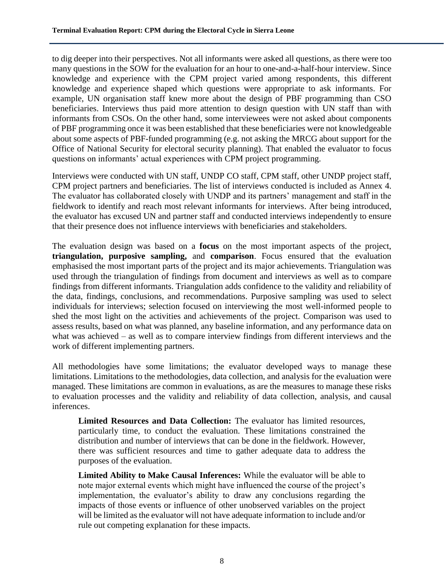to dig deeper into their perspectives. Not all informants were asked all questions, as there were too many questions in the SOW for the evaluation for an hour to one-and-a-half-hour interview. Since knowledge and experience with the CPM project varied among respondents, this different knowledge and experience shaped which questions were appropriate to ask informants. For example, UN organisation staff knew more about the design of PBF programming than CSO beneficiaries. Interviews thus paid more attention to design question with UN staff than with informants from CSOs. On the other hand, some interviewees were not asked about components of PBF programming once it was been established that these beneficiaries were not knowledgeable about some aspects of PBF-funded programming (e.g. not asking the MRCG about support for the Office of National Security for electoral security planning). That enabled the evaluator to focus questions on informants' actual experiences with CPM project programming.

Interviews were conducted with UN staff, UNDP CO staff, CPM staff, other UNDP project staff, CPM project partners and beneficiaries. The list of interviews conducted is included as Annex 4. The evaluator has collaborated closely with UNDP and its partners' management and staff in the fieldwork to identify and reach most relevant informants for interviews. After being introduced, the evaluator has excused UN and partner staff and conducted interviews independently to ensure that their presence does not influence interviews with beneficiaries and stakeholders.

The evaluation design was based on a **focus** on the most important aspects of the project, **triangulation, purposive sampling,** and **comparison**. Focus ensured that the evaluation emphasised the most important parts of the project and its major achievements. Triangulation was used through the triangulation of findings from document and interviews as well as to compare findings from different informants. Triangulation adds confidence to the validity and reliability of the data, findings, conclusions, and recommendations. Purposive sampling was used to select individuals for interviews; selection focused on interviewing the most well-informed people to shed the most light on the activities and achievements of the project. Comparison was used to assess results, based on what was planned, any baseline information, and any performance data on what was achieved – as well as to compare interview findings from different interviews and the work of different implementing partners.

All methodologies have some limitations; the evaluator developed ways to manage these limitations. Limitations to the methodologies, data collection, and analysis for the evaluation were managed. These limitations are common in evaluations, as are the measures to manage these risks to evaluation processes and the validity and reliability of data collection, analysis, and causal inferences.

**Limited Resources and Data Collection:** The evaluator has limited resources, particularly time, to conduct the evaluation. These limitations constrained the distribution and number of interviews that can be done in the fieldwork. However, there was sufficient resources and time to gather adequate data to address the purposes of the evaluation.

**Limited Ability to Make Causal Inferences:** While the evaluator will be able to note major external events which might have influenced the course of the project's implementation, the evaluator's ability to draw any conclusions regarding the impacts of those events or influence of other unobserved variables on the project will be limited as the evaluator will not have adequate information to include and/or rule out competing explanation for these impacts.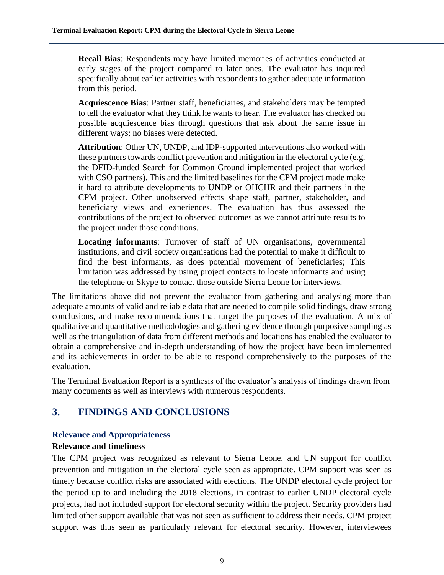**Recall Bias**: Respondents may have limited memories of activities conducted at early stages of the project compared to later ones. The evaluator has inquired specifically about earlier activities with respondents to gather adequate information from this period.

**Acquiescence Bias**: Partner staff, beneficiaries, and stakeholders may be tempted to tell the evaluator what they think he wants to hear. The evaluator has checked on possible acquiescence bias through questions that ask about the same issue in different ways; no biases were detected.

**Attribution**: Other UN, UNDP, and IDP-supported interventions also worked with these partners towards conflict prevention and mitigation in the electoral cycle (e.g. the DFID-funded Search for Common Ground implemented project that worked with CSO partners). This and the limited baselines for the CPM project made make it hard to attribute developments to UNDP or OHCHR and their partners in the CPM project. Other unobserved effects shape staff, partner, stakeholder, and beneficiary views and experiences. The evaluation has thus assessed the contributions of the project to observed outcomes as we cannot attribute results to the project under those conditions.

**Locating informants**: Turnover of staff of UN organisations, governmental institutions, and civil society organisations had the potential to make it difficult to find the best informants, as does potential movement of beneficiaries; This limitation was addressed by using project contacts to locate informants and using the telephone or Skype to contact those outside Sierra Leone for interviews.

The limitations above did not prevent the evaluator from gathering and analysing more than adequate amounts of valid and reliable data that are needed to compile solid findings, draw strong conclusions, and make recommendations that target the purposes of the evaluation. A mix of qualitative and quantitative methodologies and gathering evidence through purposive sampling as well as the triangulation of data from different methods and locations has enabled the evaluator to obtain a comprehensive and in-depth understanding of how the project have been implemented and its achievements in order to be able to respond comprehensively to the purposes of the evaluation.

The Terminal Evaluation Report is a synthesis of the evaluator's analysis of findings drawn from many documents as well as interviews with numerous respondents.

# <span id="page-19-0"></span>**3. FINDINGS AND CONCLUSIONS**

#### **Relevance and Appropriateness**

#### **Relevance and timeliness**

The CPM project was recognized as relevant to Sierra Leone, and UN support for conflict prevention and mitigation in the electoral cycle seen as appropriate. CPM support was seen as timely because conflict risks are associated with elections. The UNDP electoral cycle project for the period up to and including the 2018 elections, in contrast to earlier UNDP electoral cycle projects, had not included support for electoral security within the project. Security providers had limited other support available that was not seen as sufficient to address their needs. CPM project support was thus seen as particularly relevant for electoral security. However, interviewees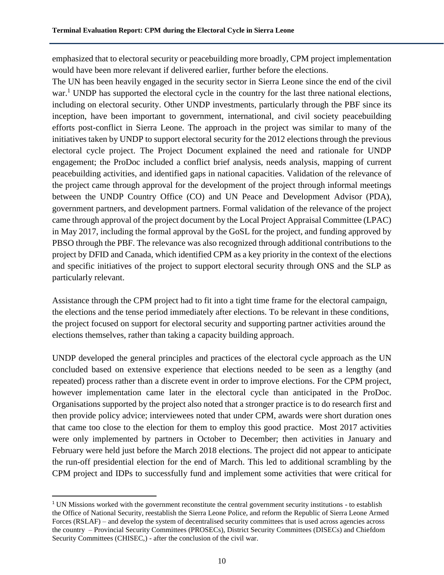emphasized that to electoral security or peacebuilding more broadly, CPM project implementation would have been more relevant if delivered earlier, further before the elections.

The UN has been heavily engaged in the security sector in Sierra Leone since the end of the civil war.<sup>1</sup> UNDP has supported the electoral cycle in the country for the last three national elections, including on electoral security. Other UNDP investments, particularly through the PBF since its inception, have been important to government, international, and civil society peacebuilding efforts post-conflict in Sierra Leone. The approach in the project was similar to many of the initiatives taken by UNDP to support electoral security for the 2012 elections through the previous electoral cycle project. The Project Document explained the need and rationale for UNDP engagement; the ProDoc included a conflict brief analysis, needs analysis, mapping of current peacebuilding activities, and identified gaps in national capacities. Validation of the relevance of the project came through approval for the development of the project through informal meetings between the UNDP Country Office (CO) and UN Peace and Development Advisor (PDA), government partners, and development partners. Formal validation of the relevance of the project came through approval of the project document by the Local Project Appraisal Committee (LPAC) in May 2017, including the formal approval by the GoSL for the project, and funding approved by PBSO through the PBF. The relevance was also recognized through additional contributions to the project by DFID and Canada, which identified CPM as a key priority in the context of the elections and specific initiatives of the project to support electoral security through ONS and the SLP as particularly relevant.

Assistance through the CPM project had to fit into a tight time frame for the electoral campaign, the elections and the tense period immediately after elections. To be relevant in these conditions, the project focused on support for electoral security and supporting partner activities around the elections themselves, rather than taking a capacity building approach.

UNDP developed the general principles and practices of the electoral cycle approach as the UN concluded based on extensive experience that elections needed to be seen as a lengthy (and repeated) process rather than a discrete event in order to improve elections. For the CPM project, however implementation came later in the electoral cycle than anticipated in the ProDoc. Organisations supported by the project also noted that a stronger practice is to do research first and then provide policy advice; interviewees noted that under CPM, awards were short duration ones that came too close to the election for them to employ this good practice. Most 2017 activities were only implemented by partners in October to December; then activities in January and February were held just before the March 2018 elections. The project did not appear to anticipate the run-off presidential election for the end of March. This led to additional scrambling by the CPM project and IDPs to successfully fund and implement some activities that were critical for

 $\overline{\phantom{a}}$ 

<sup>&</sup>lt;sup>1</sup> UN Missions worked with the government reconstitute the central government security institutions - to establish the Office of National Security, reestablish the Sierra Leone Police, and reform the Republic of Sierra Leone Armed Forces (RSLAF) – and develop the system of decentralised security committees that is used across agencies across the country – Provincial Security Committees (PROSECs), District Security Committees (DISECs) and Chiefdom Security Committees (CHISEC,) - after the conclusion of the civil war.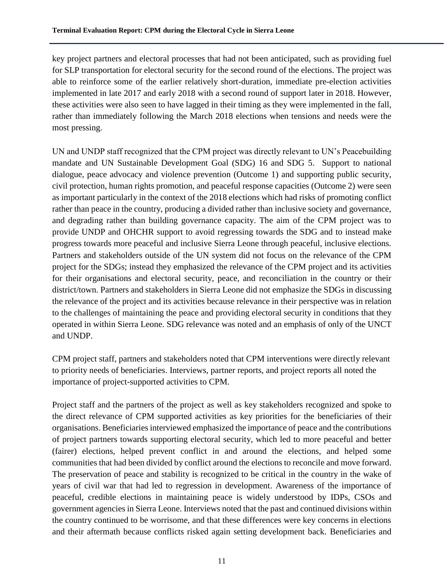key project partners and electoral processes that had not been anticipated, such as providing fuel for SLP transportation for electoral security for the second round of the elections. The project was able to reinforce some of the earlier relatively short-duration, immediate pre-election activities implemented in late 2017 and early 2018 with a second round of support later in 2018. However, these activities were also seen to have lagged in their timing as they were implemented in the fall, rather than immediately following the March 2018 elections when tensions and needs were the most pressing.

UN and UNDP staff recognized that the CPM project was directly relevant to UN's Peacebuilding mandate and UN Sustainable Development Goal (SDG) 16 and SDG 5. Support to national dialogue, peace advocacy and violence prevention (Outcome 1) and supporting public security, civil protection, human rights promotion, and peaceful response capacities (Outcome 2) were seen as important particularly in the context of the 2018 elections which had risks of promoting conflict rather than peace in the country, producing a divided rather than inclusive society and governance, and degrading rather than building governance capacity. The aim of the CPM project was to provide UNDP and OHCHR support to avoid regressing towards the SDG and to instead make progress towards more peaceful and inclusive Sierra Leone through peaceful, inclusive elections. Partners and stakeholders outside of the UN system did not focus on the relevance of the CPM project for the SDGs; instead they emphasized the relevance of the CPM project and its activities for their organisations and electoral security, peace, and reconciliation in the country or their district/town. Partners and stakeholders in Sierra Leone did not emphasize the SDGs in discussing the relevance of the project and its activities because relevance in their perspective was in relation to the challenges of maintaining the peace and providing electoral security in conditions that they operated in within Sierra Leone. SDG relevance was noted and an emphasis of only of the UNCT and UNDP.

CPM project staff, partners and stakeholders noted that CPM interventions were directly relevant to priority needs of beneficiaries. Interviews, partner reports, and project reports all noted the importance of project-supported activities to CPM.

Project staff and the partners of the project as well as key stakeholders recognized and spoke to the direct relevance of CPM supported activities as key priorities for the beneficiaries of their organisations. Beneficiaries interviewed emphasized the importance of peace and the contributions of project partners towards supporting electoral security, which led to more peaceful and better (fairer) elections, helped prevent conflict in and around the elections, and helped some communities that had been divided by conflict around the elections to reconcile and move forward. The preservation of peace and stability is recognized to be critical in the country in the wake of years of civil war that had led to regression in development. Awareness of the importance of peaceful, credible elections in maintaining peace is widely understood by IDPs, CSOs and government agencies in Sierra Leone. Interviews noted that the past and continued divisions within the country continued to be worrisome, and that these differences were key concerns in elections and their aftermath because conflicts risked again setting development back. Beneficiaries and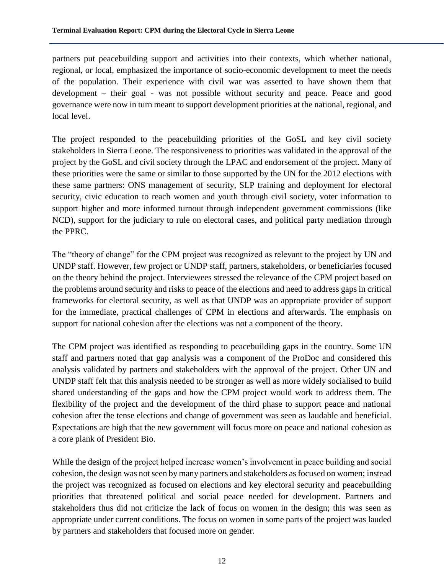partners put peacebuilding support and activities into their contexts, which whether national, regional, or local, emphasized the importance of socio-economic development to meet the needs of the population. Their experience with civil war was asserted to have shown them that development – their goal - was not possible without security and peace. Peace and good governance were now in turn meant to support development priorities at the national, regional, and local level.

The project responded to the peacebuilding priorities of the GoSL and key civil society stakeholders in Sierra Leone. The responsiveness to priorities was validated in the approval of the project by the GoSL and civil society through the LPAC and endorsement of the project. Many of these priorities were the same or similar to those supported by the UN for the 2012 elections with these same partners: ONS management of security, SLP training and deployment for electoral security, civic education to reach women and youth through civil society, voter information to support higher and more informed turnout through independent government commissions (like NCD), support for the judiciary to rule on electoral cases, and political party mediation through the PPRC.

The "theory of change" for the CPM project was recognized as relevant to the project by UN and UNDP staff. However, few project or UNDP staff, partners, stakeholders, or beneficiaries focused on the theory behind the project. Interviewees stressed the relevance of the CPM project based on the problems around security and risks to peace of the elections and need to address gaps in critical frameworks for electoral security, as well as that UNDP was an appropriate provider of support for the immediate, practical challenges of CPM in elections and afterwards. The emphasis on support for national cohesion after the elections was not a component of the theory.

The CPM project was identified as responding to peacebuilding gaps in the country. Some UN staff and partners noted that gap analysis was a component of the ProDoc and considered this analysis validated by partners and stakeholders with the approval of the project. Other UN and UNDP staff felt that this analysis needed to be stronger as well as more widely socialised to build shared understanding of the gaps and how the CPM project would work to address them. The flexibility of the project and the development of the third phase to support peace and national cohesion after the tense elections and change of government was seen as laudable and beneficial. Expectations are high that the new government will focus more on peace and national cohesion as a core plank of President Bio.

While the design of the project helped increase women's involvement in peace building and social cohesion, the design was not seen by many partners and stakeholders as focused on women; instead the project was recognized as focused on elections and key electoral security and peacebuilding priorities that threatened political and social peace needed for development. Partners and stakeholders thus did not criticize the lack of focus on women in the design; this was seen as appropriate under current conditions. The focus on women in some parts of the project was lauded by partners and stakeholders that focused more on gender.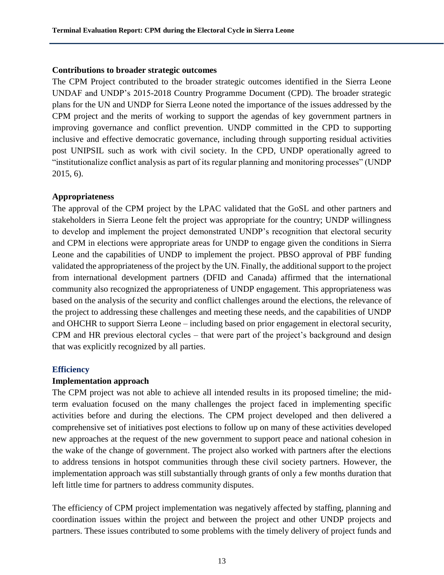#### **Contributions to broader strategic outcomes**

The CPM Project contributed to the broader strategic outcomes identified in the Sierra Leone UNDAF and UNDP's 2015-2018 Country Programme Document (CPD). The broader strategic plans for the UN and UNDP for Sierra Leone noted the importance of the issues addressed by the CPM project and the merits of working to support the agendas of key government partners in improving governance and conflict prevention. UNDP committed in the CPD to supporting inclusive and effective democratic governance, including through supporting residual activities post UNIPSIL such as work with civil society. In the CPD, UNDP operationally agreed to "institutionalize conflict analysis as part of its regular planning and monitoring processes" (UNDP 2015, 6).

#### **Appropriateness**

The approval of the CPM project by the LPAC validated that the GoSL and other partners and stakeholders in Sierra Leone felt the project was appropriate for the country; UNDP willingness to develop and implement the project demonstrated UNDP's recognition that electoral security and CPM in elections were appropriate areas for UNDP to engage given the conditions in Sierra Leone and the capabilities of UNDP to implement the project. PBSO approval of PBF funding validated the appropriateness of the project by the UN. Finally, the additional support to the project from international development partners (DFID and Canada) affirmed that the international community also recognized the appropriateness of UNDP engagement. This appropriateness was based on the analysis of the security and conflict challenges around the elections, the relevance of the project to addressing these challenges and meeting these needs, and the capabilities of UNDP and OHCHR to support Sierra Leone – including based on prior engagement in electoral security, CPM and HR previous electoral cycles – that were part of the project's background and design that was explicitly recognized by all parties.

# **Efficiency**

# **Implementation approach**

The CPM project was not able to achieve all intended results in its proposed timeline; the midterm evaluation focused on the many challenges the project faced in implementing specific activities before and during the elections. The CPM project developed and then delivered a comprehensive set of initiatives post elections to follow up on many of these activities developed new approaches at the request of the new government to support peace and national cohesion in the wake of the change of government. The project also worked with partners after the elections to address tensions in hotspot communities through these civil society partners. However, the implementation approach was still substantially through grants of only a few months duration that left little time for partners to address community disputes.

The efficiency of CPM project implementation was negatively affected by staffing, planning and coordination issues within the project and between the project and other UNDP projects and partners. These issues contributed to some problems with the timely delivery of project funds and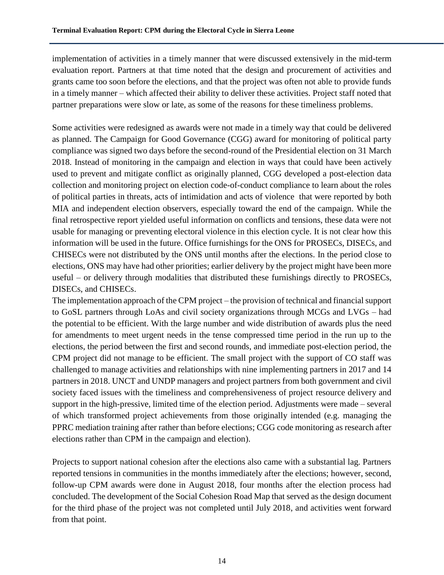implementation of activities in a timely manner that were discussed extensively in the mid-term evaluation report. Partners at that time noted that the design and procurement of activities and grants came too soon before the elections, and that the project was often not able to provide funds in a timely manner – which affected their ability to deliver these activities. Project staff noted that partner preparations were slow or late, as some of the reasons for these timeliness problems.

Some activities were redesigned as awards were not made in a timely way that could be delivered as planned. The Campaign for Good Governance (CGG) award for monitoring of political party compliance was signed two days before the second-round of the Presidential election on 31 March 2018. Instead of monitoring in the campaign and election in ways that could have been actively used to prevent and mitigate conflict as originally planned, CGG developed a post-election data collection and monitoring project on election code-of-conduct compliance to learn about the roles of political parties in threats, acts of intimidation and acts of violence that were reported by both MIA and independent election observers, especially toward the end of the campaign. While the final retrospective report yielded useful information on conflicts and tensions, these data were not usable for managing or preventing electoral violence in this election cycle. It is not clear how this information will be used in the future. Office furnishings for the ONS for PROSECs, DISECs, and CHISECs were not distributed by the ONS until months after the elections. In the period close to elections, ONS may have had other priorities; earlier delivery by the project might have been more useful – or delivery through modalities that distributed these furnishings directly to PROSECs, DISECs, and CHISECs.

The implementation approach of the CPM project – the provision of technical and financial support to GoSL partners through LoAs and civil society organizations through MCGs and LVGs – had the potential to be efficient. With the large number and wide distribution of awards plus the need for amendments to meet urgent needs in the tense compressed time period in the run up to the elections, the period between the first and second rounds, and immediate post-election period, the CPM project did not manage to be efficient. The small project with the support of CO staff was challenged to manage activities and relationships with nine implementing partners in 2017 and 14 partners in 2018. UNCT and UNDP managers and project partners from both government and civil society faced issues with the timeliness and comprehensiveness of project resource delivery and support in the high-pressive, limited time of the election period. Adjustments were made – several of which transformed project achievements from those originally intended (e.g. managing the PPRC mediation training after rather than before elections; CGG code monitoring as research after elections rather than CPM in the campaign and election).

Projects to support national cohesion after the elections also came with a substantial lag. Partners reported tensions in communities in the months immediately after the elections; however, second, follow-up CPM awards were done in August 2018, four months after the election process had concluded. The development of the Social Cohesion Road Map that served as the design document for the third phase of the project was not completed until July 2018, and activities went forward from that point.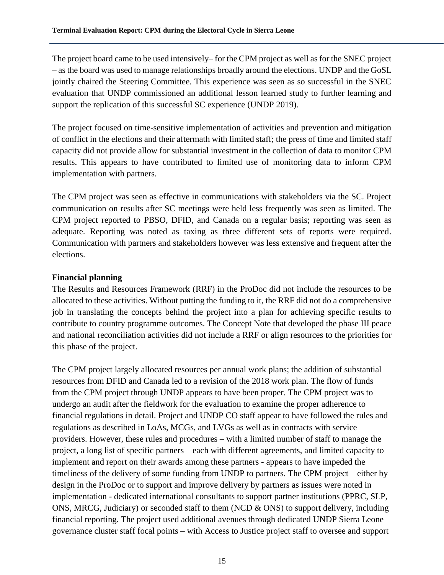The project board came to be used intensively– for the CPM project as well as for the SNEC project – as the board was used to manage relationships broadly around the elections. UNDP and the GoSL jointly chaired the Steering Committee. This experience was seen as so successful in the SNEC evaluation that UNDP commissioned an additional lesson learned study to further learning and support the replication of this successful SC experience (UNDP 2019).

The project focused on time-sensitive implementation of activities and prevention and mitigation of conflict in the elections and their aftermath with limited staff; the press of time and limited staff capacity did not provide allow for substantial investment in the collection of data to monitor CPM results. This appears to have contributed to limited use of monitoring data to inform CPM implementation with partners.

The CPM project was seen as effective in communications with stakeholders via the SC. Project communication on results after SC meetings were held less frequently was seen as limited. The CPM project reported to PBSO, DFID, and Canada on a regular basis; reporting was seen as adequate. Reporting was noted as taxing as three different sets of reports were required. Communication with partners and stakeholders however was less extensive and frequent after the elections.

#### **Financial planning**

The Results and Resources Framework (RRF) in the ProDoc did not include the resources to be allocated to these activities. Without putting the funding to it, the RRF did not do a comprehensive job in translating the concepts behind the project into a plan for achieving specific results to contribute to country programme outcomes. The Concept Note that developed the phase III peace and national reconciliation activities did not include a RRF or align resources to the priorities for this phase of the project.

The CPM project largely allocated resources per annual work plans; the addition of substantial resources from DFID and Canada led to a revision of the 2018 work plan. The flow of funds from the CPM project through UNDP appears to have been proper. The CPM project was to undergo an audit after the fieldwork for the evaluation to examine the proper adherence to financial regulations in detail. Project and UNDP CO staff appear to have followed the rules and regulations as described in LoAs, MCGs, and LVGs as well as in contracts with service providers. However, these rules and procedures – with a limited number of staff to manage the project, a long list of specific partners – each with different agreements, and limited capacity to implement and report on their awards among these partners - appears to have impeded the timeliness of the delivery of some funding from UNDP to partners. The CPM project – either by design in the ProDoc or to support and improve delivery by partners as issues were noted in implementation - dedicated international consultants to support partner institutions (PPRC, SLP, ONS, MRCG, Judiciary) or seconded staff to them (NCD & ONS) to support delivery, including financial reporting. The project used additional avenues through dedicated UNDP Sierra Leone governance cluster staff focal points – with Access to Justice project staff to oversee and support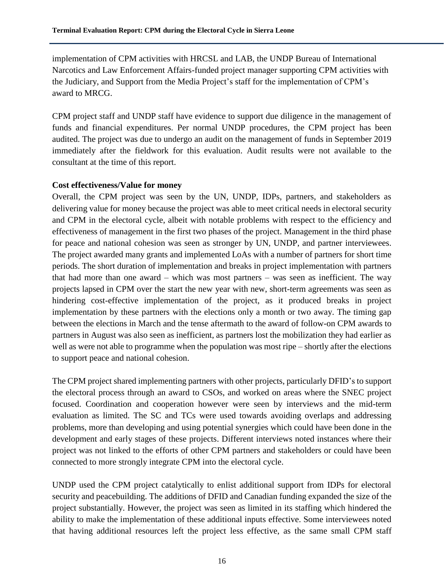implementation of CPM activities with HRCSL and LAB, the UNDP Bureau of International Narcotics and Law Enforcement Affairs-funded project manager supporting CPM activities with the Judiciary, and Support from the Media Project's staff for the implementation of CPM's award to MRCG.

CPM project staff and UNDP staff have evidence to support due diligence in the management of funds and financial expenditures. Per normal UNDP procedures, the CPM project has been audited. The project was due to undergo an audit on the management of funds in September 2019 immediately after the fieldwork for this evaluation. Audit results were not available to the consultant at the time of this report.

#### **Cost effectiveness/Value for money**

Overall, the CPM project was seen by the UN, UNDP, IDPs, partners, and stakeholders as delivering value for money because the project was able to meet critical needs in electoral security and CPM in the electoral cycle, albeit with notable problems with respect to the efficiency and effectiveness of management in the first two phases of the project. Management in the third phase for peace and national cohesion was seen as stronger by UN, UNDP, and partner interviewees. The project awarded many grants and implemented LoAs with a number of partners for short time periods. The short duration of implementation and breaks in project implementation with partners that had more than one award – which was most partners – was seen as inefficient. The way projects lapsed in CPM over the start the new year with new, short-term agreements was seen as hindering cost-effective implementation of the project, as it produced breaks in project implementation by these partners with the elections only a month or two away. The timing gap between the elections in March and the tense aftermath to the award of follow-on CPM awards to partners in August was also seen as inefficient, as partners lost the mobilization they had earlier as well as were not able to programme when the population was most ripe – shortly after the elections to support peace and national cohesion.

The CPM project shared implementing partners with other projects, particularly DFID's to support the electoral process through an award to CSOs, and worked on areas where the SNEC project focused. Coordination and cooperation however were seen by interviews and the mid-term evaluation as limited. The SC and TCs were used towards avoiding overlaps and addressing problems, more than developing and using potential synergies which could have been done in the development and early stages of these projects. Different interviews noted instances where their project was not linked to the efforts of other CPM partners and stakeholders or could have been connected to more strongly integrate CPM into the electoral cycle.

UNDP used the CPM project catalytically to enlist additional support from IDPs for electoral security and peacebuilding. The additions of DFID and Canadian funding expanded the size of the project substantially. However, the project was seen as limited in its staffing which hindered the ability to make the implementation of these additional inputs effective. Some interviewees noted that having additional resources left the project less effective, as the same small CPM staff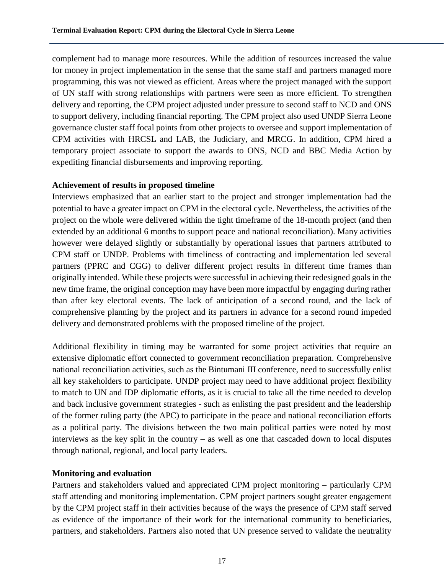complement had to manage more resources. While the addition of resources increased the value for money in project implementation in the sense that the same staff and partners managed more programming, this was not viewed as efficient. Areas where the project managed with the support of UN staff with strong relationships with partners were seen as more efficient. To strengthen delivery and reporting, the CPM project adjusted under pressure to second staff to NCD and ONS to support delivery, including financial reporting. The CPM project also used UNDP Sierra Leone governance cluster staff focal points from other projects to oversee and support implementation of CPM activities with HRCSL and LAB, the Judiciary, and MRCG. In addition, CPM hired a temporary project associate to support the awards to ONS, NCD and BBC Media Action by expediting financial disbursements and improving reporting.

#### **Achievement of results in proposed timeline**

Interviews emphasized that an earlier start to the project and stronger implementation had the potential to have a greater impact on CPM in the electoral cycle. Nevertheless, the activities of the project on the whole were delivered within the tight timeframe of the 18-month project (and then extended by an additional 6 months to support peace and national reconciliation). Many activities however were delayed slightly or substantially by operational issues that partners attributed to CPM staff or UNDP. Problems with timeliness of contracting and implementation led several partners (PPRC and CGG) to deliver different project results in different time frames than originally intended. While these projects were successful in achieving their redesigned goals in the new time frame, the original conception may have been more impactful by engaging during rather than after key electoral events. The lack of anticipation of a second round, and the lack of comprehensive planning by the project and its partners in advance for a second round impeded delivery and demonstrated problems with the proposed timeline of the project.

Additional flexibility in timing may be warranted for some project activities that require an extensive diplomatic effort connected to government reconciliation preparation. Comprehensive national reconciliation activities, such as the Bintumani III conference, need to successfully enlist all key stakeholders to participate. UNDP project may need to have additional project flexibility to match to UN and IDP diplomatic efforts, as it is crucial to take all the time needed to develop and back inclusive government strategies - such as enlisting the past president and the leadership of the former ruling party (the APC) to participate in the peace and national reconciliation efforts as a political party. The divisions between the two main political parties were noted by most interviews as the key split in the country – as well as one that cascaded down to local disputes through national, regional, and local party leaders.

# **Monitoring and evaluation**

Partners and stakeholders valued and appreciated CPM project monitoring – particularly CPM staff attending and monitoring implementation. CPM project partners sought greater engagement by the CPM project staff in their activities because of the ways the presence of CPM staff served as evidence of the importance of their work for the international community to beneficiaries, partners, and stakeholders. Partners also noted that UN presence served to validate the neutrality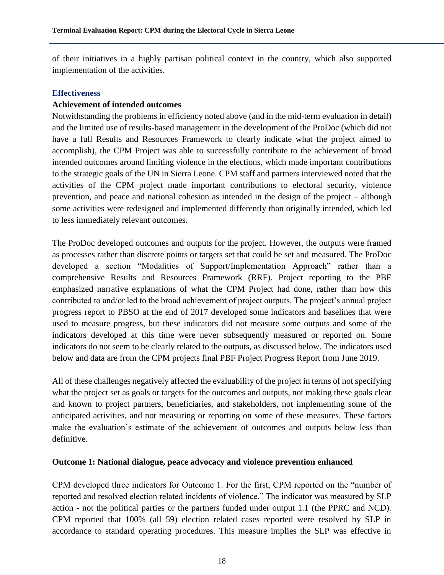of their initiatives in a highly partisan political context in the country, which also supported implementation of the activities.

#### **Effectiveness**

#### **Achievement of intended outcomes**

Notwithstanding the problems in efficiency noted above (and in the mid-term evaluation in detail) and the limited use of results-based management in the development of the ProDoc (which did not have a full Results and Resources Framework to clearly indicate what the project aimed to accomplish), the CPM Project was able to successfully contribute to the achievement of broad intended outcomes around limiting violence in the elections, which made important contributions to the strategic goals of the UN in Sierra Leone. CPM staff and partners interviewed noted that the activities of the CPM project made important contributions to electoral security, violence prevention, and peace and national cohesion as intended in the design of the project – although some activities were redesigned and implemented differently than originally intended, which led to less immediately relevant outcomes.

The ProDoc developed outcomes and outputs for the project. However, the outputs were framed as processes rather than discrete points or targets set that could be set and measured. The ProDoc developed a section "Modalities of Support/Implementation Approach" rather than a comprehensive Results and Resources Framework (RRF). Project reporting to the PBF emphasized narrative explanations of what the CPM Project had done, rather than how this contributed to and/or led to the broad achievement of project outputs. The project's annual project progress report to PBSO at the end of 2017 developed some indicators and baselines that were used to measure progress, but these indicators did not measure some outputs and some of the indicators developed at this time were never subsequently measured or reported on. Some indicators do not seem to be clearly related to the outputs, as discussed below. The indicators used below and data are from the CPM projects final PBF Project Progress Report from June 2019.

All of these challenges negatively affected the evaluability of the project in terms of not specifying what the project set as goals or targets for the outcomes and outputs, not making these goals clear and known to project partners, beneficiaries, and stakeholders, not implementing some of the anticipated activities, and not measuring or reporting on some of these measures. These factors make the evaluation's estimate of the achievement of outcomes and outputs below less than definitive.

#### **Outcome 1: National dialogue, peace advocacy and violence prevention enhanced**

CPM developed three indicators for Outcome 1. For the first, CPM reported on the "number of reported and resolved election related incidents of violence." The indicator was measured by SLP action - not the political parties or the partners funded under output 1.1 (the PPRC and NCD). CPM reported that 100% (all 59) election related cases reported were resolved by SLP in accordance to standard operating procedures. This measure implies the SLP was effective in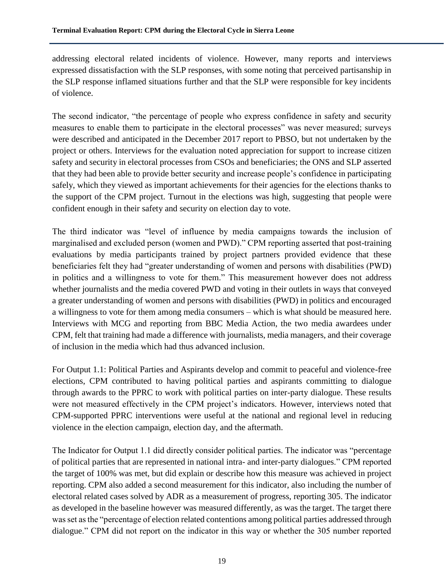addressing electoral related incidents of violence. However, many reports and interviews expressed dissatisfaction with the SLP responses, with some noting that perceived partisanship in the SLP response inflamed situations further and that the SLP were responsible for key incidents of violence.

The second indicator, "the percentage of people who express confidence in safety and security measures to enable them to participate in the electoral processes" was never measured; surveys were described and anticipated in the December 2017 report to PBSO, but not undertaken by the project or others. Interviews for the evaluation noted appreciation for support to increase citizen safety and security in electoral processes from CSOs and beneficiaries; the ONS and SLP asserted that they had been able to provide better security and increase people's confidence in participating safely, which they viewed as important achievements for their agencies for the elections thanks to the support of the CPM project. Turnout in the elections was high, suggesting that people were confident enough in their safety and security on election day to vote.

The third indicator was "level of influence by media campaigns towards the inclusion of marginalised and excluded person (women and PWD)." CPM reporting asserted that post-training evaluations by media participants trained by project partners provided evidence that these beneficiaries felt they had "greater understanding of women and persons with disabilities (PWD) in politics and a willingness to vote for them." This measurement however does not address whether journalists and the media covered PWD and voting in their outlets in ways that conveyed a greater understanding of women and persons with disabilities (PWD) in politics and encouraged a willingness to vote for them among media consumers – which is what should be measured here. Interviews with MCG and reporting from BBC Media Action, the two media awardees under CPM, felt that training had made a difference with journalists, media managers, and their coverage of inclusion in the media which had thus advanced inclusion.

For Output 1.1: Political Parties and Aspirants develop and commit to peaceful and violence-free elections, CPM contributed to having political parties and aspirants committing to dialogue through awards to the PPRC to work with political parties on inter-party dialogue. These results were not measured effectively in the CPM project's indicators. However, interviews noted that CPM-supported PPRC interventions were useful at the national and regional level in reducing violence in the election campaign, election day, and the aftermath.

The Indicator for Output 1.1 did directly consider political parties. The indicator was "percentage of political parties that are represented in national intra- and inter-party dialogues." CPM reported the target of 100% was met, but did explain or describe how this measure was achieved in project reporting. CPM also added a second measurement for this indicator, also including the number of electoral related cases solved by ADR as a measurement of progress, reporting 305. The indicator as developed in the baseline however was measured differently, as was the target. The target there was set as the "percentage of election related contentions among political parties addressed through dialogue." CPM did not report on the indicator in this way or whether the 305 number reported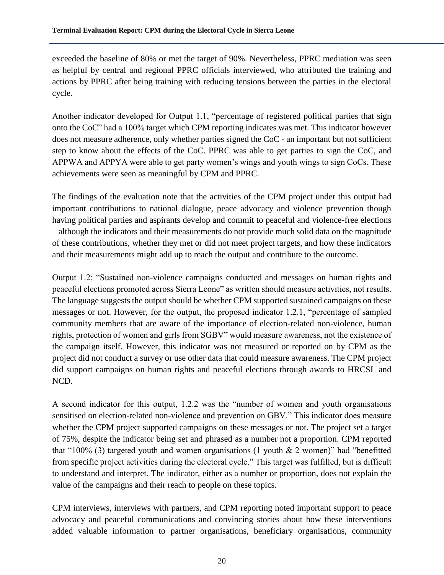exceeded the baseline of 80% or met the target of 90%. Nevertheless, PPRC mediation was seen as helpful by central and regional PPRC officials interviewed, who attributed the training and actions by PPRC after being training with reducing tensions between the parties in the electoral cycle.

Another indicator developed for Output 1.1, "percentage of registered political parties that sign onto the CoC" had a 100% target which CPM reporting indicates was met. This indicator however does not measure adherence, only whether parties signed the CoC - an important but not sufficient step to know about the effects of the CoC. PPRC was able to get parties to sign the CoC, and APPWA and APPYA were able to get party women's wings and youth wings to sign CoCs. These achievements were seen as meaningful by CPM and PPRC.

The findings of the evaluation note that the activities of the CPM project under this output had important contributions to national dialogue, peace advocacy and violence prevention though having political parties and aspirants develop and commit to peaceful and violence-free elections – although the indicators and their measurements do not provide much solid data on the magnitude of these contributions, whether they met or did not meet project targets, and how these indicators and their measurements might add up to reach the output and contribute to the outcome.

Output 1.2: "Sustained non-violence campaigns conducted and messages on human rights and peaceful elections promoted across Sierra Leone" as written should measure activities, not results. The language suggests the output should be whether CPM supported sustained campaigns on these messages or not. However, for the output, the proposed indicator 1.2.1, "percentage of sampled community members that are aware of the importance of election-related non-violence, human rights, protection of women and girls from SGBV" would measure awareness, not the existence of the campaign itself. However, this indicator was not measured or reported on by CPM as the project did not conduct a survey or use other data that could measure awareness. The CPM project did support campaigns on human rights and peaceful elections through awards to HRCSL and NCD.

A second indicator for this output, 1.2.2 was the "number of women and youth organisations sensitised on election-related non-violence and prevention on GBV." This indicator does measure whether the CPM project supported campaigns on these messages or not. The project set a target of 75%, despite the indicator being set and phrased as a number not a proportion. CPM reported that "100% (3) targeted youth and women organisations (1 youth  $& 2$  women)" had "benefitted from specific project activities during the electoral cycle." This target was fulfilled, but is difficult to understand and interpret. The indicator, either as a number or proportion, does not explain the value of the campaigns and their reach to people on these topics.

CPM interviews, interviews with partners, and CPM reporting noted important support to peace advocacy and peaceful communications and convincing stories about how these interventions added valuable information to partner organisations, beneficiary organisations, community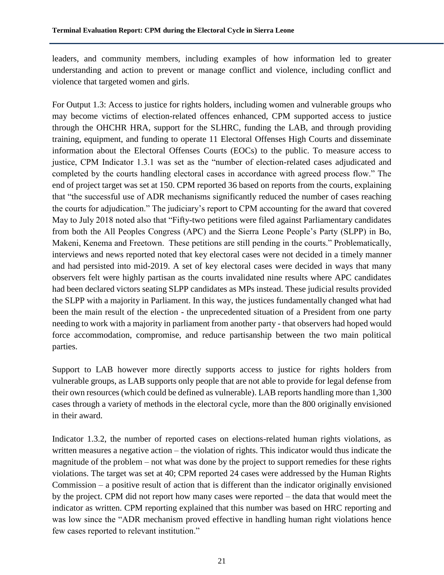leaders, and community members, including examples of how information led to greater understanding and action to prevent or manage conflict and violence, including conflict and violence that targeted women and girls.

For Output 1.3: Access to justice for rights holders, including women and vulnerable groups who may become victims of election-related offences enhanced, CPM supported access to justice through the OHCHR HRA, support for the SLHRC, funding the LAB, and through providing training, equipment, and funding to operate 11 Electoral Offenses High Courts and disseminate information about the Electoral Offenses Courts (EOCs) to the public. To measure access to justice, CPM Indicator 1.3.1 was set as the "number of election-related cases adjudicated and completed by the courts handling electoral cases in accordance with agreed process flow." The end of project target was set at 150. CPM reported 36 based on reports from the courts, explaining that "the successful use of ADR mechanisms significantly reduced the number of cases reaching the courts for adjudication." The judiciary's report to CPM accounting for the award that covered May to July 2018 noted also that "Fifty-two petitions were filed against Parliamentary candidates from both the All Peoples Congress (APC) and the Sierra Leone People's Party (SLPP) in Bo, Makeni, Kenema and Freetown. These petitions are still pending in the courts." Problematically, interviews and news reported noted that key electoral cases were not decided in a timely manner and had persisted into mid-2019. A set of key electoral cases were decided in ways that many observers felt were highly partisan as the courts invalidated nine results where APC candidates had been declared victors seating SLPP candidates as MPs instead. These judicial results provided the SLPP with a majority in Parliament. In this way, the justices fundamentally changed what had been the main result of the election - the unprecedented situation of a President from one party needing to work with a majority in parliament from another party - that observers had hoped would force accommodation, compromise, and reduce partisanship between the two main political parties.

Support to LAB however more directly supports access to justice for rights holders from vulnerable groups, as LAB supports only people that are not able to provide for legal defense from their own resources (which could be defined as vulnerable). LAB reports handling more than 1,300 cases through a variety of methods in the electoral cycle, more than the 800 originally envisioned in their award.

Indicator 1.3.2, the number of reported cases on elections-related human rights violations, as written measures a negative action – the violation of rights. This indicator would thus indicate the magnitude of the problem – not what was done by the project to support remedies for these rights violations. The target was set at 40; CPM reported 24 cases were addressed by the Human Rights Commission – a positive result of action that is different than the indicator originally envisioned by the project. CPM did not report how many cases were reported – the data that would meet the indicator as written. CPM reporting explained that this number was based on HRC reporting and was low since the "ADR mechanism proved effective in handling human right violations hence few cases reported to relevant institution."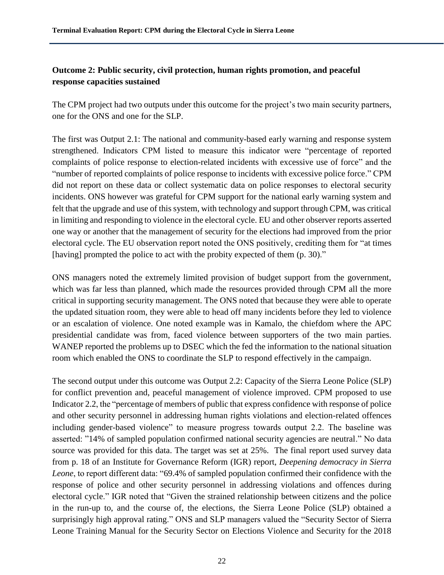# **Outcome 2: Public security, civil protection, human rights promotion, and peaceful response capacities sustained**

The CPM project had two outputs under this outcome for the project's two main security partners, one for the ONS and one for the SLP.

The first was Output 2.1: The national and community-based early warning and response system strengthened. Indicators CPM listed to measure this indicator were "percentage of reported complaints of police response to election-related incidents with excessive use of force" and the "number of reported complaints of police response to incidents with excessive police force." CPM did not report on these data or collect systematic data on police responses to electoral security incidents. ONS however was grateful for CPM support for the national early warning system and felt that the upgrade and use of this system, with technology and support through CPM, was critical in limiting and responding to violence in the electoral cycle. EU and other observer reports asserted one way or another that the management of security for the elections had improved from the prior electoral cycle. The EU observation report noted the ONS positively, crediting them for "at times [having] prompted the police to act with the probity expected of them (p. 30)."

ONS managers noted the extremely limited provision of budget support from the government, which was far less than planned, which made the resources provided through CPM all the more critical in supporting security management. The ONS noted that because they were able to operate the updated situation room, they were able to head off many incidents before they led to violence or an escalation of violence. One noted example was in Kamalo, the chiefdom where the APC presidential candidate was from, faced violence between supporters of the two main parties. WANEP reported the problems up to DSEC which the fed the information to the national situation room which enabled the ONS to coordinate the SLP to respond effectively in the campaign.

The second output under this outcome was Output 2.2: Capacity of the Sierra Leone Police (SLP) for conflict prevention and, peaceful management of violence improved. CPM proposed to use Indicator 2.2, the "percentage of members of public that express confidence with response of police and other security personnel in addressing human rights violations and election-related offences including gender-based violence" to measure progress towards output 2.2. The baseline was asserted: "14% of sampled population confirmed national security agencies are neutral." No data source was provided for this data. The target was set at 25%. The final report used survey data from p. 18 of an Institute for Governance Reform (IGR) report, *Deepening democracy in Sierra Leone*, to report different data: "69.4% of sampled population confirmed their confidence with the response of police and other security personnel in addressing violations and offences during electoral cycle." IGR noted that "Given the strained relationship between citizens and the police in the run-up to, and the course of, the elections, the Sierra Leone Police (SLP) obtained a surprisingly high approval rating." ONS and SLP managers valued the "Security Sector of Sierra Leone Training Manual for the Security Sector on Elections Violence and Security for the 2018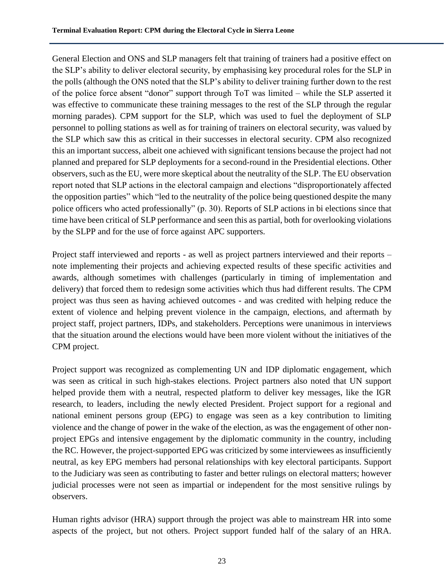General Election and ONS and SLP managers felt that training of trainers had a positive effect on the SLP's ability to deliver electoral security, by emphasising key procedural roles for the SLP in the polls (although the ONS noted that the SLP's ability to deliver training further down to the rest of the police force absent "donor" support through ToT was limited – while the SLP asserted it was effective to communicate these training messages to the rest of the SLP through the regular morning parades). CPM support for the SLP, which was used to fuel the deployment of SLP personnel to polling stations as well as for training of trainers on electoral security, was valued by the SLP which saw this as critical in their successes in electoral security. CPM also recognized this an important success, albeit one achieved with significant tensions because the project had not planned and prepared for SLP deployments for a second-round in the Presidential elections. Other observers, such as the EU, were more skeptical about the neutrality of the SLP. The EU observation report noted that SLP actions in the electoral campaign and elections "disproportionately affected the opposition parties" which "led to the neutrality of the police being questioned despite the many police officers who acted professionally" (p. 30). Reports of SLP actions in bi elections since that time have been critical of SLP performance and seen this as partial, both for overlooking violations by the SLPP and for the use of force against APC supporters.

Project staff interviewed and reports - as well as project partners interviewed and their reports – note implementing their projects and achieving expected results of these specific activities and awards, although sometimes with challenges (particularly in timing of implementation and delivery) that forced them to redesign some activities which thus had different results. The CPM project was thus seen as having achieved outcomes - and was credited with helping reduce the extent of violence and helping prevent violence in the campaign, elections, and aftermath by project staff, project partners, IDPs, and stakeholders. Perceptions were unanimous in interviews that the situation around the elections would have been more violent without the initiatives of the CPM project.

Project support was recognized as complementing UN and IDP diplomatic engagement, which was seen as critical in such high-stakes elections. Project partners also noted that UN support helped provide them with a neutral, respected platform to deliver key messages, like the IGR research, to leaders, including the newly elected President. Project support for a regional and national eminent persons group (EPG) to engage was seen as a key contribution to limiting violence and the change of power in the wake of the election, as was the engagement of other nonproject EPGs and intensive engagement by the diplomatic community in the country, including the RC. However, the project-supported EPG was criticized by some interviewees as insufficiently neutral, as key EPG members had personal relationships with key electoral participants. Support to the Judiciary was seen as contributing to faster and better rulings on electoral matters; however judicial processes were not seen as impartial or independent for the most sensitive rulings by observers.

Human rights advisor (HRA) support through the project was able to mainstream HR into some aspects of the project, but not others. Project support funded half of the salary of an HRA.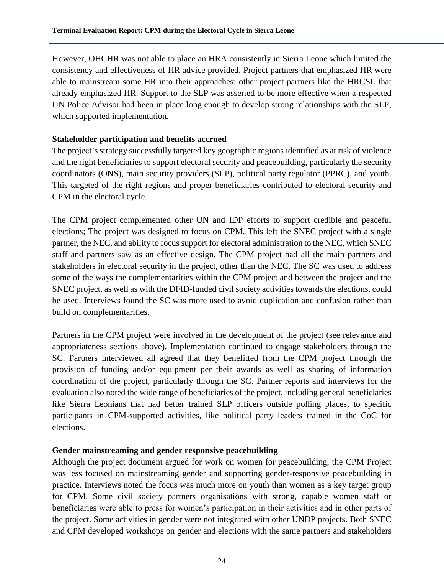However, OHCHR was not able to place an HRA consistently in Sierra Leone which limited the consistency and effectiveness of HR advice provided. Project partners that emphasized HR were able to mainstream some HR into their approaches; other project partners like the HRCSL that already emphasized HR. Support to the SLP was asserted to be more effective when a respected UN Police Advisor had been in place long enough to develop strong relationships with the SLP, which supported implementation.

#### **Stakeholder participation and benefits accrued**

The project's strategy successfully targeted key geographic regions identified as at risk of violence and the right beneficiaries to support electoral security and peacebuilding, particularly the security coordinators (ONS), main security providers (SLP), political party regulator (PPRC), and youth. This targeted of the right regions and proper beneficiaries contributed to electoral security and CPM in the electoral cycle.

The CPM project complemented other UN and IDP efforts to support credible and peaceful elections; The project was designed to focus on CPM. This left the SNEC project with a single partner, the NEC, and ability to focus support for electoral administration to the NEC, which SNEC staff and partners saw as an effective design. The CPM project had all the main partners and stakeholders in electoral security in the project, other than the NEC. The SC was used to address some of the ways the complementarities within the CPM project and between the project and the SNEC project, as well as with the DFID-funded civil society activities towards the elections, could be used. Interviews found the SC was more used to avoid duplication and confusion rather than build on complementarities.

Partners in the CPM project were involved in the development of the project (see relevance and appropriateness sections above). Implementation continued to engage stakeholders through the SC. Partners interviewed all agreed that they benefitted from the CPM project through the provision of funding and/or equipment per their awards as well as sharing of information coordination of the project, particularly through the SC. Partner reports and interviews for the evaluation also noted the wide range of beneficiaries of the project, including general beneficiaries like Sierra Leonians that had better trained SLP officers outside polling places, to specific participants in CPM-supported activities, like political party leaders trained in the CoC for elections.

#### **Gender mainstreaming and gender responsive peacebuilding**

Although the project document argued for work on women for peacebuilding, the CPM Project was less focused on mainstreaming gender and supporting gender-responsive peacebuilding in practice. Interviews noted the focus was much more on youth than women as a key target group for CPM. Some civil society partners organisations with strong, capable women staff or beneficiaries were able to press for women's participation in their activities and in other parts of the project. Some activities in gender were not integrated with other UNDP projects. Both SNEC and CPM developed workshops on gender and elections with the same partners and stakeholders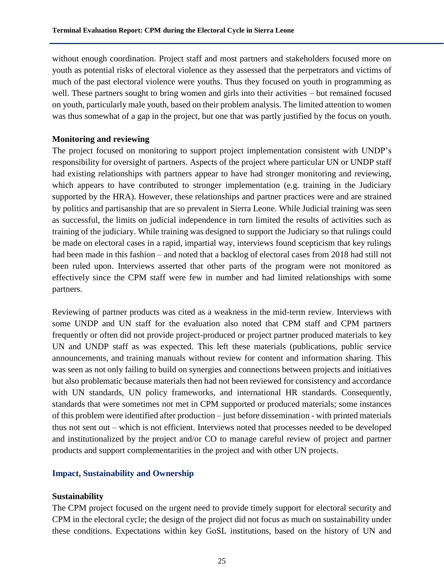without enough coordination. Project staff and most partners and stakeholders focused more on youth as potential risks of electoral violence as they assessed that the perpetrators and victims of much of the past electoral violence were youths. Thus they focused on youth in programming as well. These partners sought to bring women and girls into their activities – but remained focused on youth, particularly male youth, based on their problem analysis. The limited attention to women was thus somewhat of a gap in the project, but one that was partly justified by the focus on youth.

#### **Monitoring and reviewing**

The project focused on monitoring to support project implementation consistent with UNDP's responsibility for oversight of partners. Aspects of the project where particular UN or UNDP staff had existing relationships with partners appear to have had stronger monitoring and reviewing, which appears to have contributed to stronger implementation (e.g. training in the Judiciary supported by the HRA). However, these relationships and partner practices were and are strained by politics and partisanship that are so prevalent in Sierra Leone. While Judicial training was seen as successful, the limits on judicial independence in turn limited the results of activities such as training of the judiciary. While training was designed to support the Judiciary so that rulings could be made on electoral cases in a rapid, impartial way, interviews found scepticism that key rulings had been made in this fashion – and noted that a backlog of electoral cases from 2018 had still not been ruled upon. Interviews asserted that other parts of the program were not monitored as effectively since the CPM staff were few in number and had limited relationships with some partners.

Reviewing of partner products was cited as a weakness in the mid-term review. Interviews with some UNDP and UN staff for the evaluation also noted that CPM staff and CPM partners frequently or often did not provide project-produced or project partner produced materials to key UN and UNDP staff as was expected. This left these materials (publications, public service announcements, and training manuals without review for content and information sharing. This was seen as not only failing to build on synergies and connections between projects and initiatives but also problematic because materials then had not been reviewed for consistency and accordance with UN standards, UN policy frameworks, and international HR standards. Consequently, standards that were sometimes not met in CPM supported or produced materials; some instances of this problem were identified after production – just before dissemination - with printed materials thus not sent out – which is not efficient. Interviews noted that processes needed to be developed and institutionalized by the project and/or CO to manage careful review of project and partner products and support complementarities in the project and with other UN projects.

# **Impact, Sustainability and Ownership**

#### **Sustainability**

The CPM project focused on the urgent need to provide timely support for electoral security and CPM in the electoral cycle; the design of the project did not focus as much on sustainability under these conditions. Expectations within key GoSL institutions, based on the history of UN and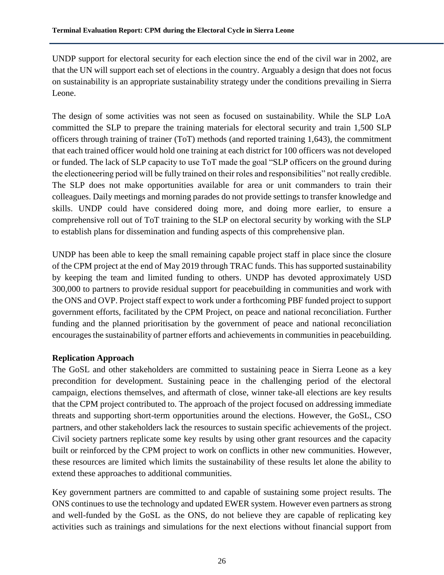UNDP support for electoral security for each election since the end of the civil war in 2002, are that the UN will support each set of elections in the country. Arguably a design that does not focus on sustainability is an appropriate sustainability strategy under the conditions prevailing in Sierra Leone.

The design of some activities was not seen as focused on sustainability. While the SLP LoA committed the SLP to prepare the training materials for electoral security and train 1,500 SLP officers through training of trainer (ToT) methods (and reported training 1,643), the commitment that each trained officer would hold one training at each district for 100 officers was not developed or funded. The lack of SLP capacity to use ToT made the goal "SLP officers on the ground during the electioneering period will be fully trained on their roles and responsibilities" not really credible. The SLP does not make opportunities available for area or unit commanders to train their colleagues. Daily meetings and morning parades do not provide settings to transfer knowledge and skills. UNDP could have considered doing more, and doing more earlier, to ensure a comprehensive roll out of ToT training to the SLP on electoral security by working with the SLP to establish plans for dissemination and funding aspects of this comprehensive plan.

UNDP has been able to keep the small remaining capable project staff in place since the closure of the CPM project at the end of May 2019 through TRAC funds. This has supported sustainability by keeping the team and limited funding to others. UNDP has devoted approximately USD 300,000 to partners to provide residual support for peacebuilding in communities and work with the ONS and OVP. Project staff expect to work under a forthcoming PBF funded project to support government efforts, facilitated by the CPM Project, on peace and national reconciliation. Further funding and the planned prioritisation by the government of peace and national reconciliation encourages the sustainability of partner efforts and achievements in communities in peacebuilding.

#### **Replication Approach**

The GoSL and other stakeholders are committed to sustaining peace in Sierra Leone as a key precondition for development. Sustaining peace in the challenging period of the electoral campaign, elections themselves, and aftermath of close, winner take-all elections are key results that the CPM project contributed to. The approach of the project focused on addressing immediate threats and supporting short-term opportunities around the elections. However, the GoSL, CSO partners, and other stakeholders lack the resources to sustain specific achievements of the project. Civil society partners replicate some key results by using other grant resources and the capacity built or reinforced by the CPM project to work on conflicts in other new communities. However, these resources are limited which limits the sustainability of these results let alone the ability to extend these approaches to additional communities.

Key government partners are committed to and capable of sustaining some project results. The ONS continues to use the technology and updated EWER system. However even partners as strong and well-funded by the GoSL as the ONS, do not believe they are capable of replicating key activities such as trainings and simulations for the next elections without financial support from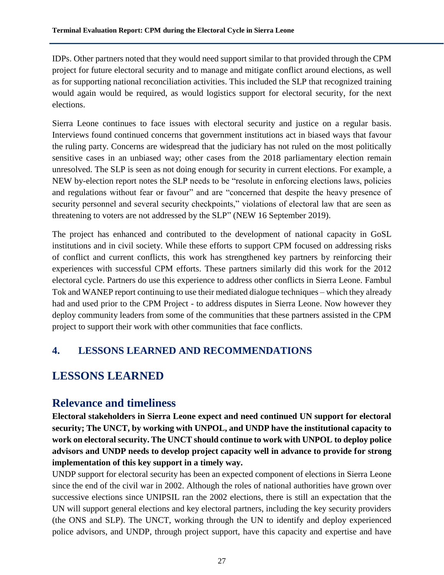IDPs. Other partners noted that they would need support similar to that provided through the CPM project for future electoral security and to manage and mitigate conflict around elections, as well as for supporting national reconciliation activities. This included the SLP that recognized training would again would be required, as would logistics support for electoral security, for the next elections.

Sierra Leone continues to face issues with electoral security and justice on a regular basis. Interviews found continued concerns that government institutions act in biased ways that favour the ruling party. Concerns are widespread that the judiciary has not ruled on the most politically sensitive cases in an unbiased way; other cases from the 2018 parliamentary election remain unresolved. The SLP is seen as not doing enough for security in current elections. For example, a NEW by-election report notes the SLP needs to be "resolute in enforcing elections laws, policies and regulations without fear or favour" and are "concerned that despite the heavy presence of security personnel and several security checkpoints," violations of electoral law that are seen as threatening to voters are not addressed by the SLP" (NEW 16 September 2019).

The project has enhanced and contributed to the development of national capacity in GoSL institutions and in civil society. While these efforts to support CPM focused on addressing risks of conflict and current conflicts, this work has strengthened key partners by reinforcing their experiences with successful CPM efforts. These partners similarly did this work for the 2012 electoral cycle. Partners do use this experience to address other conflicts in Sierra Leone. Fambul Tok and WANEP report continuing to use their mediated dialogue techniques – which they already had and used prior to the CPM Project - to address disputes in Sierra Leone. Now however they deploy community leaders from some of the communities that these partners assisted in the CPM project to support their work with other communities that face conflicts.

# **4. LESSONS LEARNED AND RECOMMENDATIONS**

# **LESSONS LEARNED**

# **Relevance and timeliness**

**Electoral stakeholders in Sierra Leone expect and need continued UN support for electoral security; The UNCT, by working with UNPOL, and UNDP have the institutional capacity to work on electoral security. The UNCT should continue to work with UNPOL to deploy police advisors and UNDP needs to develop project capacity well in advance to provide for strong implementation of this key support in a timely way.**

UNDP support for electoral security has been an expected component of elections in Sierra Leone since the end of the civil war in 2002. Although the roles of national authorities have grown over successive elections since UNIPSIL ran the 2002 elections, there is still an expectation that the UN will support general elections and key electoral partners, including the key security providers (the ONS and SLP). The UNCT, working through the UN to identify and deploy experienced police advisors, and UNDP, through project support, have this capacity and expertise and have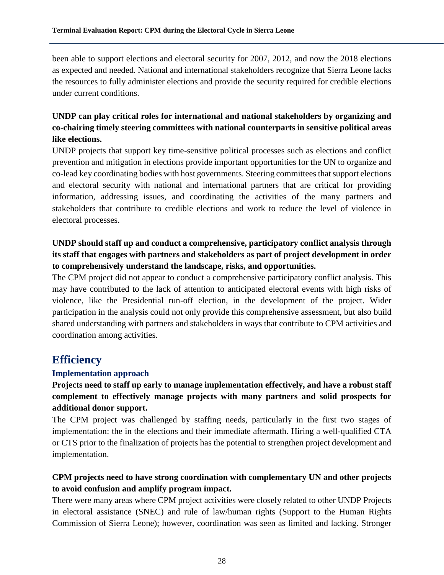been able to support elections and electoral security for 2007, 2012, and now the 2018 elections as expected and needed. National and international stakeholders recognize that Sierra Leone lacks the resources to fully administer elections and provide the security required for credible elections under current conditions.

# **UNDP can play critical roles for international and national stakeholders by organizing and co-chairing timely steering committees with national counterparts in sensitive political areas like elections.**

UNDP projects that support key time-sensitive political processes such as elections and conflict prevention and mitigation in elections provide important opportunities for the UN to organize and co-lead key coordinating bodies with host governments. Steering committees that support elections and electoral security with national and international partners that are critical for providing information, addressing issues, and coordinating the activities of the many partners and stakeholders that contribute to credible elections and work to reduce the level of violence in electoral processes.

# **UNDP should staff up and conduct a comprehensive, participatory conflict analysis through its staff that engages with partners and stakeholders as part of project development in order to comprehensively understand the landscape, risks, and opportunities.**

The CPM project did not appear to conduct a comprehensive participatory conflict analysis. This may have contributed to the lack of attention to anticipated electoral events with high risks of violence, like the Presidential run-off election, in the development of the project. Wider participation in the analysis could not only provide this comprehensive assessment, but also build shared understanding with partners and stakeholders in ways that contribute to CPM activities and coordination among activities.

# **Efficiency**

#### **Implementation approach**

# **Projects need to staff up early to manage implementation effectively, and have a robust staff complement to effectively manage projects with many partners and solid prospects for additional donor support.**

The CPM project was challenged by staffing needs, particularly in the first two stages of implementation: the in the elections and their immediate aftermath. Hiring a well-qualified CTA or CTS prior to the finalization of projects has the potential to strengthen project development and implementation.

## **CPM projects need to have strong coordination with complementary UN and other projects to avoid confusion and amplify program impact.**

There were many areas where CPM project activities were closely related to other UNDP Projects in electoral assistance (SNEC) and rule of law/human rights (Support to the Human Rights Commission of Sierra Leone); however, coordination was seen as limited and lacking. Stronger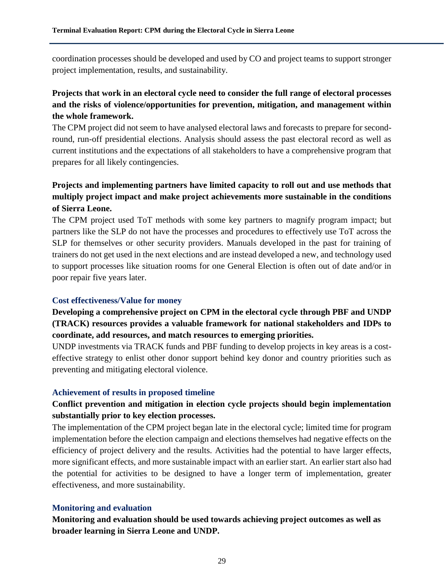coordination processes should be developed and used by CO and project teams to support stronger project implementation, results, and sustainability.

## **Projects that work in an electoral cycle need to consider the full range of electoral processes and the risks of violence/opportunities for prevention, mitigation, and management within the whole framework.**

The CPM project did not seem to have analysed electoral laws and forecasts to prepare for secondround, run-off presidential elections. Analysis should assess the past electoral record as well as current institutions and the expectations of all stakeholders to have a comprehensive program that prepares for all likely contingencies.

# **Projects and implementing partners have limited capacity to roll out and use methods that multiply project impact and make project achievements more sustainable in the conditions of Sierra Leone.**

The CPM project used ToT methods with some key partners to magnify program impact; but partners like the SLP do not have the processes and procedures to effectively use ToT across the SLP for themselves or other security providers. Manuals developed in the past for training of trainers do not get used in the next elections and are instead developed a new, and technology used to support processes like situation rooms for one General Election is often out of date and/or in poor repair five years later.

#### **Cost effectiveness/Value for money**

# **Developing a comprehensive project on CPM in the electoral cycle through PBF and UNDP (TRACK) resources provides a valuable framework for national stakeholders and IDPs to coordinate, add resources, and match resources to emerging priorities.**

UNDP investments via TRACK funds and PBF funding to develop projects in key areas is a costeffective strategy to enlist other donor support behind key donor and country priorities such as preventing and mitigating electoral violence.

#### **Achievement of results in proposed timeline**

## **Conflict prevention and mitigation in election cycle projects should begin implementation substantially prior to key election processes.**

The implementation of the CPM project began late in the electoral cycle; limited time for program implementation before the election campaign and elections themselves had negative effects on the efficiency of project delivery and the results. Activities had the potential to have larger effects, more significant effects, and more sustainable impact with an earlier start. An earlier start also had the potential for activities to be designed to have a longer term of implementation, greater effectiveness, and more sustainability.

#### **Monitoring and evaluation**

**Monitoring and evaluation should be used towards achieving project outcomes as well as broader learning in Sierra Leone and UNDP.**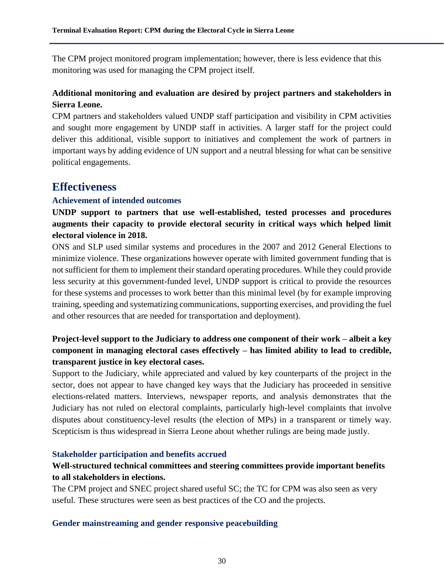The CPM project monitored program implementation; however, there is less evidence that this monitoring was used for managing the CPM project itself.

## **Additional monitoring and evaluation are desired by project partners and stakeholders in Sierra Leone.**

CPM partners and stakeholders valued UNDP staff participation and visibility in CPM activities and sought more engagement by UNDP staff in activities. A larger staff for the project could deliver this additional, visible support to initiatives and complement the work of partners in important ways by adding evidence of UN support and a neutral blessing for what can be sensitive political engagements.

# **Effectiveness**

## **Achievement of intended outcomes**

**UNDP support to partners that use well-established, tested processes and procedures augments their capacity to provide electoral security in critical ways which helped limit electoral violence in 2018.** 

ONS and SLP used similar systems and procedures in the 2007 and 2012 General Elections to minimize violence. These organizations however operate with limited government funding that is not sufficient for them to implement their standard operating procedures. While they could provide less security at this government-funded level, UNDP support is critical to provide the resources for these systems and processes to work better than this minimal level (by for example improving training, speeding and systematizing communications, supporting exercises, and providing the fuel and other resources that are needed for transportation and deployment).

# **Project-level support to the Judiciary to address one component of their work – albeit a key component in managing electoral cases effectively – has limited ability to lead to credible, transparent justice in key electoral cases.**

Support to the Judiciary, while appreciated and valued by key counterparts of the project in the sector, does not appear to have changed key ways that the Judiciary has proceeded in sensitive elections-related matters. Interviews, newspaper reports, and analysis demonstrates that the Judiciary has not ruled on electoral complaints, particularly high-level complaints that involve disputes about constituency-level results (the election of MPs) in a transparent or timely way. Scepticism is thus widespread in Sierra Leone about whether rulings are being made justly.

#### **Stakeholder participation and benefits accrued**

# **Well-structured technical committees and steering committees provide important benefits to all stakeholders in elections.**

The CPM project and SNEC project shared useful SC; the TC for CPM was also seen as very useful. These structures were seen as best practices of the CO and the projects.

#### **Gender mainstreaming and gender responsive peacebuilding**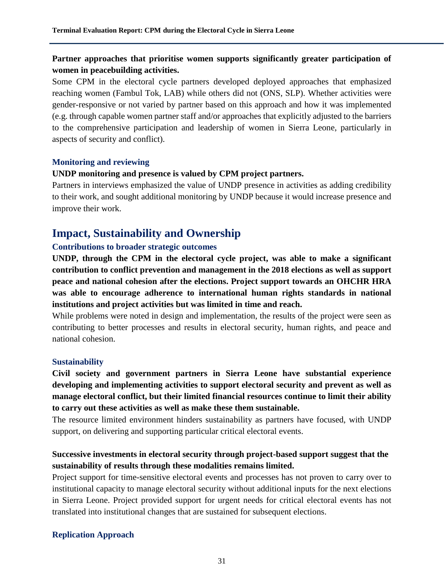## **Partner approaches that prioritise women supports significantly greater participation of women in peacebuilding activities.**

Some CPM in the electoral cycle partners developed deployed approaches that emphasized reaching women (Fambul Tok, LAB) while others did not (ONS, SLP). Whether activities were gender-responsive or not varied by partner based on this approach and how it was implemented (e.g. through capable women partner staff and/or approaches that explicitly adjusted to the barriers to the comprehensive participation and leadership of women in Sierra Leone, particularly in aspects of security and conflict).

## **Monitoring and reviewing**

## **UNDP monitoring and presence is valued by CPM project partners.**

Partners in interviews emphasized the value of UNDP presence in activities as adding credibility to their work, and sought additional monitoring by UNDP because it would increase presence and improve their work.

# **Impact, Sustainability and Ownership**

## **Contributions to broader strategic outcomes**

**UNDP, through the CPM in the electoral cycle project, was able to make a significant contribution to conflict prevention and management in the 2018 elections as well as support peace and national cohesion after the elections. Project support towards an OHCHR HRA was able to encourage adherence to international human rights standards in national institutions and project activities but was limited in time and reach.** 

While problems were noted in design and implementation, the results of the project were seen as contributing to better processes and results in electoral security, human rights, and peace and national cohesion.

#### **Sustainability**

**Civil society and government partners in Sierra Leone have substantial experience developing and implementing activities to support electoral security and prevent as well as manage electoral conflict, but their limited financial resources continue to limit their ability to carry out these activities as well as make these them sustainable.** 

The resource limited environment hinders sustainability as partners have focused, with UNDP support, on delivering and supporting particular critical electoral events.

## **Successive investments in electoral security through project-based support suggest that the sustainability of results through these modalities remains limited.**

Project support for time-sensitive electoral events and processes has not proven to carry over to institutional capacity to manage electoral security without additional inputs for the next elections in Sierra Leone. Project provided support for urgent needs for critical electoral events has not translated into institutional changes that are sustained for subsequent elections.

## **Replication Approach**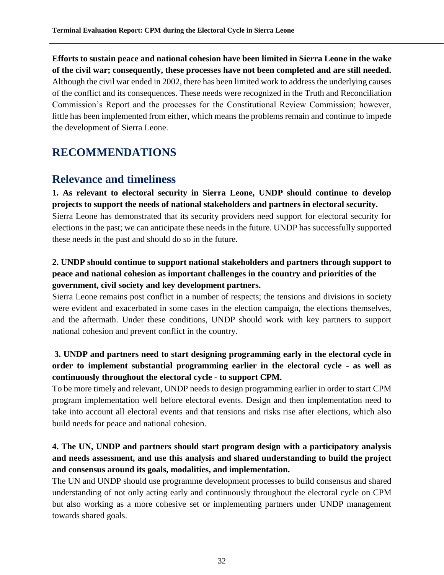**Efforts to sustain peace and national cohesion have been limited in Sierra Leone in the wake of the civil war; consequently, these processes have not been completed and are still needed.** Although the civil war ended in 2002, there has been limited work to address the underlying causes of the conflict and its consequences. These needs were recognized in the Truth and Reconciliation Commission's Report and the processes for the Constitutional Review Commission; however, little has been implemented from either, which means the problems remain and continue to impede the development of Sierra Leone.

# **RECOMMENDATIONS**

# **Relevance and timeliness**

**1. As relevant to electoral security in Sierra Leone, UNDP should continue to develop projects to support the needs of national stakeholders and partners in electoral security.** Sierra Leone has demonstrated that its security providers need support for electoral security for elections in the past; we can anticipate these needs in the future. UNDP has successfully supported these needs in the past and should do so in the future.

# **2. UNDP should continue to support national stakeholders and partners through support to peace and national cohesion as important challenges in the country and priorities of the government, civil society and key development partners.**

Sierra Leone remains post conflict in a number of respects; the tensions and divisions in society were evident and exacerbated in some cases in the election campaign, the elections themselves, and the aftermath. Under these conditions, UNDP should work with key partners to support national cohesion and prevent conflict in the country.

# **3. UNDP and partners need to start designing programming early in the electoral cycle in order to implement substantial programming earlier in the electoral cycle - as well as continuously throughout the electoral cycle - to support CPM.**

To be more timely and relevant, UNDP needs to design programming earlier in order to start CPM program implementation well before electoral events. Design and then implementation need to take into account all electoral events and that tensions and risks rise after elections, which also build needs for peace and national cohesion.

# **4. The UN, UNDP and partners should start program design with a participatory analysis and needs assessment, and use this analysis and shared understanding to build the project and consensus around its goals, modalities, and implementation.**

The UN and UNDP should use programme development processes to build consensus and shared understanding of not only acting early and continuously throughout the electoral cycle on CPM but also working as a more cohesive set or implementing partners under UNDP management towards shared goals.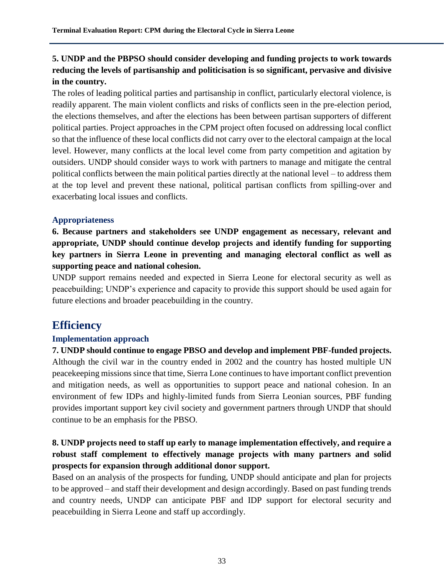# **5. UNDP and the PBPSO should consider developing and funding projects to work towards reducing the levels of partisanship and politicisation is so significant, pervasive and divisive in the country.**

The roles of leading political parties and partisanship in conflict, particularly electoral violence, is readily apparent. The main violent conflicts and risks of conflicts seen in the pre-election period, the elections themselves, and after the elections has been between partisan supporters of different political parties. Project approaches in the CPM project often focused on addressing local conflict so that the influence of these local conflicts did not carry over to the electoral campaign at the local level. However, many conflicts at the local level come from party competition and agitation by outsiders. UNDP should consider ways to work with partners to manage and mitigate the central political conflicts between the main political parties directly at the national level – to address them at the top level and prevent these national, political partisan conflicts from spilling-over and exacerbating local issues and conflicts.

## **Appropriateness**

**6. Because partners and stakeholders see UNDP engagement as necessary, relevant and appropriate, UNDP should continue develop projects and identify funding for supporting key partners in Sierra Leone in preventing and managing electoral conflict as well as supporting peace and national cohesion.**

UNDP support remains needed and expected in Sierra Leone for electoral security as well as peacebuilding; UNDP's experience and capacity to provide this support should be used again for future elections and broader peacebuilding in the country.

# **Efficiency**

## **Implementation approach**

**7. UNDP should continue to engage PBSO and develop and implement PBF-funded projects.** Although the civil war in the country ended in 2002 and the country has hosted multiple UN peacekeeping missions since that time, Sierra Lone continues to have important conflict prevention and mitigation needs, as well as opportunities to support peace and national cohesion. In an environment of few IDPs and highly-limited funds from Sierra Leonian sources, PBF funding provides important support key civil society and government partners through UNDP that should continue to be an emphasis for the PBSO.

## **8. UNDP projects need to staff up early to manage implementation effectively, and require a robust staff complement to effectively manage projects with many partners and solid prospects for expansion through additional donor support.**

Based on an analysis of the prospects for funding, UNDP should anticipate and plan for projects to be approved – and staff their development and design accordingly. Based on past funding trends and country needs, UNDP can anticipate PBF and IDP support for electoral security and peacebuilding in Sierra Leone and staff up accordingly.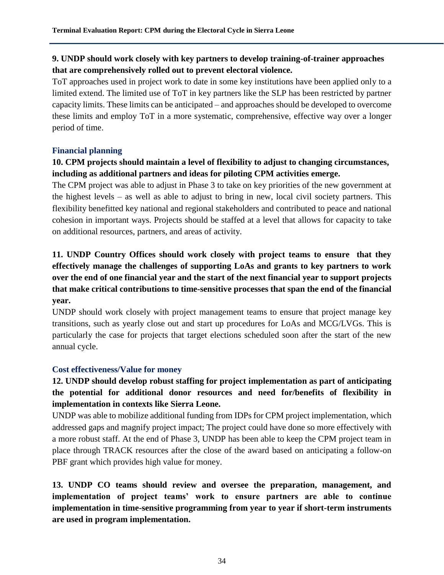## **9. UNDP should work closely with key partners to develop training-of-trainer approaches that are comprehensively rolled out to prevent electoral violence.**

ToT approaches used in project work to date in some key institutions have been applied only to a limited extend. The limited use of ToT in key partners like the SLP has been restricted by partner capacity limits. These limits can be anticipated – and approaches should be developed to overcome these limits and employ ToT in a more systematic, comprehensive, effective way over a longer period of time.

## **Financial planning**

# **10. CPM projects should maintain a level of flexibility to adjust to changing circumstances, including as additional partners and ideas for piloting CPM activities emerge.**

The CPM project was able to adjust in Phase 3 to take on key priorities of the new government at the highest levels – as well as able to adjust to bring in new, local civil society partners. This flexibility benefitted key national and regional stakeholders and contributed to peace and national cohesion in important ways. Projects should be staffed at a level that allows for capacity to take on additional resources, partners, and areas of activity.

# **11. UNDP Country Offices should work closely with project teams to ensure that they effectively manage the challenges of supporting LoAs and grants to key partners to work over the end of one financial year and the start of the next financial year to support projects that make critical contributions to time-sensitive processes that span the end of the financial year.**

UNDP should work closely with project management teams to ensure that project manage key transitions, such as yearly close out and start up procedures for LoAs and MCG/LVGs. This is particularly the case for projects that target elections scheduled soon after the start of the new annual cycle.

## **Cost effectiveness/Value for money**

# **12. UNDP should develop robust staffing for project implementation as part of anticipating the potential for additional donor resources and need for/benefits of flexibility in implementation in contexts like Sierra Leone.**

UNDP was able to mobilize additional funding from IDPs for CPM project implementation, which addressed gaps and magnify project impact; The project could have done so more effectively with a more robust staff. At the end of Phase 3, UNDP has been able to keep the CPM project team in place through TRACK resources after the close of the award based on anticipating a follow-on PBF grant which provides high value for money.

**13. UNDP CO teams should review and oversee the preparation, management, and implementation of project teams' work to ensure partners are able to continue implementation in time-sensitive programming from year to year if short-term instruments are used in program implementation.**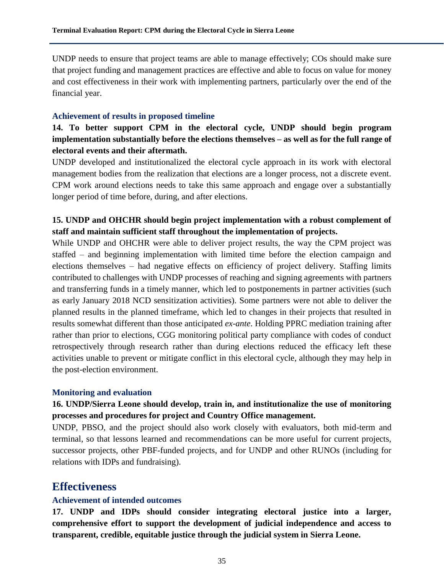UNDP needs to ensure that project teams are able to manage effectively; COs should make sure that project funding and management practices are effective and able to focus on value for money and cost effectiveness in their work with implementing partners, particularly over the end of the financial year.

#### **Achievement of results in proposed timeline**

**14. To better support CPM in the electoral cycle, UNDP should begin program implementation substantially before the elections themselves – as well as for the full range of electoral events and their aftermath.**

UNDP developed and institutionalized the electoral cycle approach in its work with electoral management bodies from the realization that elections are a longer process, not a discrete event. CPM work around elections needs to take this same approach and engage over a substantially longer period of time before, during, and after elections.

## **15. UNDP and OHCHR should begin project implementation with a robust complement of staff and maintain sufficient staff throughout the implementation of projects.**

While UNDP and OHCHR were able to deliver project results, the way the CPM project was staffed – and beginning implementation with limited time before the election campaign and elections themselves – had negative effects on efficiency of project delivery. Staffing limits contributed to challenges with UNDP processes of reaching and signing agreements with partners and transferring funds in a timely manner, which led to postponements in partner activities (such as early January 2018 NCD sensitization activities). Some partners were not able to deliver the planned results in the planned timeframe, which led to changes in their projects that resulted in results somewhat different than those anticipated *ex-ante*. Holding PPRC mediation training after rather than prior to elections, CGG monitoring political party compliance with codes of conduct retrospectively through research rather than during elections reduced the efficacy left these activities unable to prevent or mitigate conflict in this electoral cycle, although they may help in the post-election environment.

#### **Monitoring and evaluation**

## **16. UNDP/Sierra Leone should develop, train in, and institutionalize the use of monitoring processes and procedures for project and Country Office management.**

UNDP, PBSO, and the project should also work closely with evaluators, both mid-term and terminal, so that lessons learned and recommendations can be more useful for current projects, successor projects, other PBF-funded projects, and for UNDP and other RUNOs (including for relations with IDPs and fundraising).

# **Effectiveness**

#### **Achievement of intended outcomes**

**17. UNDP and IDPs should consider integrating electoral justice into a larger, comprehensive effort to support the development of judicial independence and access to transparent, credible, equitable justice through the judicial system in Sierra Leone.**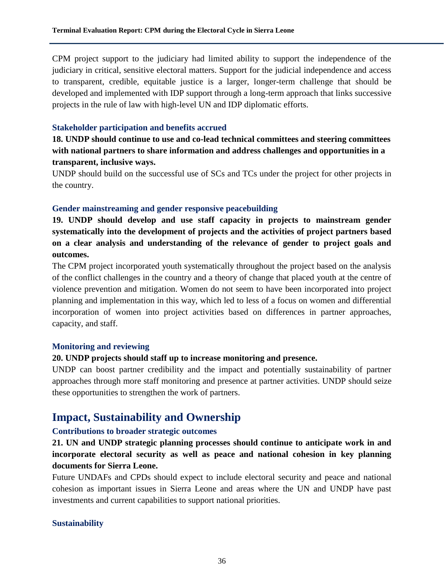CPM project support to the judiciary had limited ability to support the independence of the judiciary in critical, sensitive electoral matters. Support for the judicial independence and access to transparent, credible, equitable justice is a larger, longer-term challenge that should be developed and implemented with IDP support through a long-term approach that links successive projects in the rule of law with high-level UN and IDP diplomatic efforts.

#### **Stakeholder participation and benefits accrued**

**18. UNDP should continue to use and co-lead technical committees and steering committees with national partners to share information and address challenges and opportunities in a transparent, inclusive ways.**

UNDP should build on the successful use of SCs and TCs under the project for other projects in the country.

#### **Gender mainstreaming and gender responsive peacebuilding**

**19. UNDP should develop and use staff capacity in projects to mainstream gender systematically into the development of projects and the activities of project partners based on a clear analysis and understanding of the relevance of gender to project goals and outcomes.**

The CPM project incorporated youth systematically throughout the project based on the analysis of the conflict challenges in the country and a theory of change that placed youth at the centre of violence prevention and mitigation. Women do not seem to have been incorporated into project planning and implementation in this way, which led to less of a focus on women and differential incorporation of women into project activities based on differences in partner approaches, capacity, and staff.

#### **Monitoring and reviewing**

#### **20. UNDP projects should staff up to increase monitoring and presence.**

UNDP can boost partner credibility and the impact and potentially sustainability of partner approaches through more staff monitoring and presence at partner activities. UNDP should seize these opportunities to strengthen the work of partners.

# **Impact, Sustainability and Ownership**

## **Contributions to broader strategic outcomes**

**21. UN and UNDP strategic planning processes should continue to anticipate work in and incorporate electoral security as well as peace and national cohesion in key planning documents for Sierra Leone.** 

Future UNDAFs and CPDs should expect to include electoral security and peace and national cohesion as important issues in Sierra Leone and areas where the UN and UNDP have past investments and current capabilities to support national priorities.

#### **Sustainability**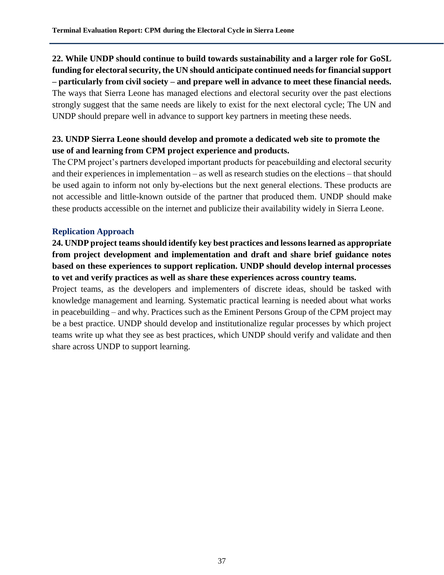# **22. While UNDP should continue to build towards sustainability and a larger role for GoSL funding for electoral security, the UN should anticipate continued needs for financial support – particularly from civil society – and prepare well in advance to meet these financial needs.** The ways that Sierra Leone has managed elections and electoral security over the past elections strongly suggest that the same needs are likely to exist for the next electoral cycle; The UN and UNDP should prepare well in advance to support key partners in meeting these needs.

## **23. UNDP Sierra Leone should develop and promote a dedicated web site to promote the use of and learning from CPM project experience and products.**

The CPM project's partners developed important products for peacebuilding and electoral security and their experiences in implementation – as well as research studies on the elections – that should be used again to inform not only by-elections but the next general elections. These products are not accessible and little-known outside of the partner that produced them. UNDP should make these products accessible on the internet and publicize their availability widely in Sierra Leone.

## **Replication Approach**

**24. UNDP project teams should identify key best practices and lessons learned as appropriate from project development and implementation and draft and share brief guidance notes based on these experiences to support replication. UNDP should develop internal processes to vet and verify practices as well as share these experiences across country teams.**

Project teams, as the developers and implementers of discrete ideas, should be tasked with knowledge management and learning. Systematic practical learning is needed about what works in peacebuilding – and why. Practices such as the Eminent Persons Group of the CPM project may be a best practice. UNDP should develop and institutionalize regular processes by which project teams write up what they see as best practices, which UNDP should verify and validate and then share across UNDP to support learning.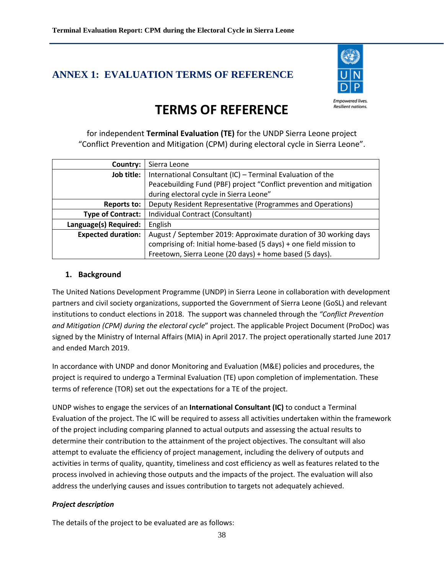# **ANNEX 1: EVALUATION TERMS OF REFERENCE**



#### **Empowered lives Resilient nations.**

# **TERMS OF REFERENCE**

for independent **Terminal Evaluation (TE)** for the UNDP Sierra Leone project "Conflict Prevention and Mitigation (CPM) during electoral cycle in Sierra Leone".

| Country:                  | Sierra Leone                                                         |  |  |  |
|---------------------------|----------------------------------------------------------------------|--|--|--|
| Job title:                | International Consultant (IC) - Terminal Evaluation of the           |  |  |  |
|                           | Peacebuilding Fund (PBF) project "Conflict prevention and mitigation |  |  |  |
|                           | during electoral cycle in Sierra Leone"                              |  |  |  |
| <b>Reports to:</b>        | Deputy Resident Representative (Programmes and Operations)           |  |  |  |
| <b>Type of Contract:</b>  | Individual Contract (Consultant)                                     |  |  |  |
| Language(s) Required:     | English                                                              |  |  |  |
| <b>Expected duration:</b> | August / September 2019: Approximate duration of 30 working days     |  |  |  |
|                           | comprising of: Initial home-based (5 days) + one field mission to    |  |  |  |
|                           | Freetown, Sierra Leone (20 days) + home based (5 days).              |  |  |  |

## **1. Background**

The United Nations Development Programme (UNDP) in Sierra Leone in collaboration with development partners and civil society organizations, supported the Government of Sierra Leone (GoSL) and relevant institutions to conduct elections in 2018. The support was channeled through the *"Conflict Prevention and Mitigation (CPM) during the electoral cycle*" project. The applicable Project Document (ProDoc) was signed by the Ministry of Internal Affairs (MIA) in April 2017. The project operationally started June 2017 and ended March 2019.

In accordance with UNDP and donor Monitoring and Evaluation (M&E) policies and procedures, the project is required to undergo a Terminal Evaluation (TE) upon completion of implementation. These terms of reference (TOR) set out the expectations for a TE of the project.

UNDP wishes to engage the services of an **International Consultant (IC)** to conduct a Terminal Evaluation of the project. The IC will be required to assess all activities undertaken within the framework of the project including comparing planned to actual outputs and assessing the actual results to determine their contribution to the attainment of the project objectives. The consultant will also attempt to evaluate the efficiency of project management, including the delivery of outputs and activities in terms of quality, quantity, timeliness and cost efficiency as well as features related to the process involved in achieving those outputs and the impacts of the project. The evaluation will also address the underlying causes and issues contribution to targets not adequately achieved.

#### *Project description*

The details of the project to be evaluated are as follows: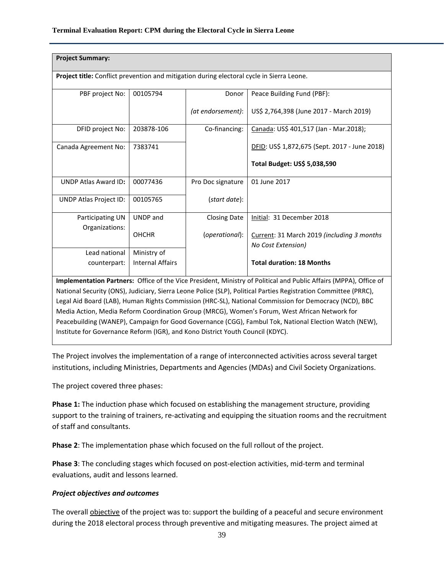| <b>Project Summary:</b>                                                                                                                                                                                                              |                         |                     |                                                                  |  |  |  |
|--------------------------------------------------------------------------------------------------------------------------------------------------------------------------------------------------------------------------------------|-------------------------|---------------------|------------------------------------------------------------------|--|--|--|
| Project title: Conflict prevention and mitigation during electoral cycle in Sierra Leone.                                                                                                                                            |                         |                     |                                                                  |  |  |  |
| PBF project No:                                                                                                                                                                                                                      | 00105794                | Donor               | Peace Building Fund (PBF):                                       |  |  |  |
|                                                                                                                                                                                                                                      |                         | (at endorsement):   | US\$ 2,764,398 (June 2017 - March 2019)                          |  |  |  |
| DFID project No:                                                                                                                                                                                                                     | 203878-106              | Co-financing:       | Canada: US\$ 401,517 (Jan - Mar.2018);                           |  |  |  |
| Canada Agreement No:                                                                                                                                                                                                                 | 7383741                 |                     | DFID: US\$ 1,872,675 (Sept. 2017 - June 2018)                    |  |  |  |
|                                                                                                                                                                                                                                      |                         |                     | Total Budget: US\$ 5,038,590                                     |  |  |  |
| <b>UNDP Atlas Award ID:</b>                                                                                                                                                                                                          | 00077436                | Pro Doc signature   | 01 June 2017                                                     |  |  |  |
| UNDP Atlas Project ID:                                                                                                                                                                                                               | 00105765                | (start date):       |                                                                  |  |  |  |
| Participating UN                                                                                                                                                                                                                     | UNDP and                | <b>Closing Date</b> | Initial: 31 December 2018                                        |  |  |  |
| Organizations:                                                                                                                                                                                                                       | <b>OHCHR</b>            | (operational):      | Current: 31 March 2019 (including 3 months<br>No Cost Extension) |  |  |  |
| Lead national                                                                                                                                                                                                                        | Ministry of             |                     |                                                                  |  |  |  |
| counterpart:                                                                                                                                                                                                                         | <b>Internal Affairs</b> |                     | <b>Total duration: 18 Months</b>                                 |  |  |  |
| Implementation Partners: Office of the Vice President, Ministry of Political and Public Affairs (MPPA), Office of<br>National Security (ONS), Judiciary, Sierra Leone Police (SLP), Political Parties Registration Committee (PRRC), |                         |                     |                                                                  |  |  |  |

Legal Aid Board (LAB), Human Rights Commission (HRC-SL), National Commission for Democracy (NCD), BBC Media Action, Media Reform Coordination Group (MRCG), Women's Forum, West African Network for Peacebuilding (WANEP), Campaign for Good Governance (CGG), Fambul Tok, National Election Watch (NEW), Institute for Governance Reform (IGR), and Kono District Youth Council (KDYC).

The Project involves the implementation of a range of interconnected activities across several target institutions, including Ministries, Departments and Agencies (MDAs) and Civil Society Organizations.

The project covered three phases:

**Phase 1:** The induction phase which focused on establishing the management structure, providing support to the training of trainers, re-activating and equipping the situation rooms and the recruitment of staff and consultants.

**Phase 2**: The implementation phase which focused on the full rollout of the project.

**Phase 3**: The concluding stages which focused on post-election activities, mid-term and terminal evaluations, audit and lessons learned.

#### *Project objectives and outcomes*

The overall objective of the project was to: support the building of a peaceful and secure environment during the 2018 electoral process through preventive and mitigating measures. The project aimed at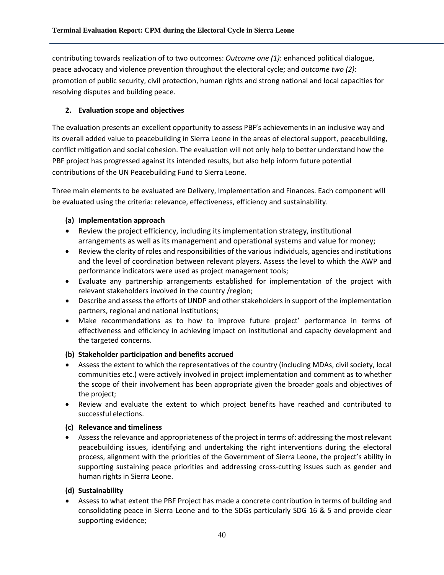contributing towards realization of to two outcomes: *Outcome one (1)*: enhanced political dialogue, peace advocacy and violence prevention throughout the electoral cycle; and *outcome two (2)*: promotion of public security, civil protection, human rights and strong national and local capacities for resolving disputes and building peace.

## **2. Evaluation scope and objectives**

The evaluation presents an excellent opportunity to assess PBF's achievements in an inclusive way and its overall added value to peacebuilding in Sierra Leone in the areas of electoral support, peacebuilding, conflict mitigation and social cohesion. The evaluation will not only help to better understand how the PBF project has progressed against its intended results, but also help inform future potential contributions of the UN Peacebuilding Fund to Sierra Leone.

Three main elements to be evaluated are Delivery, Implementation and Finances. Each component will be evaluated using the criteria: relevance, effectiveness, efficiency and sustainability.

#### **(a) Implementation approach**

- Review the project efficiency, including its implementation strategy, institutional arrangements as well as its management and operational systems and value for money;
- Review the clarity of roles and responsibilities of the various individuals, agencies and institutions and the level of coordination between relevant players. Assess the level to which the AWP and performance indicators were used as project management tools;
- Evaluate any partnership arrangements established for implementation of the project with relevant stakeholders involved in the country /region;
- Describe and assess the efforts of UNDP and other stakeholders in support of the implementation partners, regional and national institutions;
- Make recommendations as to how to improve future project' performance in terms of effectiveness and efficiency in achieving impact on institutional and capacity development and the targeted concerns.

#### **(b) Stakeholder participation and benefits accrued**

- Assess the extent to which the representatives of the country (including MDAs, civil society, local communities etc.) were actively involved in project implementation and comment as to whether the scope of their involvement has been appropriate given the broader goals and objectives of the project;
- Review and evaluate the extent to which project benefits have reached and contributed to successful elections.

#### **(c) Relevance and timeliness**

• Assessthe relevance and appropriateness of the project in terms of: addressing the most relevant peacebuilding issues, identifying and undertaking the right interventions during the electoral process, alignment with the priorities of the Government of Sierra Leone, the project's ability in supporting sustaining peace priorities and addressing cross-cutting issues such as gender and human rights in Sierra Leone.

#### **(d) Sustainability**

• Assess to what extent the PBF Project has made a concrete contribution in terms of building and consolidating peace in Sierra Leone and to the SDGs particularly SDG 16 & 5 and provide clear supporting evidence;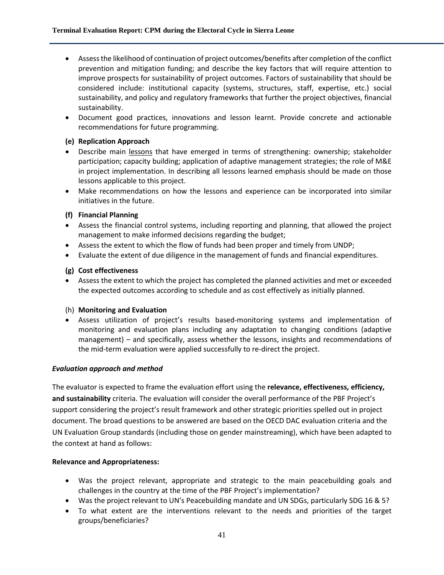- Assessthe likelihood of continuation of project outcomes/benefits after completion of the conflict prevention and mitigation funding; and describe the key factors that will require attention to improve prospects for sustainability of project outcomes. Factors of sustainability that should be considered include: institutional capacity (systems, structures, staff, expertise, etc.) social sustainability, and policy and regulatory frameworks that further the project objectives, financial sustainability.
- Document good practices, innovations and lesson learnt. Provide concrete and actionable recommendations for future programming.

#### **(e) Replication Approach**

- Describe main lessons that have emerged in terms of strengthening: ownership; stakeholder participation; capacity building; application of adaptive management strategies; the role of M&E in project implementation. In describing all lessons learned emphasis should be made on those lessons applicable to this project.
- Make recommendations on how the lessons and experience can be incorporated into similar initiatives in the future.

#### **(f) Financial Planning**

- Assess the financial control systems, including reporting and planning, that allowed the project management to make informed decisions regarding the budget;
- Assess the extent to which the flow of funds had been proper and timely from UNDP;
- Evaluate the extent of due diligence in the management of funds and financial expenditures.

#### **(g) Cost effectiveness**

• Assess the extent to which the project has completed the planned activities and met or exceeded the expected outcomes according to schedule and as cost effectively as initially planned.

#### (h) **Monitoring and Evaluation**

• Assess utilization of project's results based-monitoring systems and implementation of monitoring and evaluation plans including any adaptation to changing conditions (adaptive management) – and specifically, assess whether the lessons, insights and recommendations of the mid-term evaluation were applied successfully to re-direct the project.

#### *Evaluation approach and method*

The evaluator is expected to frame the evaluation effort using the **relevance, effectiveness, efficiency, and sustainability** criteria. The evaluation will consider the overall performance of the PBF Project's support considering the project's result framework and other strategic priorities spelled out in project document. The broad questions to be answered are based on the OECD DAC evaluation criteria and the UN Evaluation Group standards (including those on gender mainstreaming), which have been adapted to the context at hand as follows:

#### **Relevance and Appropriateness:**

- Was the project relevant, appropriate and strategic to the main peacebuilding goals and challenges in the country at the time of the PBF Project's implementation?
- Was the project relevant to UN's Peacebuilding mandate and UN SDGs, particularly SDG 16 & 5?
- To what extent are the interventions relevant to the needs and priorities of the target groups/beneficiaries?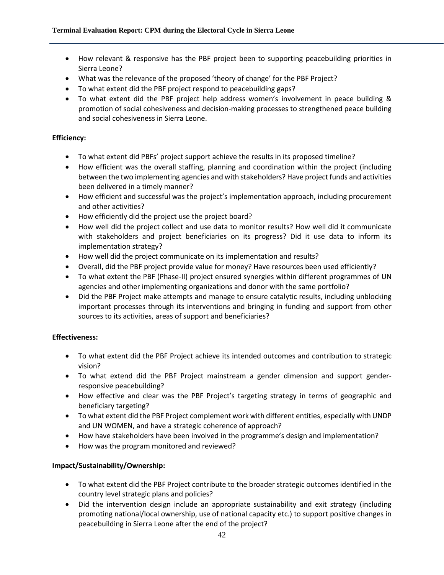- How relevant & responsive has the PBF project been to supporting peacebuilding priorities in Sierra Leone?
- What was the relevance of the proposed 'theory of change' for the PBF Project?
- To what extent did the PBF project respond to peacebuilding gaps?
- To what extent did the PBF project help address women's involvement in peace building & promotion of social cohesiveness and decision-making processes to strengthened peace building and social cohesiveness in Sierra Leone.

#### **Efficiency:**

- To what extent did PBFs' project support achieve the results in its proposed timeline?
- How efficient was the overall staffing, planning and coordination within the project (including between the two implementing agencies and with stakeholders? Have project funds and activities been delivered in a timely manner?
- How efficient and successful was the project's implementation approach, including procurement and other activities?
- How efficiently did the project use the project board?
- How well did the project collect and use data to monitor results? How well did it communicate with stakeholders and project beneficiaries on its progress? Did it use data to inform its implementation strategy?
- How well did the project communicate on its implementation and results?
- Overall, did the PBF project provide value for money? Have resources been used efficiently?
- To what extent the PBF (Phase-II) project ensured synergies within different programmes of UN agencies and other implementing organizations and donor with the same portfolio?
- Did the PBF Project make attempts and manage to ensure catalytic results, including unblocking important processes through its interventions and bringing in funding and support from other sources to its activities, areas of support and beneficiaries?

#### **Effectiveness:**

- To what extent did the PBF Project achieve its intended outcomes and contribution to strategic vision?
- To what extend did the PBF Project mainstream a gender dimension and support genderresponsive peacebuilding?
- How effective and clear was the PBF Project's targeting strategy in terms of geographic and beneficiary targeting?
- To what extent did the PBF Project complement work with different entities, especially with UNDP and UN WOMEN, and have a strategic coherence of approach?
- How have stakeholders have been involved in the programme's design and implementation?
- How was the program monitored and reviewed?

#### **Impact/Sustainability/Ownership:**

- To what extent did the PBF Project contribute to the broader strategic outcomes identified in the country level strategic plans and policies?
- Did the intervention design include an appropriate sustainability and exit strategy (including promoting national/local ownership, use of national capacity etc.) to support positive changes in peacebuilding in Sierra Leone after the end of the project?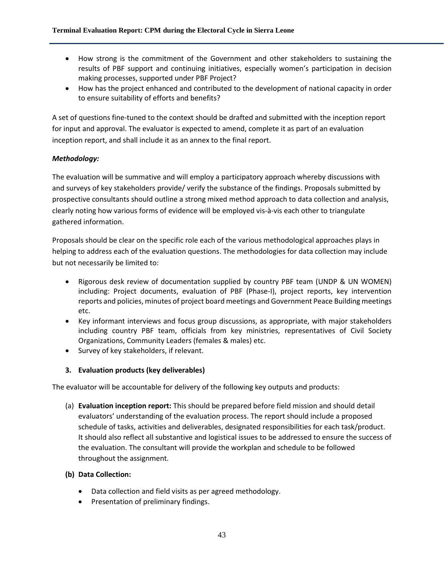- How strong is the commitment of the Government and other stakeholders to sustaining the results of PBF support and continuing initiatives, especially women's participation in decision making processes, supported under PBF Project?
- How has the project enhanced and contributed to the development of national capacity in order to ensure suitability of efforts and benefits?

A set of questions fine-tuned to the context should be drafted and submitted with the inception report for input and approval. The evaluator is expected to amend, complete it as part of an evaluation inception report, and shall include it as an annex to the final report.

#### *Methodology:*

The evaluation will be summative and will employ a participatory approach whereby discussions with and surveys of key stakeholders provide/ verify the substance of the findings. Proposals submitted by prospective consultants should outline a strong mixed method approach to data collection and analysis, clearly noting how various forms of evidence will be employed vis-à-vis each other to triangulate gathered information.

Proposals should be clear on the specific role each of the various methodological approaches plays in helping to address each of the evaluation questions. The methodologies for data collection may include but not necessarily be limited to:

- Rigorous desk review of documentation supplied by country PBF team (UNDP & UN WOMEN) including: Project documents, evaluation of PBF (Phase-I), project reports, key intervention reports and policies, minutes of project board meetings and Government Peace Building meetings etc.
- Key informant interviews and focus group discussions, as appropriate, with major stakeholders including country PBF team, officials from key ministries, representatives of Civil Society Organizations, Community Leaders (females & males) etc.
- Survey of key stakeholders, if relevant.

#### **3. Evaluation products (key deliverables)**

The evaluator will be accountable for delivery of the following key outputs and products:

(a) **Evaluation inception report:** This should be prepared before field mission and should detail evaluators' understanding of the evaluation process. The report should include a proposed schedule of tasks, activities and deliverables, designated responsibilities for each task/product. It should also reflect all substantive and logistical issues to be addressed to ensure the success of the evaluation. The consultant will provide the workplan and schedule to be followed throughout the assignment.

#### **(b) Data Collection:**

- Data collection and field visits as per agreed methodology.
- Presentation of preliminary findings.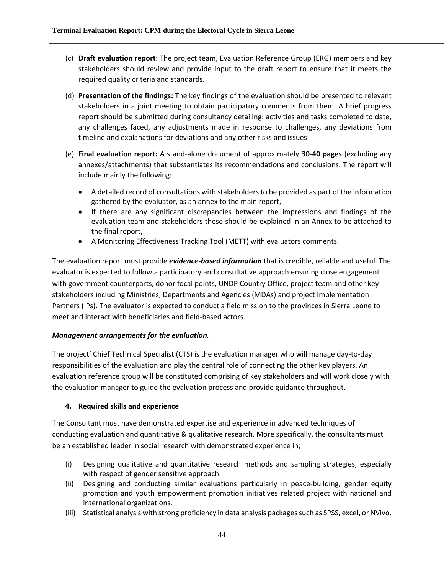- (c) **Draft evaluation report**: The project team, Evaluation Reference Group (ERG) members and key stakeholders should review and provide input to the draft report to ensure that it meets the required quality criteria and standards.
- (d) **Presentation of the findings:** The key findings of the evaluation should be presented to relevant stakeholders in a joint meeting to obtain participatory comments from them. A brief progress report should be submitted during consultancy detailing: activities and tasks completed to date, any challenges faced, any adjustments made in response to challenges, any deviations from timeline and explanations for deviations and any other risks and issues
- (e) **Final evaluation report:** A stand-alone document of approximately **30-40 pages** (excluding any annexes/attachments) that substantiates its recommendations and conclusions. The report will include mainly the following:
	- A detailed record of consultations with stakeholders to be provided as part of the information gathered by the evaluator, as an annex to the main report,
	- If there are any significant discrepancies between the impressions and findings of the evaluation team and stakeholders these should be explained in an Annex to be attached to the final report,
	- A Monitoring Effectiveness Tracking Tool (METT) with evaluators comments.

The evaluation report must provide *evidence‐based information* that is credible, reliable and useful. The evaluator is expected to follow a participatory and consultative approach ensuring close engagement with government counterparts, donor focal points, UNDP Country Office, project team and other key stakeholders including Ministries, Departments and Agencies (MDAs) and project Implementation Partners (IPs). The evaluator is expected to conduct a field mission to the provinces in Sierra Leone to meet and interact with beneficiaries and field-based actors.

#### *Management arrangements for the evaluation.*

The project' Chief Technical Specialist (CTS) is the evaluation manager who will manage day-to-day responsibilities of the evaluation and play the central role of connecting the other key players. An evaluation reference group will be constituted comprising of key stakeholders and will work closely with the evaluation manager to guide the evaluation process and provide guidance throughout.

#### **4. Required skills and experience**

The Consultant must have demonstrated expertise and experience in advanced techniques of conducting evaluation and quantitative & qualitative research. More specifically, the consultants must be an established leader in social research with demonstrated experience in;

- (i) Designing qualitative and quantitative research methods and sampling strategies, especially with respect of gender sensitive approach.
- (ii) Designing and conducting similar evaluations particularly in peace-building, gender equity promotion and youth empowerment promotion initiatives related project with national and international organizations.
- (iii) Statistical analysis with strong proficiency in data analysis packages such as SPSS, excel, or NVivo.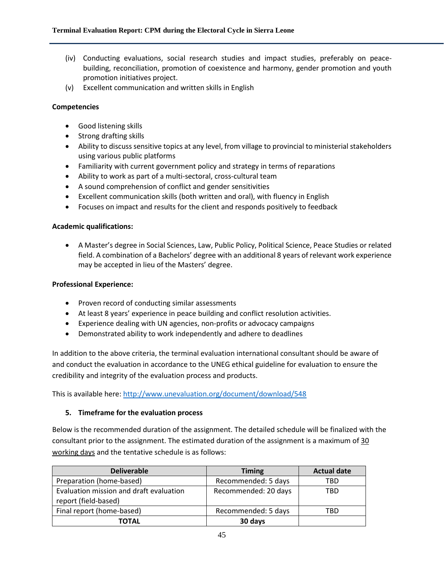- (iv) Conducting evaluations, social research studies and impact studies, preferably on peacebuilding, reconciliation, promotion of coexistence and harmony, gender promotion and youth promotion initiatives project.
- (v) Excellent communication and written skills in English

#### **Competencies**

- Good listening skills
- Strong drafting skills
- Ability to discuss sensitive topics at any level, from village to provincial to ministerial stakeholders using various public platforms
- Familiarity with current government policy and strategy in terms of reparations
- Ability to work as part of a multi-sectoral, cross-cultural team
- A sound comprehension of conflict and gender sensitivities
- Excellent communication skills (both written and oral), with fluency in English
- Focuses on impact and results for the client and responds positively to feedback

#### **Academic qualifications:**

• A Master's degree in Social Sciences, Law, Public Policy, Political Science, Peace Studies or related field. A combination of a Bachelors' degree with an additional 8 years of relevant work experience may be accepted in lieu of the Masters' degree.

#### **Professional Experience:**

- Proven record of conducting similar assessments
- At least 8 years' experience in peace building and conflict resolution activities.
- Experience dealing with UN agencies, non-profits or advocacy campaigns
- Demonstrated ability to work independently and adhere to deadlines

In addition to the above criteria, the terminal evaluation international consultant should be aware of and conduct the evaluation in accordance to the UNEG ethical guideline for evaluation to ensure the credibility and integrity of the evaluation process and products.

This is available here: <http://www.unevaluation.org/document/download/548>

#### **5. Timeframe for the evaluation process**

Below is the recommended duration of the assignment. The detailed schedule will be finalized with the consultant prior to the assignment. The estimated duration of the assignment is a maximum of 30 working days and the tentative schedule is as follows:

| <b>Deliverable</b>                                              | <b>Timing</b>        | <b>Actual date</b> |
|-----------------------------------------------------------------|----------------------|--------------------|
| Preparation (home-based)                                        | Recommended: 5 days  | TBD                |
| Evaluation mission and draft evaluation<br>report (field-based) | Recommended: 20 days | TBD                |
| Final report (home-based)                                       | Recommended: 5 days  | TBD                |
| ΤΟΤΑL                                                           | 30 days              |                    |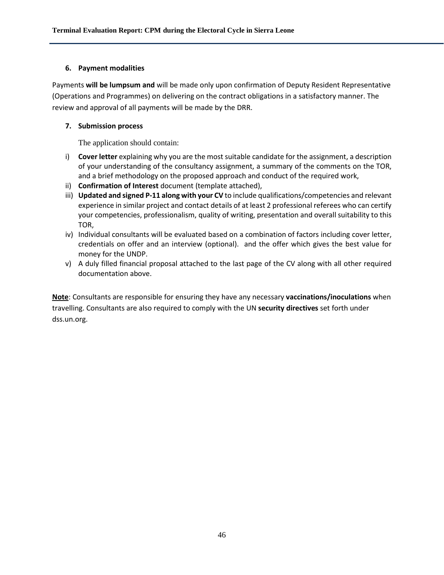#### **6. Payment modalities**

Payments **will be lumpsum and** will be made only upon confirmation of Deputy Resident Representative (Operations and Programmes) on delivering on the contract obligations in a satisfactory manner. The review and approval of all payments will be made by the DRR.

#### **7. Submission process**

The application should contain:

- i) **Cover letter** explaining why you are the most suitable candidate for the assignment, a description of your understanding of the consultancy assignment, a summary of the comments on the TOR, and a brief methodology on the proposed approach and conduct of the required work,
- ii) **Confirmation of Interest** document (template attached),
- iii) **Updated and signed P-11 along with your CV** to include qualifications/competencies and relevant experience in similar project and contact details of at least 2 professional referees who can certify your competencies, professionalism, quality of writing, presentation and overall suitability to this TOR,
- iv) Individual consultants will be evaluated based on a combination of factors including cover letter, credentials on offer and an interview (optional). and the offer which gives the best value for money for the UNDP.
- v) A duly filled financial proposal attached to the last page of the CV along with all other required documentation above.

**Note**: Consultants are responsible for ensuring they have any necessary **vaccinations/inoculations** when travelling. Consultants are also required to comply with the UN **security directives** set forth under dss.un.org.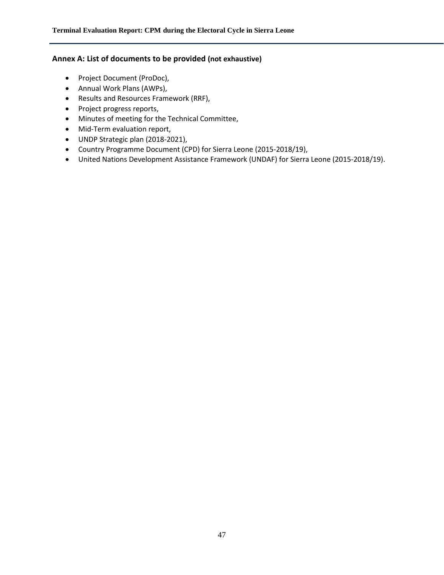#### **Annex A: List of documents to be provided (not exhaustive)**

- Project Document (ProDoc),
- Annual Work Plans (AWPs),
- Results and Resources Framework (RRF),
- Project progress reports,
- Minutes of meeting for the Technical Committee,
- Mid-Term evaluation report,
- UNDP Strategic plan (2018-2021),
- Country Programme Document (CPD) for Sierra Leone (2015-2018/19),
- United Nations Development Assistance Framework (UNDAF) for Sierra Leone (2015-2018/19).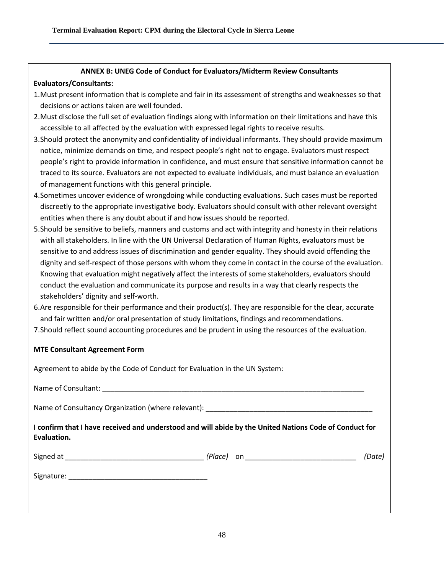#### **ANNEX B: UNEG Code of Conduct for Evaluators/Midterm Review Consultants**

#### **Evaluators/Consultants:**

- 1.Must present information that is complete and fair in its assessment of strengths and weaknesses so that decisions or actions taken are well founded.
- 2.Must disclose the full set of evaluation findings along with information on their limitations and have this accessible to all affected by the evaluation with expressed legal rights to receive results.
- 3.Should protect the anonymity and confidentiality of individual informants. They should provide maximum notice, minimize demands on time, and respect people's right not to engage. Evaluators must respect people's right to provide information in confidence, and must ensure that sensitive information cannot be traced to its source. Evaluators are not expected to evaluate individuals, and must balance an evaluation of management functions with this general principle.
- 4.Sometimes uncover evidence of wrongdoing while conducting evaluations. Such cases must be reported discreetly to the appropriate investigative body. Evaluators should consult with other relevant oversight entities when there is any doubt about if and how issues should be reported.
- 5.Should be sensitive to beliefs, manners and customs and act with integrity and honesty in their relations with all stakeholders. In line with the UN Universal Declaration of Human Rights, evaluators must be sensitive to and address issues of discrimination and gender equality. They should avoid offending the dignity and self-respect of those persons with whom they come in contact in the course of the evaluation. Knowing that evaluation might negatively affect the interests of some stakeholders, evaluators should conduct the evaluation and communicate its purpose and results in a way that clearly respects the stakeholders' dignity and self-worth.
- 6.Are responsible for their performance and their product(s). They are responsible for the clear, accurate and fair written and/or oral presentation of study limitations, findings and recommendations.
- 7.Should reflect sound accounting procedures and be prudent in using the resources of the evaluation.

#### **MTE Consultant Agreement Form**

| Agreement to abide by the Code of Conduct for Evaluation in the UN System: |                                                                                                        |  |
|----------------------------------------------------------------------------|--------------------------------------------------------------------------------------------------------|--|
|                                                                            |                                                                                                        |  |
|                                                                            |                                                                                                        |  |
| Evaluation.                                                                | I confirm that I have received and understood and will abide by the United Nations Code of Conduct for |  |
|                                                                            | (Date)                                                                                                 |  |
|                                                                            |                                                                                                        |  |
|                                                                            |                                                                                                        |  |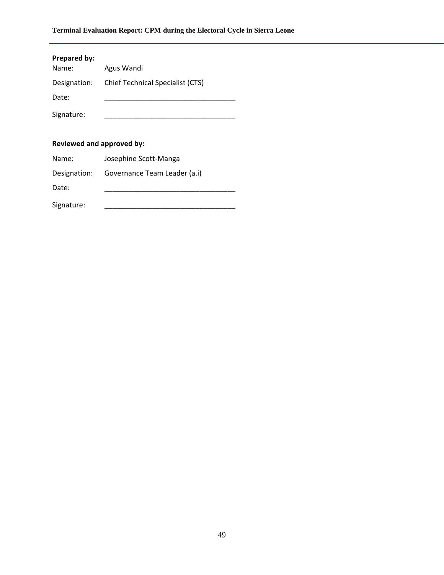| Prepared by:<br>Name: | Agus Wandi                              |
|-----------------------|-----------------------------------------|
| Designation:          | <b>Chief Technical Specialist (CTS)</b> |
| Date:                 |                                         |
| Signature:            |                                         |
|                       |                                         |

## **Reviewed and approved by:**

| Name:      | Josephine Scott-Manga                     |
|------------|-------------------------------------------|
|            | Designation: Governance Team Leader (a.i) |
| Date:      |                                           |
| Signature: |                                           |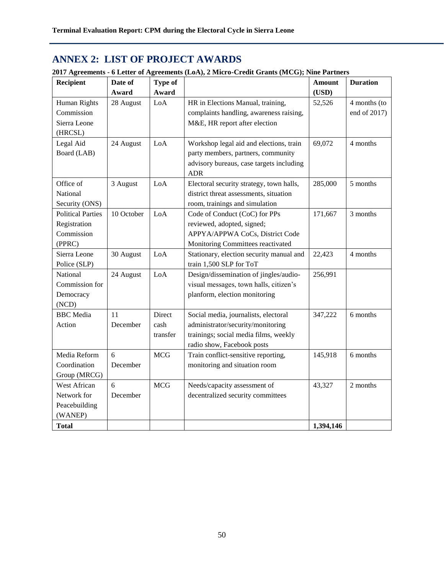# **ANNEX 2: LIST OF PROJECT AWARDS**

| 2017 Agreements - 6 Letter of Agreements (LoA), 2 Micro-Credit Grants (MCG); Nine Partners |  |  |  |  |
|--------------------------------------------------------------------------------------------|--|--|--|--|
|                                                                                            |  |  |  |  |

| <b>Recipient</b>         | Date of    | <b>Type of</b> |                                                        | Amount    | <b>Duration</b> |
|--------------------------|------------|----------------|--------------------------------------------------------|-----------|-----------------|
|                          | Award      | Award          |                                                        | (USD)     |                 |
| Human Rights             | 28 August  | LoA            | HR in Elections Manual, training,                      | 52,526    | 4 months (to    |
| Commission               |            |                | complaints handling, awareness raising,                |           | end of 2017)    |
| Sierra Leone             |            |                | M&E, HR report after election                          |           |                 |
| (HRCSL)                  |            |                |                                                        |           |                 |
| Legal Aid                | 24 August  | LoA            | Workshop legal aid and elections, train                | 69,072    | 4 months        |
| Board (LAB)              |            |                | party members, partners, community                     |           |                 |
|                          |            |                | advisory bureaus, case targets including               |           |                 |
| Office of                | 3 August   | LoA            | <b>ADR</b><br>Electoral security strategy, town halls, | 285,000   | 5 months        |
| National                 |            |                | district threat assessments, situation                 |           |                 |
| Security (ONS)           |            |                | room, trainings and simulation                         |           |                 |
| <b>Political Parties</b> | 10 October | LoA            | Code of Conduct (CoC) for PPs                          | 171,667   | 3 months        |
| Registration             |            |                | reviewed, adopted, signed;                             |           |                 |
| Commission               |            |                | APPYA/APPWA CoCs, District Code                        |           |                 |
| (PPRC)                   |            |                | Monitoring Committees reactivated                      |           |                 |
| Sierra Leone             | 30 August  | LoA            | Stationary, election security manual and               | 22,423    | 4 months        |
| Police (SLP)             |            |                | train 1,500 SLP for ToT                                |           |                 |
| National                 | 24 August  | LoA            | Design/dissemination of jingles/audio-                 | 256,991   |                 |
| Commission for           |            |                | visual messages, town halls, citizen's                 |           |                 |
| Democracy                |            |                | planform, election monitoring                          |           |                 |
| (NCD)                    |            |                |                                                        |           |                 |
| <b>BBC</b> Media         | 11         | Direct         | Social media, journalists, electoral                   | 347,222   | 6 months        |
| Action                   | December   | cash           | administrator/security/monitoring                      |           |                 |
|                          |            | transfer       | trainings; social media films, weekly                  |           |                 |
|                          |            |                | radio show, Facebook posts                             |           |                 |
| Media Reform             | 6          | <b>MCG</b>     | Train conflict-sensitive reporting,                    | 145,918   | 6 months        |
| Coordination             | December   |                | monitoring and situation room                          |           |                 |
| Group (MRCG)             |            |                |                                                        |           |                 |
| West African             | 6          | <b>MCG</b>     | Needs/capacity assessment of                           | 43,327    | 2 months        |
| Network for              | December   |                | decentralized security committees                      |           |                 |
| Peacebuilding            |            |                |                                                        |           |                 |
| (WANEP)                  |            |                |                                                        |           |                 |
| <b>Total</b>             |            |                |                                                        | 1,394,146 |                 |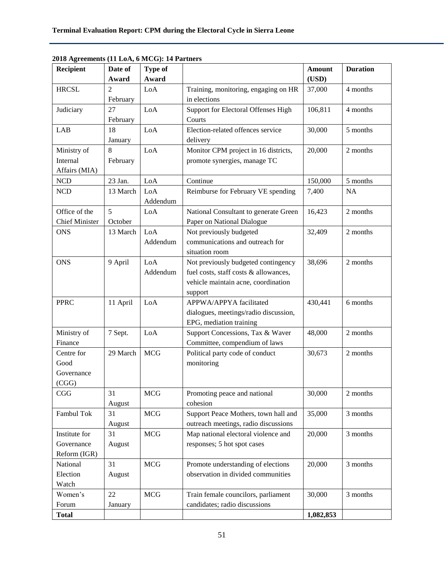| Recipient             | Date of        | Type of    |                                       | <b>Amount</b> | <b>Duration</b> |
|-----------------------|----------------|------------|---------------------------------------|---------------|-----------------|
|                       | Award          | Award      |                                       | (USD)         |                 |
| <b>HRCSL</b>          | $\overline{2}$ | LoA        | Training, monitoring, engaging on HR  | 37,000        | 4 months        |
|                       | February       |            | in elections                          |               |                 |
| Judiciary             | 27             | LoA        | Support for Electoral Offenses High   | 106,811       | 4 months        |
|                       | February       |            | Courts                                |               |                 |
| <b>LAB</b>            | 18             | LoA        | Election-related offences service     | 30,000        | 5 months        |
|                       | January        |            | delivery                              |               |                 |
| Ministry of           | 8              | LoA        | Monitor CPM project in 16 districts,  | 20,000        | 2 months        |
| Internal              | February       |            | promote synergies, manage TC          |               |                 |
| Affairs (MIA)         |                |            |                                       |               |                 |
| <b>NCD</b>            | 23 Jan.        | LoA        | Continue                              | 150,000       | 5 months        |
| <b>NCD</b>            | 13 March       | LoA        | Reimburse for February VE spending    | 7,400         | NA              |
|                       |                | Addendum   |                                       |               |                 |
| Office of the         | 5              | LoA        | National Consultant to generate Green | 16,423        | 2 months        |
| <b>Chief Minister</b> | October        |            | Paper on National Dialogue            |               |                 |
| <b>ONS</b>            | 13 March       | LoA        | Not previously budgeted               | 32,409        | 2 months        |
|                       |                | Addendum   | communications and outreach for       |               |                 |
|                       |                |            | situation room                        |               |                 |
| <b>ONS</b>            | 9 April        | LoA        | Not previously budgeted contingency   | 38,696        | 2 months        |
|                       |                | Addendum   | fuel costs, staff costs & allowances, |               |                 |
|                       |                |            | vehicle maintain acne, coordination   |               |                 |
|                       |                |            | support                               |               |                 |
| <b>PPRC</b>           | 11 April       | LoA        | APPWA/APPYA facilitated               | 430,441       | 6 months        |
|                       |                |            | dialogues, meetings/radio discussion, |               |                 |
|                       |                |            | EPG, mediation training               |               |                 |
| Ministry of           | 7 Sept.        | LoA        | Support Concessions, Tax & Waver      | 48,000        | 2 months        |
| Finance               |                |            | Committee, compendium of laws         |               |                 |
| Centre for            | 29 March       | <b>MCG</b> | Political party code of conduct       | 30,673        | 2 months        |
| Good                  |                |            | monitoring                            |               |                 |
| Governance            |                |            |                                       |               |                 |
| (CGG)                 |                |            |                                       |               |                 |
| CGG                   | 31             | <b>MCG</b> | Promoting peace and national          | 30,000        | 2 months        |
|                       | August         |            | cohesion                              |               |                 |
| Fambul Tok            | 31             | <b>MCG</b> | Support Peace Mothers, town hall and  | 35,000        | 3 months        |
|                       | August         |            | outreach meetings, radio discussions  |               |                 |
| Institute for         | 31             | MCG        | Map national electoral violence and   | 20,000        | 3 months        |
| Governance            | August         |            | responses; 5 hot spot cases           |               |                 |
| Reform (IGR)          |                |            |                                       |               |                 |
| National              | 31             | MCG        | Promote understanding of elections    | 20,000        | 3 months        |
| Election              | August         |            | observation in divided communities    |               |                 |
| Watch                 |                |            |                                       |               |                 |
| Women's               | 22             | <b>MCG</b> | Train female councilors, parliament   | 30,000        | 3 months        |
| Forum                 | January        |            | candidates; radio discussions         |               |                 |
| <b>Total</b>          |                |            |                                       | 1,082,853     |                 |

**2018 Agreements (11 LoA, 6 MCG): 14 Partners**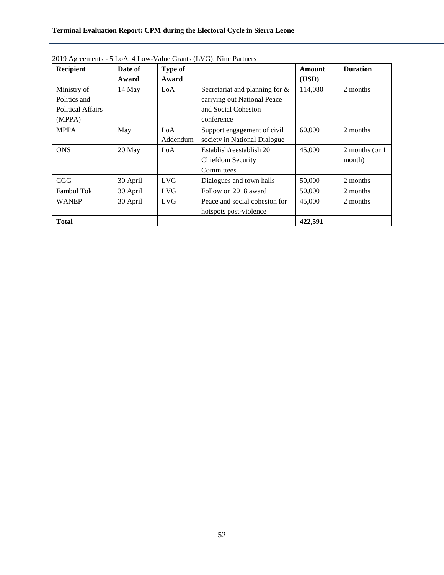## **Terminal Evaluation Report: CPM during the Electoral Cycle in Sierra Leone**

| Recipient                                                         | Date of<br>Award | Type of<br>Award |                                                                                                       | Amount<br>(USD) | <b>Duration</b>           |
|-------------------------------------------------------------------|------------------|------------------|-------------------------------------------------------------------------------------------------------|-----------------|---------------------------|
| Ministry of<br>Politics and<br><b>Political Affairs</b><br>(MPPA) | 14 May           | LoA              | Secretariat and planning for $\&$<br>carrying out National Peace<br>and Social Cohesion<br>conference | 114,080         | 2 months                  |
| <b>MPPA</b>                                                       | May              | LoA<br>Addendum  | Support engagement of civil<br>society in National Dialogue                                           | 60,000          | 2 months                  |
| <b>ONS</b>                                                        | 20 May           | LoA              | Establish/reestablish 20<br>Chiefdom Security<br>Committees                                           | 45,000          | 2 months (or 1)<br>month) |
| CGG                                                               | 30 April         | <b>LVG</b>       | Dialogues and town halls                                                                              | 50,000          | 2 months                  |
| <b>Fambul Tok</b>                                                 | 30 April         | <b>LVG</b>       | Follow on 2018 award                                                                                  | 50,000          | 2 months                  |
| <b>WANEP</b>                                                      | 30 April         | LVG.             | Peace and social cohesion for<br>hotspots post-violence                                               | 45,000          | 2 months                  |
| <b>Total</b>                                                      |                  |                  |                                                                                                       | 422,591         |                           |

2019 Agreements - 5 LoA, 4 Low-Value Grants (LVG): Nine Partners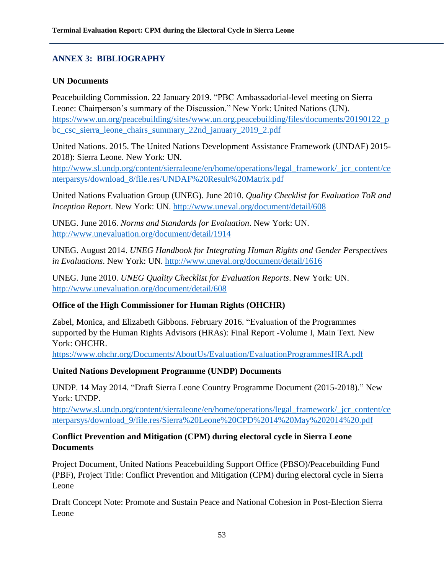# **ANNEX 3: BIBLIOGRAPHY**

## **UN Documents**

Peacebuilding Commission. 22 January 2019. "PBC Ambassadorial-level meeting on Sierra Leone: Chairperson's summary of the Discussion." New York: United Nations (UN). [https://www.un.org/peacebuilding/sites/www.un.org.peacebuilding/files/documents/20190122\\_p](https://www.un.org/peacebuilding/sites/www.un.org.peacebuilding/files/documents/20190122_pbc_csc_sierra_leone_chairs_summary_22nd_january_2019_2.pdf) [bc\\_csc\\_sierra\\_leone\\_chairs\\_summary\\_22nd\\_january\\_2019\\_2.pdf](https://www.un.org/peacebuilding/sites/www.un.org.peacebuilding/files/documents/20190122_pbc_csc_sierra_leone_chairs_summary_22nd_january_2019_2.pdf)

United Nations. 2015. The United Nations Development Assistance Framework (UNDAF) 2015- 2018): Sierra Leone. New York: UN.

[http://www.sl.undp.org/content/sierraleone/en/home/operations/legal\\_framework/\\_jcr\\_content/ce](http://www.sl.undp.org/content/sierraleone/en/home/operations/legal_framework/_jcr_content/centerparsys/download_8/file.res/UNDAF%20Result%20Matrix.pdf) [nterparsys/download\\_8/file.res/UNDAF%20Result%20Matrix.pdf](http://www.sl.undp.org/content/sierraleone/en/home/operations/legal_framework/_jcr_content/centerparsys/download_8/file.res/UNDAF%20Result%20Matrix.pdf)

United Nations Evaluation Group (UNEG). June 2010. *Quality Checklist for Evaluation ToR and Inception Report*. New York: UN. <http://www.uneval.org/document/detail/608>

UNEG. June 2016. *Norms and Standards for Evaluation*. New York: UN. <http://www.unevaluation.org/document/detail/1914>

UNEG. August 2014. *UNEG Handbook for Integrating Human Rights and Gender Perspectives in Evaluations*. New York: UN. <http://www.uneval.org/document/detail/1616>

UNEG. June 2010. *UNEG Quality Checklist for Evaluation Reports*. New York: UN. <http://www.unevaluation.org/document/detail/608>

## **Office of the High Commissioner for Human Rights (OHCHR)**

Zabel, Monica, and Elizabeth Gibbons. February 2016. "Evaluation of the Programmes supported by the Human Rights Advisors (HRAs): Final Report -Volume I, Main Text. New York: OHCHR.

<https://www.ohchr.org/Documents/AboutUs/Evaluation/EvaluationProgrammesHRA.pdf>

## **United Nations Development Programme (UNDP) Documents**

UNDP. 14 May 2014. "Draft Sierra Leone Country Programme Document (2015-2018)." New York: UNDP.

[http://www.sl.undp.org/content/sierraleone/en/home/operations/legal\\_framework/\\_jcr\\_content/ce](http://www.sl.undp.org/content/sierraleone/en/home/operations/legal_framework/_jcr_content/centerparsys/download_9/file.res/Sierra%20Leone%20CPD%2014%20May%202014%20.pdf) [nterparsys/download\\_9/file.res/Sierra%20Leone%20CPD%2014%20May%202014%20.pdf](http://www.sl.undp.org/content/sierraleone/en/home/operations/legal_framework/_jcr_content/centerparsys/download_9/file.res/Sierra%20Leone%20CPD%2014%20May%202014%20.pdf)

## **Conflict Prevention and Mitigation (CPM) during electoral cycle in Sierra Leone Documents**

Project Document, United Nations Peacebuilding Support Office (PBSO)/Peacebuilding Fund (PBF), Project Title: Conflict Prevention and Mitigation (CPM) during electoral cycle in Sierra Leone

Draft Concept Note: Promote and Sustain Peace and National Cohesion in Post-Election Sierra Leone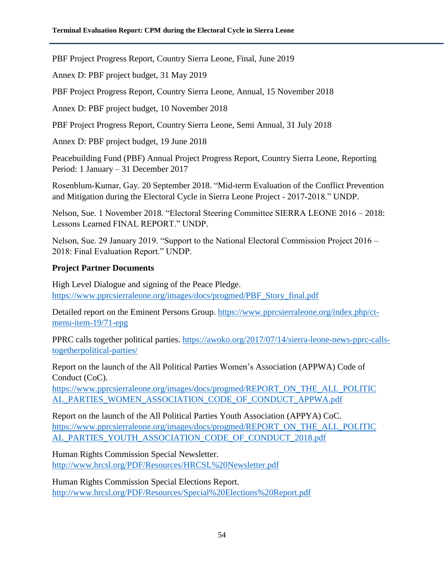PBF Project Progress Report, Country Sierra Leone, Final, June 2019

Annex D: PBF project budget, 31 May 2019

PBF Project Progress Report, Country Sierra Leone, Annual, 15 November 2018

Annex D: PBF project budget, 10 November 2018

PBF Project Progress Report, Country Sierra Leone, Semi Annual, 31 July 2018

Annex D: PBF project budget, 19 June 2018

Peacebuilding Fund (PBF) Annual Project Progress Report, Country Sierra Leone, Reporting Period: 1 January – 31 December 2017

Rosenblum‐Kumar, Gay. 20 September 2018. "Mid-term Evaluation of the Conflict Prevention and Mitigation during the Electoral Cycle in Sierra Leone Project ‐ 2017‐2018." UNDP.

Nelson, Sue. 1 November 2018. "Electoral Steering Committee SIERRA LEONE 2016 – 2018: Lessons Learned FINAL REPORT." UNDP.

Nelson, Sue. 29 January 2019. "Support to the National Electoral Commission Project 2016 – 2018: Final Evaluation Report." UNDP.

## **Project Partner Documents**

High Level Dialogue and signing of the Peace Pledge. [https://www.pprcsierraleone.org/images/docs/progmed/PBF\\_Story\\_final.pdf](https://www.pprcsierraleone.org/images/docs/progmed/PBF_Story_final.pdf)

Detailed report on the Eminent Persons Group. [https://www.pprcsierraleone.org/index.php/ct](https://www.pprcsierraleone.org/index.php/ct-menu-item-19/71-epg)[menu-item-19/71-epg](https://www.pprcsierraleone.org/index.php/ct-menu-item-19/71-epg)

PPRC calls together political parties. [https://awoko.org/2017/07/14/sierra-leone-news-pprc-calls](https://awoko.org/2017/07/14/sierra-leone-news-pprc-calls-togetherpolitical-parties/)[togetherpolitical-parties/](https://awoko.org/2017/07/14/sierra-leone-news-pprc-calls-togetherpolitical-parties/)

Report on the launch of the All Political Parties Women's Association (APPWA) Code of Conduct (CoC).

[https://www.pprcsierraleone.org/images/docs/progmed/REPORT\\_ON\\_THE\\_ALL\\_POLITIC](https://www.pprcsierraleone.org/images/docs/progmed/REPORT_ON_THE_ALL_POLITIC%20AL_PARTIES_WOMEN_ASSOCIATION_CODE_OF_CONDUCT_APPWA.pdf)  [AL\\_PARTIES\\_WOMEN\\_ASSOCIATION\\_CODE\\_OF\\_CONDUCT\\_APPWA.pdf](https://www.pprcsierraleone.org/images/docs/progmed/REPORT_ON_THE_ALL_POLITIC%20AL_PARTIES_WOMEN_ASSOCIATION_CODE_OF_CONDUCT_APPWA.pdf) 

Report on the launch of the All Political Parties Youth Association (APPYA) CoC. [https://www.pprcsierraleone.org/images/docs/progmed/REPORT\\_ON\\_THE\\_ALL\\_POLITIC](https://www.pprcsierraleone.org/images/docs/progmed/REPORT_ON_THE_ALL_POLITIC%20AL_PARTIES_YOUTH_ASSOCIATION_CODE_OF_CONDUCT_2018.pdf) [AL\\_PARTIES\\_YOUTH\\_ASSOCIATION\\_CODE\\_OF\\_CONDUCT\\_2018.pdf](https://www.pprcsierraleone.org/images/docs/progmed/REPORT_ON_THE_ALL_POLITIC%20AL_PARTIES_YOUTH_ASSOCIATION_CODE_OF_CONDUCT_2018.pdf)

Human Rights Commission Special Newsletter. <http://www.hrcsl.org/PDF/Resources/HRCSL%20Newsletter.pdf>

Human Rights Commission Special Elections Report. <http://www.hrcsl.org/PDF/Resources/Special%20Elections%20Report.pdf>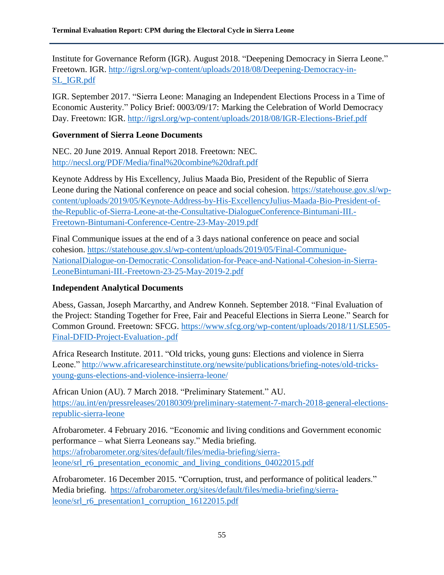Institute for Governance Reform (IGR). August 2018. "Deepening Democracy in Sierra Leone." Freetown. IGR. [http://igrsl.org/wp-content/uploads/2018/08/Deepening-Democracy-in-](http://igrsl.org/wp-content/uploads/2018/08/Deepening-Democracy-in-SL_IGR.pdf)[SL\\_IGR.pdf](http://igrsl.org/wp-content/uploads/2018/08/Deepening-Democracy-in-SL_IGR.pdf)

IGR. September 2017. "Sierra Leone: Managing an Independent Elections Process in a Time of Economic Austerity." Policy Brief: 0003/09/17: Marking the Celebration of World Democracy Day. Freetown: IGR. <http://igrsl.org/wp-content/uploads/2018/08/IGR-Elections-Brief.pdf>

## **Government of Sierra Leone Documents**

NEC. 20 June 2019. Annual Report 2018. Freetown: NEC. <http://necsl.org/PDF/Media/final%20combine%20draft.pdf>

Keynote Address by His Excellency, Julius Maada Bio, President of the Republic of Sierra Leone during the National conference on peace and social cohesion. [https://statehouse.gov.sl/wp](https://statehouse.gov.sl/wp-content/uploads/2019/05/Keynote-Address-by-His-ExcellencyJulius-Maada-Bio-President-of-the-Republic-of-Sierra-Leone-at-the-Consultative-DialogueConference-Bintumani-III.-Freetown-Bintumani-Conference-Centre-23-May-2019.pdf)[content/uploads/2019/05/Keynote-Address-by-His-ExcellencyJulius-Maada-Bio-President-of](https://statehouse.gov.sl/wp-content/uploads/2019/05/Keynote-Address-by-His-ExcellencyJulius-Maada-Bio-President-of-the-Republic-of-Sierra-Leone-at-the-Consultative-DialogueConference-Bintumani-III.-Freetown-Bintumani-Conference-Centre-23-May-2019.pdf)[the-Republic-of-Sierra-Leone-at-the-Consultative-DialogueConference-Bintumani-III.-](https://statehouse.gov.sl/wp-content/uploads/2019/05/Keynote-Address-by-His-ExcellencyJulius-Maada-Bio-President-of-the-Republic-of-Sierra-Leone-at-the-Consultative-DialogueConference-Bintumani-III.-Freetown-Bintumani-Conference-Centre-23-May-2019.pdf) [Freetown-Bintumani-Conference-Centre-23-May-2019.pdf](https://statehouse.gov.sl/wp-content/uploads/2019/05/Keynote-Address-by-His-ExcellencyJulius-Maada-Bio-President-of-the-Republic-of-Sierra-Leone-at-the-Consultative-DialogueConference-Bintumani-III.-Freetown-Bintumani-Conference-Centre-23-May-2019.pdf) 

Final Communique issues at the end of a 3 days national conference on peace and social cohesion. [https://statehouse.gov.sl/wp-content/uploads/2019/05/Final-Communique-](https://statehouse.gov.sl/wp-content/uploads/2019/05/Final-Communique-NationalDialogue-on-Democratic-Consolidation-for-Peace-and-National-Cohesion-in-Sierra-LeoneBintumani-III.-Freetown-23-25-May-2019-2.pdf)[NationalDialogue-on-Democratic-Consolidation-for-Peace-and-National-Cohesion-in-Sierra-](https://statehouse.gov.sl/wp-content/uploads/2019/05/Final-Communique-NationalDialogue-on-Democratic-Consolidation-for-Peace-and-National-Cohesion-in-Sierra-LeoneBintumani-III.-Freetown-23-25-May-2019-2.pdf)[LeoneBintumani-III.-Freetown-23-25-May-2019-2.pdf](https://statehouse.gov.sl/wp-content/uploads/2019/05/Final-Communique-NationalDialogue-on-Democratic-Consolidation-for-Peace-and-National-Cohesion-in-Sierra-LeoneBintumani-III.-Freetown-23-25-May-2019-2.pdf)

## **Independent Analytical Documents**

Abess, Gassan, Joseph Marcarthy, and Andrew Konneh. September 2018. "Final Evaluation of the Project: Standing Together for Free, Fair and Peaceful Elections in Sierra Leone." Search for Common Ground. Freetown: SFCG. [https://www.sfcg.org/wp-content/uploads/2018/11/SLE505-](https://www.sfcg.org/wp-content/uploads/2018/11/SLE505-Final-DFID-Project-Evaluation-.pdf) [Final-DFID-Project-Evaluation-.pdf](https://www.sfcg.org/wp-content/uploads/2018/11/SLE505-Final-DFID-Project-Evaluation-.pdf)

Africa Research Institute. 2011. "Old tricks, young guns: Elections and violence in Sierra Leone." [http://www.africaresearchinstitute.org/newsite/publications/briefing-notes/old-tricks](http://www.africaresearchinstitute.org/newsite/publications/briefing-notes/old-tricks-young-guns-elections-and-violence-insierra-leone/)[young-guns-elections-and-violence-insierra-leone/](http://www.africaresearchinstitute.org/newsite/publications/briefing-notes/old-tricks-young-guns-elections-and-violence-insierra-leone/) 

African Union (AU). 7 March 2018. "Preliminary Statement." AU. [https://au.int/en/pressreleases/20180309/preliminary-statement-7-march-2018-general-elections](https://au.int/en/pressreleases/20180309/preliminary-statement-7-march-2018-general-elections-republic-sierra-leone)[republic-sierra-leone](https://au.int/en/pressreleases/20180309/preliminary-statement-7-march-2018-general-elections-republic-sierra-leone) 

Afrobarometer. 4 February 2016. "Economic and living conditions and Government economic performance – what Sierra Leoneans say." Media briefing. [https://afrobarometer.org/sites/default/files/media-briefing/sierra](https://afrobarometer.org/sites/default/files/media-briefing/sierra-leone/srl_r6_presentation_economic_and_living_conditions_04022015.pdf)[leone/srl\\_r6\\_presentation\\_economic\\_and\\_living\\_conditions\\_04022015.pdf](https://afrobarometer.org/sites/default/files/media-briefing/sierra-leone/srl_r6_presentation_economic_and_living_conditions_04022015.pdf)

Afrobarometer. 16 December 2015. "Corruption, trust, and performance of political leaders." Media briefing. [https://afrobarometer.org/sites/default/files/media-briefing/sierra](https://afrobarometer.org/sites/default/files/media-briefing/sierra-leone/srl_r6_presentation1_corruption_16122015.pdf)[leone/srl\\_r6\\_presentation1\\_corruption\\_16122015.pdf](https://afrobarometer.org/sites/default/files/media-briefing/sierra-leone/srl_r6_presentation1_corruption_16122015.pdf)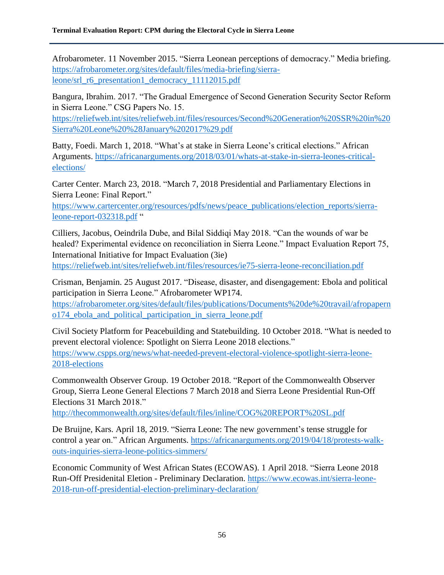Afrobarometer. 11 November 2015. "Sierra Leonean perceptions of democracy." Media briefing. [https://afrobarometer.org/sites/default/files/media-briefing/sierra](https://afrobarometer.org/sites/default/files/media-briefing/sierra-leone/srl_r6_presentation1_democracy_11112015.pdf)[leone/srl\\_r6\\_presentation1\\_democracy\\_11112015.pdf](https://afrobarometer.org/sites/default/files/media-briefing/sierra-leone/srl_r6_presentation1_democracy_11112015.pdf)

Bangura, Ibrahim. 2017. "The Gradual Emergence of Second Generation Security Sector Reform in Sierra Leone." CSG Papers No. 15.

[https://reliefweb.int/sites/reliefweb.int/files/resources/Second%20Generation%20SSR%20in%20](https://reliefweb.int/sites/reliefweb.int/files/resources/Second%20Generation%20SSR%20in%20Sierra%20Leone%20%28January%202017%29.pdf) [Sierra%20Leone%20%28January%202017%29.pdf](https://reliefweb.int/sites/reliefweb.int/files/resources/Second%20Generation%20SSR%20in%20Sierra%20Leone%20%28January%202017%29.pdf)

Batty, Foedi. March 1, 2018. "What's at stake in Sierra Leone's critical elections." African Arguments. [https://africanarguments.org/2018/03/01/whats-at-stake-in-sierra-leones-critical](https://africanarguments.org/2018/03/01/whats-at-stake-in-sierra-leones-critical-elections/)[elections/](https://africanarguments.org/2018/03/01/whats-at-stake-in-sierra-leones-critical-elections/)

Carter Center. March 23, 2018. "March 7, 2018 Presidential and Parliamentary Elections in Sierra Leone: Final Report."

[https://www.cartercenter.org/resources/pdfs/news/peace\\_publications/election\\_reports/sierra](https://www.cartercenter.org/resources/pdfs/news/peace_publications/election_reports/sierra-leone-report-032318.pdf)[leone-report-032318.pdf](https://www.cartercenter.org/resources/pdfs/news/peace_publications/election_reports/sierra-leone-report-032318.pdf) "

Cilliers, Jacobus, Oeindrila Dube, and Bilal Siddiqi May 2018. "Can the wounds of war be healed? Experimental evidence on reconciliation in Sierra Leone." Impact Evaluation Report 75, International Initiative for Impact Evaluation (3ie)

<https://reliefweb.int/sites/reliefweb.int/files/resources/ie75-sierra-leone-reconciliation.pdf>

Crisman, Benjamin. 25 August 2017. "Disease, disaster, and disengagement: Ebola and political participation in Sierra Leone." Afrobarometer WP174.

[https://afrobarometer.org/sites/default/files/publications/Documents%20de%20travail/afropapern](https://afrobarometer.org/sites/default/files/publications/Documents%20de%20travail/afropaperno174_ebola_and_political_participation_in_sierra_leone.pdf) [o174\\_ebola\\_and\\_political\\_participation\\_in\\_sierra\\_leone.pdf](https://afrobarometer.org/sites/default/files/publications/Documents%20de%20travail/afropaperno174_ebola_and_political_participation_in_sierra_leone.pdf)

Civil Society Platform for Peacebuilding and Statebuilding. 10 October 2018. "What is needed to prevent electoral violence: Spotlight on Sierra Leone 2018 elections." [https://www.cspps.org/news/what-needed-prevent-electoral-violence-spotlight-sierra-leone-](https://www.cspps.org/news/what-needed-prevent-electoral-violence-spotlight-sierra-leone-2018-elections)[2018-elections](https://www.cspps.org/news/what-needed-prevent-electoral-violence-spotlight-sierra-leone-2018-elections)

Commonwealth Observer Group. 19 October 2018. "Report of the Commonwealth Observer Group, Sierra Leone General Elections 7 March 2018 and Sierra Leone Presidential Run-Off Elections 31 March 2018."

<http://thecommonwealth.org/sites/default/files/inline/COG%20REPORT%20SL.pdf>

De Bruijne, Kars. April 18, 2019. "Sierra Leone: The new government's tense struggle for control a year on." African Arguments. [https://africanarguments.org/2019/04/18/protests-walk](https://africanarguments.org/2019/04/18/protests-walk-outs-inquiries-sierra-leone-politics-simmers/)[outs-inquiries-sierra-leone-politics-simmers/](https://africanarguments.org/2019/04/18/protests-walk-outs-inquiries-sierra-leone-politics-simmers/)

Economic Community of West African States (ECOWAS). 1 April 2018. "Sierra Leone 2018 Run-Off Presidenital Eletion - Preliminary Declaration. [https://www.ecowas.int/sierra-leone-](https://www.ecowas.int/sierra-leone-2018-run-off-presidential-election-preliminary-declaration/)[2018-run-off-presidential-election-preliminary-declaration/](https://www.ecowas.int/sierra-leone-2018-run-off-presidential-election-preliminary-declaration/)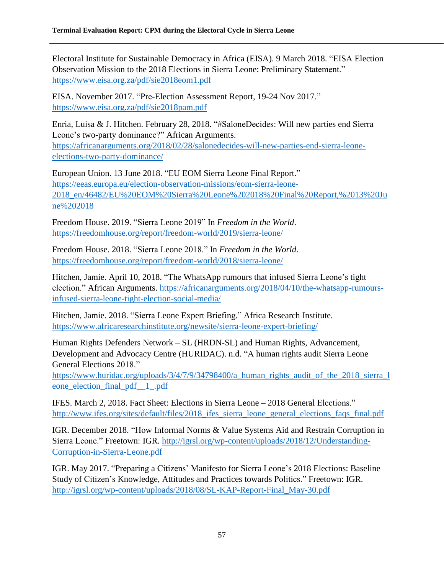Electoral Institute for Sustainable Democracy in Africa (EISA). 9 March 2018. "EISA Election Observation Mission to the 2018 Elections in Sierra Leone: Preliminary Statement." <https://www.eisa.org.za/pdf/sie2018eom1.pdf>

EISA. November 2017. "Pre-Election Assessment Report, 19-24 Nov 2017." <https://www.eisa.org.za/pdf/sie2018pam.pdf>

Enria, Luisa & J. Hitchen. February 28, 2018. "#SaloneDecides: Will new parties end Sierra Leone's two-party dominance?" African Arguments. [https://africanarguments.org/2018/02/28/salonedecides-will-new-parties-end-sierra-leone](https://africanarguments.org/2018/02/28/salonedecides-will-new-parties-end-sierra-leone-elections-two-party-dominance/)[elections-two-party-dominance/](https://africanarguments.org/2018/02/28/salonedecides-will-new-parties-end-sierra-leone-elections-two-party-dominance/)

European Union. 13 June 2018. "EU EOM Sierra Leone Final Report." [https://eeas.europa.eu/election-observation-missions/eom-sierra-leone-](https://eeas.europa.eu/election-observation-missions/eom-sierra-leone-2018_en/46482/EU%20EOM%20Sierra%20Leone%202018%20Final%20Report,%2013%20June%202018)[2018\\_en/46482/EU%20EOM%20Sierra%20Leone%202018%20Final%20Report,%2013%20Ju](https://eeas.europa.eu/election-observation-missions/eom-sierra-leone-2018_en/46482/EU%20EOM%20Sierra%20Leone%202018%20Final%20Report,%2013%20June%202018) [ne%202018](https://eeas.europa.eu/election-observation-missions/eom-sierra-leone-2018_en/46482/EU%20EOM%20Sierra%20Leone%202018%20Final%20Report,%2013%20June%202018)

Freedom House. 2019. "Sierra Leone 2019" In *Freedom in the World*. <https://freedomhouse.org/report/freedom-world/2019/sierra-leone/>

Freedom House. 2018. "Sierra Leone 2018." In *Freedom in the World*. <https://freedomhouse.org/report/freedom-world/2018/sierra-leone/>

Hitchen, Jamie. April 10, 2018. "The WhatsApp rumours that infused Sierra Leone's tight election." African Arguments. [https://africanarguments.org/2018/04/10/the-whatsapp-rumours](https://africanarguments.org/2018/04/10/the-whatsapp-rumours-infused-sierra-leone-tight-election-social-media/)[infused-sierra-leone-tight-election-social-media/](https://africanarguments.org/2018/04/10/the-whatsapp-rumours-infused-sierra-leone-tight-election-social-media/) 

Hitchen, Jamie. 2018. "Sierra Leone Expert Briefing." Africa Research Institute. <https://www.africaresearchinstitute.org/newsite/sierra-leone-expert-briefing/>

Human Rights Defenders Network – SL (HRDN-SL) and Human Rights, Advancement, Development and Advocacy Centre (HURIDAC). n.d. "A human rights audit Sierra Leone General Elections 2018."

[https://www.huridac.org/uploads/3/4/7/9/34798400/a\\_human\\_rights\\_audit\\_of\\_the\\_2018\\_sierra\\_l](https://www.huridac.org/uploads/3/4/7/9/34798400/a_human_rights_audit_of_the_2018_sierra_leone_election_final_pdf__1_.pdf) eone election final pdf 1 .pdf

IFES. March 2, 2018. Fact Sheet: Elections in Sierra Leone – 2018 General Elections." [http://www.ifes.org/sites/default/files/2018\\_ifes\\_sierra\\_leone\\_general\\_elections\\_faqs\\_final.pdf](http://www.ifes.org/sites/default/files/2018_ifes_sierra_leone_general_elections_faqs_final.pdf)

IGR. December 2018. "How Informal Norms & Value Systems Aid and Restrain Corruption in Sierra Leone." Freetown: IGR. [http://igrsl.org/wp-content/uploads/2018/12/Understanding-](http://igrsl.org/wp-content/uploads/2018/12/Understanding-Corruption-in-Sierra-Leone.pdf)[Corruption-in-Sierra-Leone.pdf](http://igrsl.org/wp-content/uploads/2018/12/Understanding-Corruption-in-Sierra-Leone.pdf)

IGR. May 2017. "Preparing a Citizens' Manifesto for Sierra Leone's 2018 Elections: Baseline Study of Citizen's Knowledge, Attitudes and Practices towards Politics." Freetown: IGR. [http://igrsl.org/wp-content/uploads/2018/08/SL-KAP-Report-Final\\_May-30.pdf](http://igrsl.org/wp-content/uploads/2018/08/SL-KAP-Report-Final_May-30.pdf)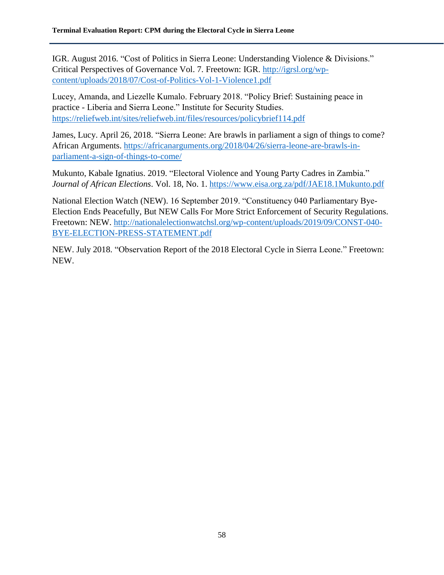IGR. August 2016. "Cost of Politics in Sierra Leone: Understanding Violence & Divisions." Critical Perspectives of Governance Vol. 7. Freetown: IGR. [http://igrsl.org/wp](http://igrsl.org/wp-content/uploads/2018/07/Cost-of-Politics-Vol-1-Violence1.pdf)[content/uploads/2018/07/Cost-of-Politics-Vol-1-Violence1.pdf](http://igrsl.org/wp-content/uploads/2018/07/Cost-of-Politics-Vol-1-Violence1.pdf)

Lucey, Amanda, and Liezelle Kumalo. February 2018. "Policy Brief: Sustaining peace in practice - Liberia and Sierra Leone." Institute for Security Studies. <https://reliefweb.int/sites/reliefweb.int/files/resources/policybrief114.pdf>

James, Lucy. April 26, 2018. "Sierra Leone: Are brawls in parliament a sign of things to come? African Arguments. [https://africanarguments.org/2018/04/26/sierra-leone-are-brawls-in](https://africanarguments.org/2018/04/26/sierra-leone-are-brawls-in-parliament-a-sign-of-things-to-come/)[parliament-a-sign-of-things-to-come/](https://africanarguments.org/2018/04/26/sierra-leone-are-brawls-in-parliament-a-sign-of-things-to-come/)

Mukunto, Kabale Ignatius. 2019. "Electoral Violence and Young Party Cadres in Zambia." *Journal of African Elections*. Vol. 18, No. 1. <https://www.eisa.org.za/pdf/JAE18.1Mukunto.pdf>

National Election Watch (NEW). 16 September 2019. "Constituency 040 Parliamentary Bye-Election Ends Peacefully, But NEW Calls For More Strict Enforcement of Security Regulations. Freetown: NEW. [http://nationalelectionwatchsl.org/wp-content/uploads/2019/09/CONST-040-](http://nationalelectionwatchsl.org/wp-content/uploads/2019/09/CONST-040-BYE-ELECTION-PRESS-STATEMENT.pdf) [BYE-ELECTION-PRESS-STATEMENT.pdf](http://nationalelectionwatchsl.org/wp-content/uploads/2019/09/CONST-040-BYE-ELECTION-PRESS-STATEMENT.pdf)

NEW. July 2018. "Observation Report of the 2018 Electoral Cycle in Sierra Leone." Freetown: NEW.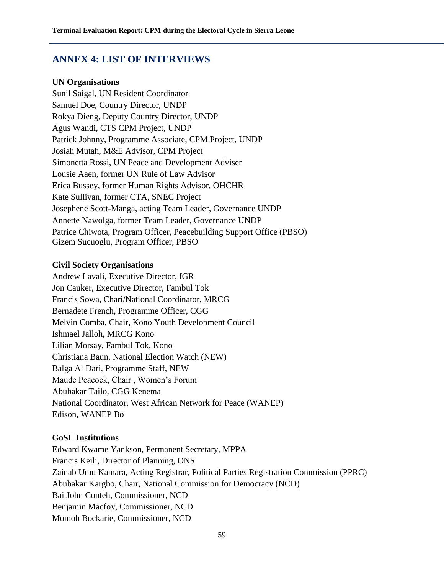# **ANNEX 4: LIST OF INTERVIEWS**

#### **UN Organisations**

Sunil Saigal, UN Resident Coordinator Samuel Doe, Country Director, UNDP Rokya Dieng, Deputy Country Director, UNDP Agus Wandi, CTS CPM Project, UNDP Patrick Johnny, Programme Associate, CPM Project, UNDP Josiah Mutah, M&E Advisor, CPM Project Simonetta Rossi, UN Peace and Development Adviser Lousie Aaen, former UN Rule of Law Advisor Erica Bussey, former Human Rights Advisor, OHCHR Kate Sullivan, former CTA, SNEC Project Josephene Scott-Manga, acting Team Leader, Governance UNDP Annette Nawolga, former Team Leader, Governance UNDP Patrice Chiwota, Program Officer, Peacebuilding Support Office (PBSO) Gizem Sucuoglu, Program Officer, PBSO

#### **Civil Society Organisations**

Andrew Lavali, Executive Director, IGR Jon Cauker, Executive Director, Fambul Tok Francis Sowa, Chari/National Coordinator, MRCG Bernadete French, Programme Officer, CGG Melvin Comba, Chair, Kono Youth Development Council Ishmael Jalloh, MRCG Kono Lilian Morsay, Fambul Tok, Kono Christiana Baun, National Election Watch (NEW) Balga Al Dari, Programme Staff, NEW Maude Peacock, Chair , Women's Forum Abubakar Tailo, CGG Kenema National Coordinator, West African Network for Peace (WANEP) Edison, WANEP Bo

#### **GoSL Institutions**

Edward Kwame Yankson, Permanent Secretary, MPPA Francis Keili, Director of Planning, ONS Zainab Umu Kamara, Acting Registrar, Political Parties Registration Commission (PPRC) Abubakar Kargbo, Chair, National Commission for Democracy (NCD) Bai John Conteh, Commissioner, NCD Benjamin Macfoy, Commissioner, NCD Momoh Bockarie, Commissioner, NCD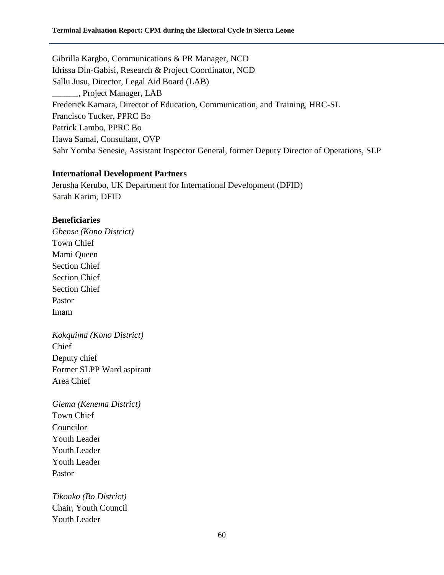Gibrilla Kargbo, Communications & PR Manager, NCD Idrissa Din-Gabisi, Research & Project Coordinator, NCD Sallu Jusu, Director, Legal Aid Board (LAB) \_\_\_\_\_\_, Project Manager, LAB Frederick Kamara, Director of Education, Communication, and Training, HRC-SL Francisco Tucker, PPRC Bo Patrick Lambo, PPRC Bo Hawa Samai, Consultant, OVP Sahr Yomba Senesie, Assistant Inspector General, former Deputy Director of Operations, SLP

#### **International Development Partners**

Jerusha Kerubo, UK Department for International Development (DFID) Sarah Karim, DFID

#### **Beneficiaries**

*Gbense (Kono District)*  Town Chief Mami Queen Section Chief Section Chief Section Chief Pastor Imam

*Kokquima (Kono District)* Chief Deputy chief Former SLPP Ward aspirant Area Chief

*Giema (Kenema District)* Town Chief Councilor Youth Leader Youth Leader Youth Leader Pastor

*Tikonko (Bo District)* Chair, Youth Council Youth Leader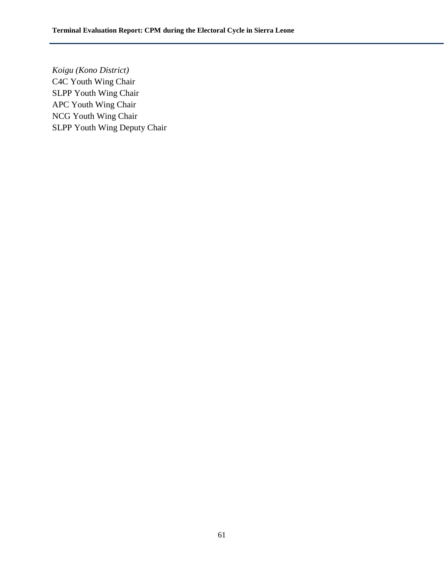*Koigu (Kono District)* C4C Youth Wing Chair SLPP Youth Wing Chair APC Youth Wing Chair NCG Youth Wing Chair SLPP Youth Wing Deputy Chair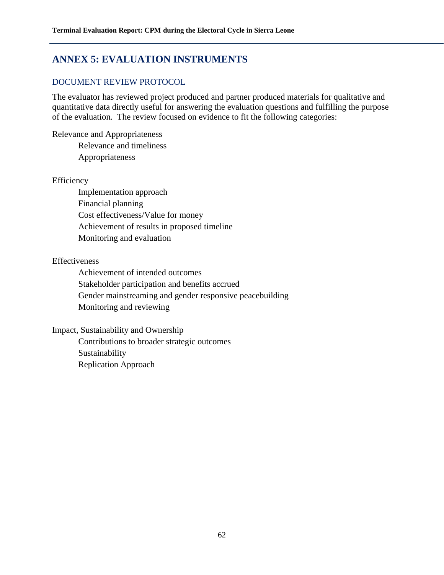# **ANNEX 5: EVALUATION INSTRUMENTS**

# DOCUMENT REVIEW PROTOCOL

The evaluator has reviewed project produced and partner produced materials for qualitative and quantitative data directly useful for answering the evaluation questions and fulfilling the purpose of the evaluation. The review focused on evidence to fit the following categories:

Relevance and Appropriateness Relevance and timeliness Appropriateness

### **Efficiency**

Implementation approach Financial planning Cost effectiveness/Value for money Achievement of results in proposed timeline Monitoring and evaluation

# Effectiveness

Achievement of intended outcomes Stakeholder participation and benefits accrued Gender mainstreaming and gender responsive peacebuilding Monitoring and reviewing

### Impact, Sustainability and Ownership

Contributions to broader strategic outcomes Sustainability Replication Approach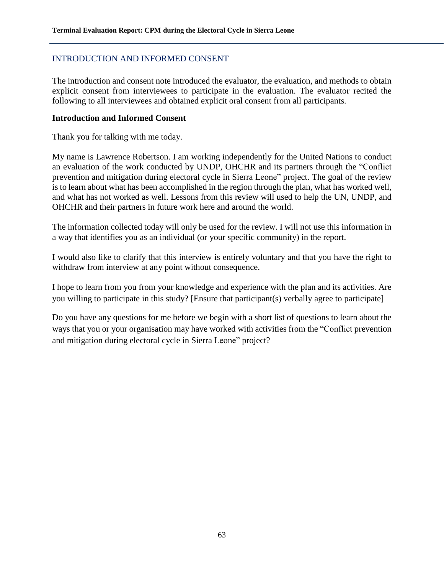# INTRODUCTION AND INFORMED CONSENT

The introduction and consent note introduced the evaluator, the evaluation, and methods to obtain explicit consent from interviewees to participate in the evaluation. The evaluator recited the following to all interviewees and obtained explicit oral consent from all participants*.*

#### **Introduction and Informed Consent**

Thank you for talking with me today.

My name is Lawrence Robertson. I am working independently for the United Nations to conduct an evaluation of the work conducted by UNDP, OHCHR and its partners through the "Conflict prevention and mitigation during electoral cycle in Sierra Leone" project. The goal of the review is to learn about what has been accomplished in the region through the plan, what has worked well, and what has not worked as well. Lessons from this review will used to help the UN, UNDP, and OHCHR and their partners in future work here and around the world.

The information collected today will only be used for the review. I will not use this information in a way that identifies you as an individual (or your specific community) in the report.

I would also like to clarify that this interview is entirely voluntary and that you have the right to withdraw from interview at any point without consequence.

I hope to learn from you from your knowledge and experience with the plan and its activities. Are you willing to participate in this study? [Ensure that participant(s) verbally agree to participate]

Do you have any questions for me before we begin with a short list of questions to learn about the ways that you or your organisation may have worked with activities from the "Conflict prevention and mitigation during electoral cycle in Sierra Leone" project?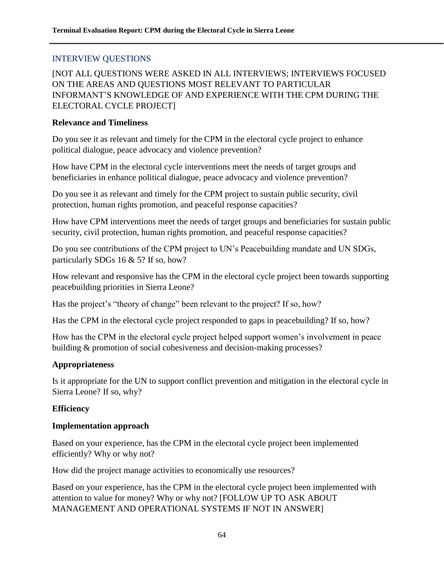# INTERVIEW QUESTIONS

[NOT ALL QUESTIONS WERE ASKED IN ALL INTERVIEWS; INTERVIEWS FOCUSED ON THE AREAS AND QUESTIONS MOST RELEVANT TO PARTICULAR INFORMANT'S KNOWLEDGE OF AND EXPERIENCE WITH THE CPM DURING THE ELECTORAL CYCLE PROJECT]

#### **Relevance and Timeliness**

Do you see it as relevant and timely for the CPM in the electoral cycle project to enhance political dialogue, peace advocacy and violence prevention?

How have CPM in the electoral cycle interventions meet the needs of target groups and beneficiaries in enhance political dialogue, peace advocacy and violence prevention?

Do you see it as relevant and timely for the CPM project to sustain public security, civil protection, human rights promotion, and peaceful response capacities?

How have CPM interventions meet the needs of target groups and beneficiaries for sustain public security, civil protection, human rights promotion, and peaceful response capacities?

Do you see contributions of the CPM project to UN's Peacebuilding mandate and UN SDGs, particularly SDGs 16 & 5? If so, how?

How relevant and responsive has the CPM in the electoral cycle project been towards supporting peacebuilding priorities in Sierra Leone?

Has the project's "theory of change" been relevant to the project? If so, how?

Has the CPM in the electoral cycle project responded to gaps in peacebuilding? If so, how?

How has the CPM in the electoral cycle project helped support women's involvement in peace building & promotion of social cohesiveness and decision-making processes?

### **Appropriateness**

Is it appropriate for the UN to support conflict prevention and mitigation in the electoral cycle in Sierra Leone? If so, why?

### **Efficiency**

### **Implementation approach**

Based on your experience, has the CPM in the electoral cycle project been implemented efficiently? Why or why not?

How did the project manage activities to economically use resources?

Based on your experience, has the CPM in the electoral cycle project been implemented with attention to value for money? Why or why not? [FOLLOW UP TO ASK ABOUT MANAGEMENT AND OPERATIONAL SYSTEMS IF NOT IN ANSWER]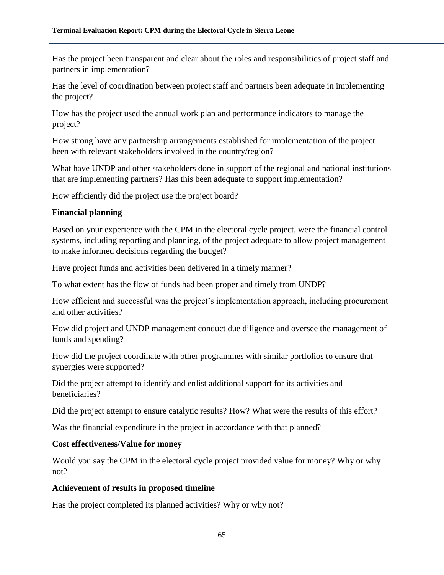Has the project been transparent and clear about the roles and responsibilities of project staff and partners in implementation?

Has the level of coordination between project staff and partners been adequate in implementing the project?

How has the project used the annual work plan and performance indicators to manage the project?

How strong have any partnership arrangements established for implementation of the project been with relevant stakeholders involved in the country/region?

What have UNDP and other stakeholders done in support of the regional and national institutions that are implementing partners? Has this been adequate to support implementation?

How efficiently did the project use the project board?

# **Financial planning**

Based on your experience with the CPM in the electoral cycle project, were the financial control systems, including reporting and planning, of the project adequate to allow project management to make informed decisions regarding the budget?

Have project funds and activities been delivered in a timely manner?

To what extent has the flow of funds had been proper and timely from UNDP?

How efficient and successful was the project's implementation approach, including procurement and other activities?

How did project and UNDP management conduct due diligence and oversee the management of funds and spending?

How did the project coordinate with other programmes with similar portfolios to ensure that synergies were supported?

Did the project attempt to identify and enlist additional support for its activities and beneficiaries?

Did the project attempt to ensure catalytic results? How? What were the results of this effort?

Was the financial expenditure in the project in accordance with that planned?

# **Cost effectiveness/Value for money**

Would you say the CPM in the electoral cycle project provided value for money? Why or why not?

# **Achievement of results in proposed timeline**

Has the project completed its planned activities? Why or why not?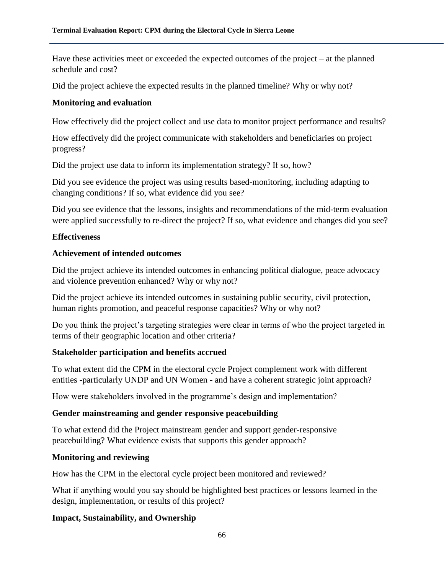Have these activities meet or exceeded the expected outcomes of the project – at the planned schedule and cost?

Did the project achieve the expected results in the planned timeline? Why or why not?

# **Monitoring and evaluation**

How effectively did the project collect and use data to monitor project performance and results?

How effectively did the project communicate with stakeholders and beneficiaries on project progress?

Did the project use data to inform its implementation strategy? If so, how?

Did you see evidence the project was using results based-monitoring, including adapting to changing conditions? If so, what evidence did you see?

Did you see evidence that the lessons, insights and recommendations of the mid-term evaluation were applied successfully to re-direct the project? If so, what evidence and changes did you see?

# **Effectiveness**

# **Achievement of intended outcomes**

Did the project achieve its intended outcomes in enhancing political dialogue, peace advocacy and violence prevention enhanced? Why or why not?

Did the project achieve its intended outcomes in sustaining public security, civil protection, human rights promotion, and peaceful response capacities? Why or why not?

Do you think the project's targeting strategies were clear in terms of who the project targeted in terms of their geographic location and other criteria?

# **Stakeholder participation and benefits accrued**

To what extent did the CPM in the electoral cycle Project complement work with different entities -particularly UNDP and UN Women - and have a coherent strategic joint approach?

How were stakeholders involved in the programme's design and implementation?

# **Gender mainstreaming and gender responsive peacebuilding**

To what extend did the Project mainstream gender and support gender-responsive peacebuilding? What evidence exists that supports this gender approach?

### **Monitoring and reviewing**

How has the CPM in the electoral cycle project been monitored and reviewed?

What if anything would you say should be highlighted best practices or lessons learned in the design, implementation, or results of this project?

# **Impact, Sustainability, and Ownership**